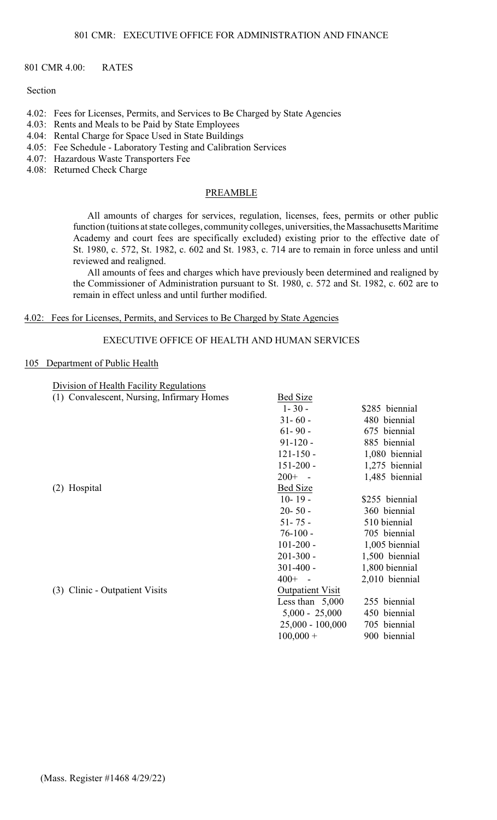#### 801 CMR 4.00: RATES

## Section

- 4.02: Fees for Licenses, Permits, and Services to Be Charged by State Agencies
- 4.03: Rents and Meals to be Paid by State Employees
- 4.04: Rental Charge for Space Used in State Buildings
- 4.05: Fee Schedule Laboratory Testing and Calibration Services
- 4.07: Hazardous Waste Transporters Fee
- 4.08: Returned Check Charge

#### PREAMBLE

All amounts of charges for services, regulation, licenses, fees, permits or other public function (tuitions at state colleges, community colleges, universities, the Massachusetts Maritime Academy and court fees are specifically excluded) existing prior to the effective date of St. 1980, c. 572, St. 1982, c. 602 and St. 1983, c. 714 are to remain in force unless and until reviewed and realigned.

All amounts of fees and charges which have previously been determined and realigned by the Commissioner of Administration pursuant to St. 1980, c. 572 and St. 1982, c. 602 are to remain in effect unless and until further modified.

## 4.02: Fees for Licenses, Permits, and Services to Be Charged by State Agencies

## EXECUTIVE OFFICE OF HEALTH AND HUMAN SERVICES

#### 105 Department of Public Health

Division of Health Facility Regulations

| (1) Convalescent, Nursing, Infirmary Homes | <b>Bed Size</b>         |                |
|--------------------------------------------|-------------------------|----------------|
|                                            | $1 - 30 -$              | \$285 biennial |
|                                            | $31 - 60 -$             | 480 biennial   |
|                                            | $61 - 90 -$             | 675 biennial   |
|                                            | $91-120 -$              | 885 biennial   |
|                                            | $121 - 150 -$           | 1,080 biennial |
|                                            | $151 - 200 -$           | 1,275 biennial |
|                                            | $200+ -$                | 1,485 biennial |
| (2) Hospital                               | Bed Size                |                |
|                                            | $10 - 19 -$             | \$255 biennial |
|                                            | $20 - 50 -$             | 360 biennial   |
|                                            | $51 - 75 -$             | 510 biennial   |
|                                            | $76-100 -$              | 705 biennial   |
|                                            | $101 - 200 -$           | 1,005 biennial |
|                                            | $201 - 300 -$           | 1,500 biennial |
|                                            | $301 - 400 -$           | 1,800 biennial |
|                                            | $400+ -$                | 2,010 biennial |
| (3) Clinic - Outpatient Visits             | <b>Outpatient Visit</b> |                |
|                                            | Less than $5,000$       | 255 biennial   |
|                                            | $5,000 - 25,000$        | 450 biennial   |
|                                            | $25,000 - 100,000$      | 705 biennial   |
|                                            | $100,000 +$             | 900 biennial   |
|                                            |                         |                |
|                                            |                         |                |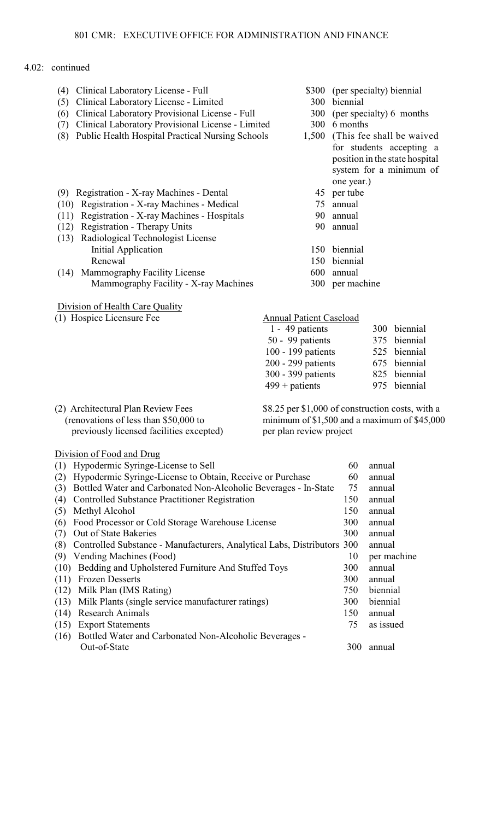| (4) Clinical Laboratory License - Full<br>(5) Clinical Laboratory License - Limited<br>Clinical Laboratory Provisional License - Full<br>(6)<br>Clinical Laboratory Provisional License - Limited<br>(7)<br>Public Health Hospital Practical Nursing Schools<br>(8) | \$300<br>300<br>300<br>300     | biennial<br>6 months<br>one year.) | (per specialty) biennial<br>(per specialty) 6 months<br>1,500 (This fee shall be waived<br>for students accepting a<br>position in the state hospital<br>system for a minimum of |
|---------------------------------------------------------------------------------------------------------------------------------------------------------------------------------------------------------------------------------------------------------------------|--------------------------------|------------------------------------|----------------------------------------------------------------------------------------------------------------------------------------------------------------------------------|
| (9) Registration - X-ray Machines - Dental                                                                                                                                                                                                                          | 45                             | per tube                           |                                                                                                                                                                                  |
| (10) Registration - X-ray Machines - Medical                                                                                                                                                                                                                        | 75                             | annual                             |                                                                                                                                                                                  |
| Registration - X-ray Machines - Hospitals<br>(11)                                                                                                                                                                                                                   | 90                             | annual                             |                                                                                                                                                                                  |
| <b>Registration - Therapy Units</b><br>(12)                                                                                                                                                                                                                         | 90                             | annual                             |                                                                                                                                                                                  |
| (13) Radiological Technologist License                                                                                                                                                                                                                              |                                |                                    |                                                                                                                                                                                  |
| <b>Initial Application</b>                                                                                                                                                                                                                                          |                                | 150 biennial                       |                                                                                                                                                                                  |
| Renewal                                                                                                                                                                                                                                                             | 150                            | biennial                           |                                                                                                                                                                                  |
| (14) Mammography Facility License                                                                                                                                                                                                                                   | 600                            | annual                             |                                                                                                                                                                                  |
| Mammography Facility - X-ray Machines                                                                                                                                                                                                                               |                                | 300 per machine                    |                                                                                                                                                                                  |
|                                                                                                                                                                                                                                                                     |                                |                                    |                                                                                                                                                                                  |
| Division of Health Care Quality                                                                                                                                                                                                                                     |                                |                                    |                                                                                                                                                                                  |
| (1) Hospice Licensure Fee                                                                                                                                                                                                                                           | <b>Annual Patient Caseload</b> |                                    |                                                                                                                                                                                  |
|                                                                                                                                                                                                                                                                     | 1 - 49 patients                |                                    | 300 biennial                                                                                                                                                                     |
|                                                                                                                                                                                                                                                                     | 50 - 99 patients               |                                    | 375 biennial                                                                                                                                                                     |
|                                                                                                                                                                                                                                                                     | 100 - 199 patients             |                                    | 525 biennial                                                                                                                                                                     |
|                                                                                                                                                                                                                                                                     | 200 - 299 patients             |                                    | biennial<br>675                                                                                                                                                                  |
|                                                                                                                                                                                                                                                                     | 300 - 399 patients             |                                    | 825 biennial                                                                                                                                                                     |
|                                                                                                                                                                                                                                                                     | $499 +$ patients               |                                    | 975<br>biennial                                                                                                                                                                  |
|                                                                                                                                                                                                                                                                     |                                |                                    |                                                                                                                                                                                  |
| (2) Architectural Plan Review Fees                                                                                                                                                                                                                                  |                                |                                    | \$8.25 per \$1,000 of construction costs, with a                                                                                                                                 |
| (renovations of less than \$50,000 to                                                                                                                                                                                                                               |                                |                                    | minimum of \$1,500 and a maximum of \$45,000                                                                                                                                     |
| previously licensed facilities excepted)                                                                                                                                                                                                                            | per plan review project        |                                    |                                                                                                                                                                                  |
| Division of Food and Drug                                                                                                                                                                                                                                           |                                |                                    |                                                                                                                                                                                  |
| Hypodermic Syringe-License to Sell<br>(1)                                                                                                                                                                                                                           |                                | 60                                 | annual                                                                                                                                                                           |
| Hypodermic Syringe-License to Obtain, Receive or Purchase<br>(2)                                                                                                                                                                                                    |                                | 60                                 | annual                                                                                                                                                                           |
| Bottled Water and Carbonated Non-Alcoholic Beverages - In-State<br>(3)                                                                                                                                                                                              |                                | 75                                 | annual                                                                                                                                                                           |
| <b>Controlled Substance Practitioner Registration</b><br>(4)                                                                                                                                                                                                        |                                | 150                                | annual                                                                                                                                                                           |
| (5)<br>Methyl Alcohol                                                                                                                                                                                                                                               |                                | 150                                | annual                                                                                                                                                                           |
| Food Processor or Cold Storage Warehouse License<br>(6)                                                                                                                                                                                                             |                                | 300                                | annual                                                                                                                                                                           |
| Out of State Bakeries<br>(7)                                                                                                                                                                                                                                        |                                | 300                                | annual                                                                                                                                                                           |
| Controlled Substance - Manufacturers, Analytical Labs, Distributors 300<br>(8)                                                                                                                                                                                      |                                |                                    | annual                                                                                                                                                                           |
| Vending Machines (Food)<br>(9)                                                                                                                                                                                                                                      |                                | 10                                 | per machine                                                                                                                                                                      |
| Bedding and Upholstered Furniture And Stuffed Toys<br>(10)                                                                                                                                                                                                          |                                | 300                                | annual                                                                                                                                                                           |
| <b>Frozen Desserts</b><br>(11)                                                                                                                                                                                                                                      |                                | 300                                | annual                                                                                                                                                                           |
| Milk Plan (IMS Rating)<br>(12)                                                                                                                                                                                                                                      |                                | 750                                | biennial                                                                                                                                                                         |
| (13)<br>Milk Plants (single service manufacturer ratings)                                                                                                                                                                                                           |                                | 300                                | biennial                                                                                                                                                                         |
| <b>Research Animals</b><br>(14)                                                                                                                                                                                                                                     |                                | 150                                | annual                                                                                                                                                                           |
| <b>Export Statements</b><br>(15)                                                                                                                                                                                                                                    |                                | 75                                 | as issued                                                                                                                                                                        |
| Bottled Water and Carbonated Non-Alcoholic Beverages -<br>(16)                                                                                                                                                                                                      |                                |                                    |                                                                                                                                                                                  |
| Out-of-State                                                                                                                                                                                                                                                        |                                | 300                                | annual                                                                                                                                                                           |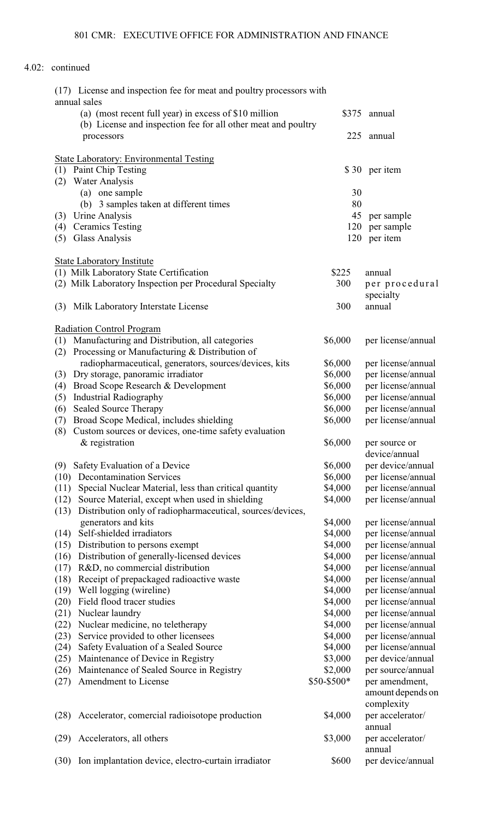| (17) License and inspection fee for meat and poultry processors with |             |                    |
|----------------------------------------------------------------------|-------------|--------------------|
| annual sales                                                         |             |                    |
| (a) (most recent full year) in excess of \$10 million                |             | \$375 annual       |
| (b) License and inspection fee for all other meat and poultry        |             |                    |
| processors                                                           | 225         | annual             |
| <b>State Laboratory: Environmental Testing</b>                       |             |                    |
| (1) Paint Chip Testing                                               |             | \$30 per item      |
| <b>Water Analysis</b><br>(2)                                         |             |                    |
| (a) one sample                                                       | 30          |                    |
| (b) 3 samples taken at different times                               | 80          |                    |
| Urine Analysis<br>(3)                                                | 45          | per sample         |
| <b>Ceramics Testing</b><br>(4)                                       | 120         | per sample         |
| <b>Glass Analysis</b><br>(5)                                         | 120         | per item           |
|                                                                      |             |                    |
| <b>State Laboratory Institute</b>                                    |             |                    |
| (1) Milk Laboratory State Certification                              | \$225       | annual             |
| (2) Milk Laboratory Inspection per Procedural Specialty              | 300         | per procedural     |
|                                                                      |             | specialty          |
| Milk Laboratory Interstate License<br>(3)                            | 300         | annual             |
| <b>Radiation Control Program</b>                                     |             |                    |
| Manufacturing and Distribution, all categories<br>(1)                | \$6,000     | per license/annual |
| Processing or Manufacturing & Distribution of<br>(2)                 |             |                    |
| radiopharmaceutical, generators, sources/devices, kits               | \$6,000     | per license/annual |
| Dry storage, panoramic irradiator<br>(3)                             | \$6,000     | per license/annual |
| Broad Scope Research & Development<br>(4)                            | \$6,000     | per license/annual |
| <b>Industrial Radiography</b><br>(5)                                 | \$6,000     | per license/annual |
| <b>Sealed Source Therapy</b><br>(6)                                  | \$6,000     | per license/annual |
| Broad Scope Medical, includes shielding<br>(7)                       | \$6,000     | per license/annual |
| Custom sources or devices, one-time safety evaluation<br>(8)         |             |                    |
| & registration                                                       | \$6,000     | per source or      |
|                                                                      |             | device/annual      |
| Safety Evaluation of a Device<br>(9)                                 | \$6,000     | per device/annual  |
| <b>Decontamination Services</b><br>(10)                              | \$6,000     | per license/annual |
| Special Nuclear Material, less than critical quantity<br>(11)        | \$4,000     | per license/annual |
| Source Material, except when used in shielding<br>(12)               | \$4,000     | per license/annual |
| Distribution only of radiopharmaceutical, sources/devices,<br>(13)   |             |                    |
| generators and kits                                                  | \$4,000     | per license/annual |
| Self-shielded irradiators<br>(14)                                    | \$4,000     | per license/annual |
| Distribution to persons exempt<br>(15)                               | \$4,000     | per license/annual |
| Distribution of generally-licensed devices<br>(16)                   | \$4,000     | per license/annual |
| R&D, no commercial distribution<br>(17)                              | \$4,000     | per license/annual |
| Receipt of prepackaged radioactive waste<br>(18)                     | \$4,000     | per license/annual |
| (19)<br>Well logging (wireline)                                      | \$4,000     | per license/annual |
| Field flood tracer studies<br>(20)                                   | \$4,000     | per license/annual |
| Nuclear laundry<br>(21)                                              | \$4,000     | per license/annual |
| (22)<br>Nuclear medicine, no teletherapy                             | \$4,000     | per license/annual |
| Service provided to other licensees<br>(23)                          | \$4,000     | per license/annual |
| Safety Evaluation of a Sealed Source<br>(24)                         | \$4,000     | per license/annual |
| Maintenance of Device in Registry<br>(25)                            | \$3,000     | per device/annual  |
| Maintenance of Sealed Source in Registry<br>(26)                     | \$2,000     | per source/annual  |
| Amendment to License<br>(27)                                         | \$50-\$500* | per amendment,     |
|                                                                      |             | amount depends on  |
|                                                                      |             | complexity         |
| Accelerator, comercial radioisotope production<br>(28)               | \$4,000     | per accelerator/   |
|                                                                      |             | annual             |
| Accelerators, all others<br>(29)                                     | \$3,000     | per accelerator/   |
|                                                                      |             | annual             |
| Ion implantation device, electro-curtain irradiator<br>(30)          | \$600       | per device/annual  |
|                                                                      |             |                    |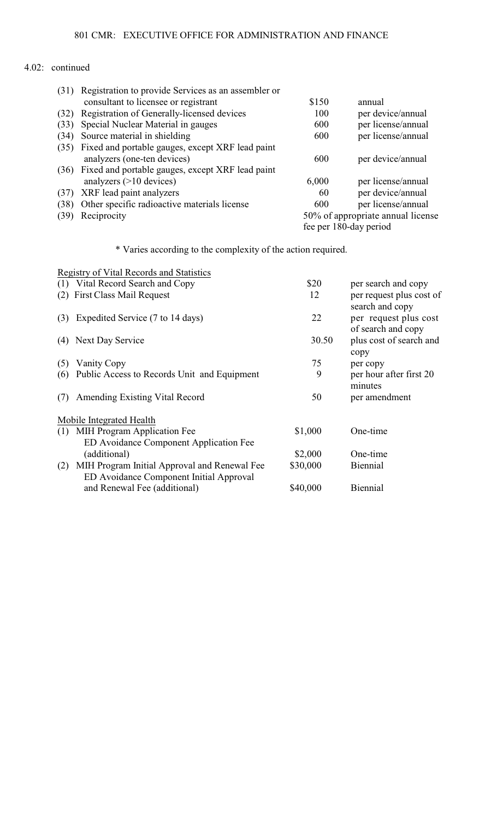|      | (31) Registration to provide Services as an assembler or |       |                                   |
|------|----------------------------------------------------------|-------|-----------------------------------|
|      | consultant to licensee or registrant                     | \$150 | annual                            |
| (32) | Registration of Generally-licensed devices               | 100   | per device/annual                 |
| (33) | Special Nuclear Material in gauges                       | 600   | per license/annual                |
| (34) | Source material in shielding                             | 600   | per license/annual                |
| (35) | Fixed and portable gauges, except XRF lead paint         |       |                                   |
|      | analyzers (one-ten devices)                              | 600   | per device/annual                 |
|      | (36) Fixed and portable gauges, except XRF lead paint    |       |                                   |
|      | analyzers $(>10$ devices)                                | 6,000 | per license/annual                |
| (37) | XRF lead paint analyzers                                 | 60    | per device/annual                 |
| (38) | Other specific radioactive materials license             | 600   | per license/annual                |
| (39) | Reciprocity                                              |       | 50% of appropriate annual license |
|      |                                                          |       | fee per 180-day period            |
|      |                                                          |       |                                   |

\* Varies according to the complexity of the action required.

|     | Registry of Vital Records and Statistics                                                |          |                                             |
|-----|-----------------------------------------------------------------------------------------|----------|---------------------------------------------|
|     | (1) Vital Record Search and Copy                                                        | \$20     | per search and copy                         |
| (2) | <b>First Class Mail Request</b>                                                         | 12       | per request plus cost of<br>search and copy |
| (3) | Expedited Service (7 to 14 days)                                                        | 22       | per request plus cost<br>of search and copy |
| (4) | Next Day Service                                                                        | 30.50    | plus cost of search and<br>copy             |
| (5) | Vanity Copy                                                                             | 75       | per copy                                    |
| (6) | Public Access to Records Unit and Equipment                                             | 9        | per hour after first 20<br>minutes          |
| (7) | Amending Existing Vital Record                                                          | 50       | per amendment                               |
|     | Mobile Integrated Health                                                                |          |                                             |
| (1) | MIH Program Application Fee                                                             | \$1,000  | One-time                                    |
|     | ED Avoidance Component Application Fee                                                  |          |                                             |
|     | (additional)                                                                            | \$2,000  | One-time                                    |
| (2) | MIH Program Initial Approval and Renewal Fee<br>ED Avoidance Component Initial Approval | \$30,000 | <b>Biennial</b>                             |
|     | and Renewal Fee (additional)                                                            | \$40,000 | <b>Biennial</b>                             |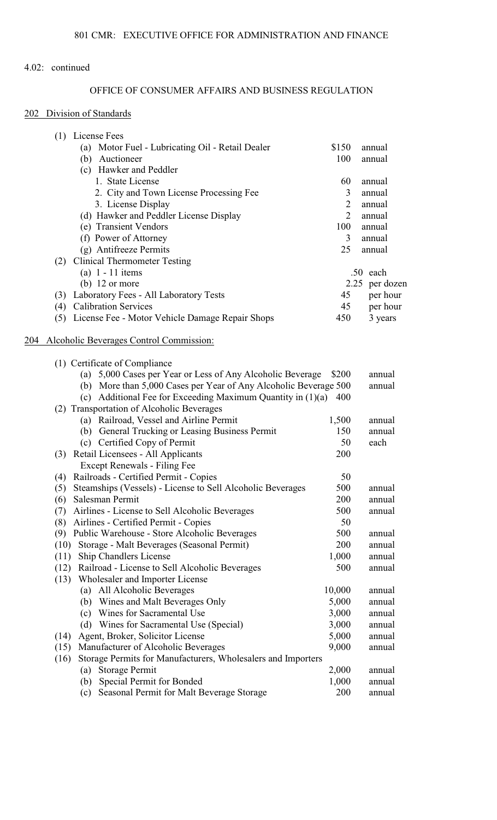# OFFICE OF CONSUMER AFFAIRS AND BUSINESS REGULATION

## 202 Division of Standards

|     | (1) License Fees                                                     |                |                |
|-----|----------------------------------------------------------------------|----------------|----------------|
|     | (a) Motor Fuel - Lubricating Oil - Retail Dealer                     | \$150          | annual         |
|     | Auctioneer<br>(b)                                                    | 100            | annual         |
|     | (c) Hawker and Peddler                                               |                |                |
|     | 1. State License                                                     | 60             | annual         |
|     | 2. City and Town License Processing Fee                              | 3              | annual         |
|     | 3. License Display                                                   | $\overline{2}$ | annual         |
|     | (d) Hawker and Peddler License Display                               | $\overline{2}$ | annual         |
|     | (e) Transient Vendors                                                | 100            | annual         |
|     | (f) Power of Attorney                                                | 3              | annual         |
|     | (g) Antifreeze Permits                                               | 25             | annual         |
|     | <b>Clinical Thermometer Testing</b><br>(2)                           |                |                |
|     | (a) $1 - 11$ items                                                   |                | .50 each       |
|     | (b) $12$ or more                                                     |                | 2.25 per dozen |
|     | (3) Laboratory Fees - All Laboratory Tests                           | 45             | per hour       |
|     | (4) Calibration Services                                             | 45             | per hour       |
|     | (5) License Fee - Motor Vehicle Damage Repair Shops                  | 450            | 3 years        |
| 204 | Alcoholic Beverages Control Commission:                              |                |                |
|     | (1) Certificate of Compliance                                        |                |                |
|     | (a) 5,000 Cases per Year or Less of Any Alcoholic Beverage           | \$200          | annual         |
|     | (b) More than 5,000 Cases per Year of Any Alcoholic Beverage 500     |                | annual         |
|     | Additional Fee for Exceeding Maximum Quantity in (1)(a)<br>(c)       | 400            |                |
|     | (2) Transportation of Alcoholic Beverages                            |                |                |
|     | (a) Railroad, Vessel and Airline Permit                              | 1,500          | annual         |
|     | (b) General Trucking or Leasing Business Permit                      | 150            | annual         |
|     | (c) Certified Copy of Permit                                         | 50             | each           |
|     | (3) Retail Licensees - All Applicants                                | 200            |                |
|     | Except Renewals - Filing Fee                                         |                |                |
|     | (4) Railroads - Certified Permit - Copies                            | 50             |                |
|     | Steamships (Vessels) - License to Sell Alcoholic Beverages<br>(5)    | 500            | annual         |
|     | (6)<br>Salesman Permit                                               | 200            | annual         |
|     | Airlines - License to Sell Alcoholic Beverages<br>(7)                | 500            | annual         |
|     | Airlines - Certified Permit - Copies<br>(8)                          | 50             |                |
|     | Public Warehouse - Store Alcoholic Beverages<br>(9)                  | 500            | annual         |
|     | Storage - Malt Beverages (Seasonal Permit)<br>(10)                   | 200            | annual         |
|     | Ship Chandlers License<br>(11)                                       | 1,000          | annual         |
|     | Railroad - License to Sell Alcoholic Beverages<br>(12)               | 500            | annual         |
|     | Wholesaler and Importer License<br>(13)                              |                |                |
|     | (a) All Alcoholic Beverages                                          | 10,000         | annual         |
|     | Wines and Malt Beverages Only<br>(b)                                 | 5,000          | annual         |
|     | (c) Wines for Sacramental Use                                        | 3,000          | annual         |
|     | Wines for Sacramental Use (Special)<br>(d)                           | 3,000          | annual         |
|     | Agent, Broker, Solicitor License<br>(14)                             | 5,000          | annual         |
|     | Manufacturer of Alcoholic Beverages<br>(15)                          | 9,000          | annual         |
|     | Storage Permits for Manufacturers, Wholesalers and Importers<br>(16) |                |                |
|     | Storage Permit<br>(a)                                                | 2,000          | annual         |
|     | Special Permit for Bonded<br>(b)                                     | 1,000          | annual         |
|     | Seasonal Permit for Malt Beverage Storage<br>(c)                     | 200            | annual         |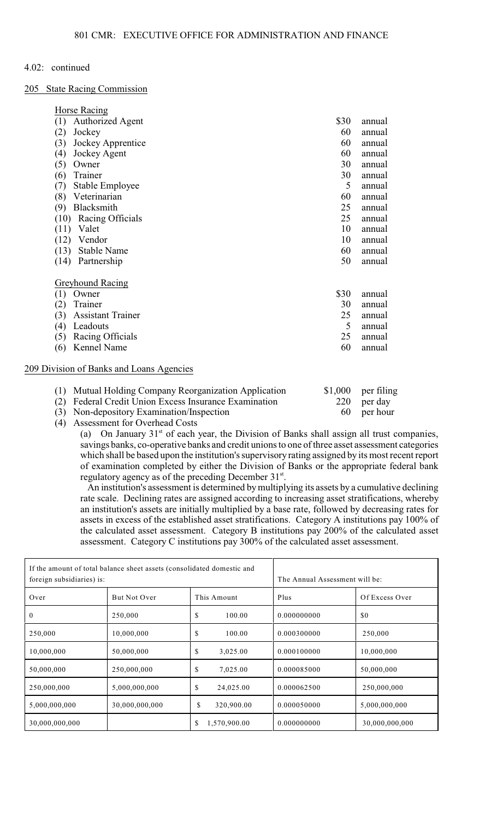205 State Racing Commission

Horse Racing

| <b>HOLSE KACING</b>                      |      |        |
|------------------------------------------|------|--------|
| (1)<br><b>Authorized Agent</b>           | \$30 | annual |
| (2)<br>Jockey                            | 60   | annual |
| (3)<br>Jockey Apprentice                 | 60   | annual |
| (4)<br>Jockey Agent                      | 60   | annual |
| (5)<br>Owner                             | 30   | annual |
| Trainer<br>(6)                           | 30   | annual |
| (7)<br>Stable Employee                   | 5    | annual |
| Veterinarian<br>(8)                      | 60   | annual |
| Blacksmith<br>(9)                        | 25   | annual |
| (10) Racing Officials                    | 25   | annual |
| (11)<br>Valet                            | 10   | annual |
| (12)<br>Vendor                           | 10   | annual |
| <b>Stable Name</b><br>(13)               | 60   | annual |
| (14)<br>Partnership                      | 50   | annual |
| <b>Greyhound Racing</b>                  |      |        |
| (1)<br>Owner                             | \$30 | annual |
| (2)<br>Trainer                           | 30   | annual |
| (3)<br><b>Assistant Trainer</b>          | 25   | annual |
| Leadouts<br>(4)                          | 5    | annual |
| Racing Officials<br>(5)                  | 25   | annual |
| Kennel Name<br>(6)                       | 60   | annual |
| 209 Division of Banks and Loans Agencies |      |        |
|                                          |      |        |

| (1) Mutual Holding Company Reorganization Application | $$1,000$ per filing |
|-------------------------------------------------------|---------------------|
| (2) Federal Credit Union Excess Insurance Examination | 220 per day         |
| (3) Non-depository Examination/Inspection             | 60 per hour         |

(4) Assessment for Overhead Costs

(a) On January  $31<sup>st</sup>$  of each year, the Division of Banks shall assign all trust companies, savings banks, co-operative banks and credit unions to one of three asset assessment categories which shall be based upon the institution's supervisoryrating assigned by its most recent report of examination completed by either the Division of Banks or the appropriate federal bank regulatory agency as of the preceding December 31<sup>st</sup>.

 An institution's assessment is determined by multiplying its assets by a cumulative declining rate scale. Declining rates are assigned according to increasing asset stratifications, whereby an institution's assets are initially multiplied by a base rate, followed by decreasing rates for assets in excess of the established asset stratifications. Category A institutions pay 100% of the calculated asset assessment. Category B institutions pay 200% of the calculated asset assessment. Category C institutions pay 300% of the calculated asset assessment.

| If the amount of total balance sheet assets (consolidated domestic and<br>foreign subsidiaries) is: |                | The Annual Assessment will be: |             |                |
|-----------------------------------------------------------------------------------------------------|----------------|--------------------------------|-------------|----------------|
| Over                                                                                                | But Not Over   | This Amount                    | Plus        | Of Excess Over |
| $\bf{0}$                                                                                            | 250,000        | S<br>100.00                    | 0.000000000 | \$0            |
| 250,000                                                                                             | 10,000,000     | S<br>100.00                    | 0.000300000 | 250,000        |
| 10,000,000                                                                                          | 50,000,000     | \$<br>3,025.00                 | 0.000100000 | 10,000,000     |
| 50,000,000                                                                                          | 250,000,000    | S<br>7,025.00                  | 0.000085000 | 50,000,000     |
| 250,000,000                                                                                         | 5,000,000,000  | \$<br>24,025.00                | 0.000062500 | 250,000,000    |
| 5,000,000,000                                                                                       | 30,000,000,000 | \$<br>320,900.00               | 0.000050000 | 5,000,000,000  |
| 30,000,000,000                                                                                      |                | S<br>1,570,900.00              | 0.000000000 | 30,000,000,000 |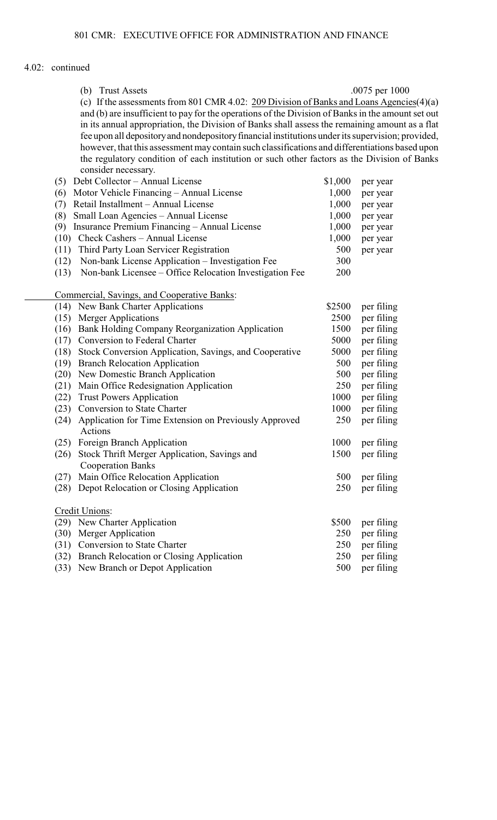|      | (b) Trust Assets                                                                                  |         | .0075 per 1000 |
|------|---------------------------------------------------------------------------------------------------|---------|----------------|
|      | (c) If the assessments from 801 CMR 4.02: $209$ Division of Banks and Loans Agencies(4)(a)        |         |                |
|      | and (b) are insufficient to pay for the operations of the Division of Banks in the amount set out |         |                |
|      | in its annual appropriation, the Division of Banks shall assess the remaining amount as a flat    |         |                |
|      | fee upon all depository and nondepository financial institutions under its supervision; provided, |         |                |
|      | however, that this assessment may contain such classifications and differentiations based upon    |         |                |
|      | the regulatory condition of each institution or such other factors as the Division of Banks       |         |                |
|      | consider necessary.                                                                               |         |                |
| (5)  | Debt Collector - Annual License                                                                   | \$1,000 | per year       |
| (6)  | Motor Vehicle Financing - Annual License                                                          | 1,000   | per year       |
|      | Retail Installment - Annual License                                                               | 1,000   |                |
| (7)  |                                                                                                   |         | per year       |
| (8)  | Small Loan Agencies - Annual License                                                              | 1,000   | per year       |
| (9)  | Insurance Premium Financing - Annual License                                                      | 1,000   | per year       |
| (10) | Check Cashers - Annual License                                                                    | 1,000   | per year       |
| (11) | Third Party Loan Servicer Registration                                                            | 500     | per year       |
| (12) | Non-bank License Application - Investigation Fee                                                  | 300     |                |
| (13) | Non-bank Licensee – Office Relocation Investigation Fee                                           | 200     |                |
|      |                                                                                                   |         |                |
|      | Commercial, Savings, and Cooperative Banks:                                                       |         |                |
| (14) | New Bank Charter Applications                                                                     | \$2500  | per filing     |
| (15) | <b>Merger Applications</b>                                                                        | 2500    | per filing     |
| (16) | Bank Holding Company Reorganization Application                                                   | 1500    | per filing     |
| (17) | Conversion to Federal Charter                                                                     | 5000    | per filing     |
| (18) | Stock Conversion Application, Savings, and Cooperative                                            | 5000    | per filing     |
| (19) | <b>Branch Relocation Application</b>                                                              | 500     | per filing     |
| (20) | New Domestic Branch Application                                                                   | 500     | per filing     |
| (21) | Main Office Redesignation Application                                                             | 250     | per filing     |
| (22) | <b>Trust Powers Application</b>                                                                   | 1000    | per filing     |
| (23) | Conversion to State Charter                                                                       | 1000    | per filing     |
| (24) | Application for Time Extension on Previously Approved                                             | 250     | per filing     |
|      | Actions                                                                                           |         |                |
|      | (25) Foreign Branch Application                                                                   | 1000    | per filing     |
| (26) | Stock Thrift Merger Application, Savings and                                                      | 1500    | per filing     |
|      | <b>Cooperation Banks</b>                                                                          |         |                |
| (27) | Main Office Relocation Application                                                                | 500     | per filing     |
| (28) | Depot Relocation or Closing Application                                                           | 250     | per filing     |
|      |                                                                                                   |         |                |
|      | Credit Unions:                                                                                    |         |                |
|      | (29) New Charter Application                                                                      | \$500   | per filing     |
| (30) | Merger Application                                                                                | 250     | per filing     |
| (31) | <b>Conversion to State Charter</b>                                                                | 250     | per filing     |
| (32) | Branch Relocation or Closing Application                                                          | 250     | per filing     |
| (33) | New Branch or Depot Application                                                                   | 500     | per filing     |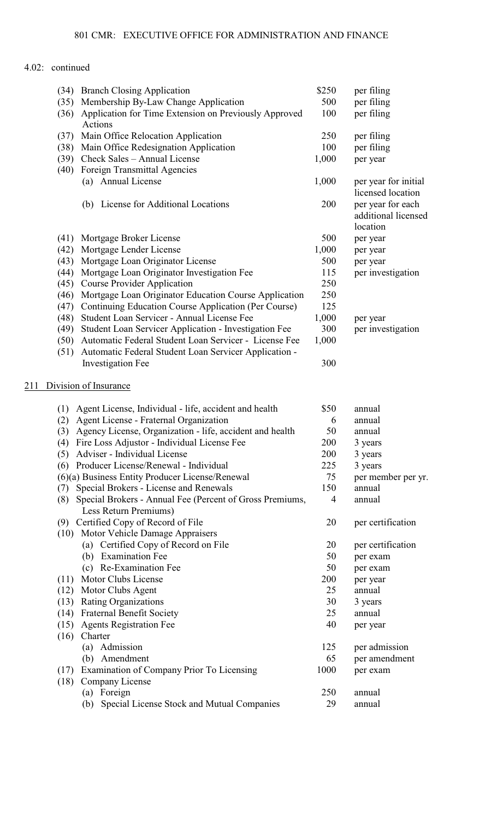|     | (34) | <b>Branch Closing Application</b>                         | \$250 | per filing                                           |
|-----|------|-----------------------------------------------------------|-------|------------------------------------------------------|
|     | (35) | Membership By-Law Change Application                      | 500   | per filing                                           |
|     | (36) | Application for Time Extension on Previously Approved     | 100   | per filing                                           |
|     |      | Actions                                                   |       |                                                      |
|     | (37) | Main Office Relocation Application                        | 250   | per filing                                           |
|     | (38) | Main Office Redesignation Application                     | 100   | per filing                                           |
|     | (39) | Check Sales - Annual License                              | 1,000 | per year                                             |
|     | (40) | Foreign Transmittal Agencies                              |       |                                                      |
|     |      | (a) Annual License                                        | 1,000 | per year for initial<br>licensed location            |
|     |      | (b) License for Additional Locations                      | 200   | per year for each<br>additional licensed<br>location |
|     | (41) | Mortgage Broker License                                   | 500   | per year                                             |
|     | (42) | Mortgage Lender License                                   | 1,000 | per year                                             |
|     | (43) | Mortgage Loan Originator License                          | 500   | per year                                             |
|     | (44) | Mortgage Loan Originator Investigation Fee                | 115   | per investigation                                    |
|     | (45) | <b>Course Provider Application</b>                        | 250   |                                                      |
|     | (46) | Mortgage Loan Originator Education Course Application     | 250   |                                                      |
|     | (47) | Continuing Education Course Application (Per Course)      | 125   |                                                      |
|     | (48) | Student Loan Servicer - Annual License Fee                | 1,000 | per year                                             |
|     | (49) | Student Loan Servicer Application - Investigation Fee     | 300   | per investigation                                    |
|     | (50) | Automatic Federal Student Loan Servicer - License Fee     | 1,000 |                                                      |
|     | (51) | Automatic Federal Student Loan Servicer Application -     |       |                                                      |
|     |      | <b>Investigation Fee</b>                                  | 300   |                                                      |
| 211 |      | Division of Insurance                                     |       |                                                      |
|     |      |                                                           |       |                                                      |
|     |      | (1) Agent License, Individual - life, accident and health | \$50  | annual                                               |
|     | (2)  | Agent License - Fraternal Organization                    | 6     | annual                                               |
|     | (3)  | Agency License, Organization - life, accident and health  | 50    | annual                                               |
|     | (4)  | Fire Loss Adjustor - Individual License Fee               | 200   | 3 years                                              |
|     | (5)  | Adviser - Individual License                              | 200   | 3 years                                              |
|     |      | (6) Producer License/Renewal - Individual                 | 225   | 3 years                                              |
|     |      | (6)(a) Business Entity Producer License/Renewal           | 75    | per member per yr.                                   |
|     | (7)  | Special Brokers - License and Renewals                    | 150   | annual                                               |
|     | (8)  | Special Brokers - Annual Fee (Percent of Gross Premiums,  | 4     | annual                                               |
|     |      | Less Return Premiums)                                     |       |                                                      |
|     |      | (9) Certified Copy of Record of File                      | 20    | per certification                                    |
|     |      | (10) Motor Vehicle Damage Appraisers                      |       |                                                      |
|     |      | (a) Certified Copy of Record on File                      | 20    | per certification                                    |
|     |      | (b) Examination Fee                                       | 50    | per exam                                             |
|     |      | (c) Re-Examination Fee                                    | 50    | per exam                                             |
|     | (11) | Motor Clubs License                                       | 200   | per year                                             |
|     | (12) | Motor Clubs Agent                                         | 25    | annual                                               |
|     |      | (13) Rating Organizations                                 | 30    | 3 years                                              |
|     | (14) | <b>Fraternal Benefit Society</b>                          | 25    | annual                                               |
|     | (15) | <b>Agents Registration Fee</b>                            | 40    | per year                                             |
|     | (16) | Charter                                                   |       |                                                      |
|     |      | (a) Admission                                             | 125   | per admission                                        |
|     |      | (b) Amendment                                             | 65    | per amendment                                        |
|     | (17) | Examination of Company Prior To Licensing                 | 1000  |                                                      |
|     | (18) | Company License                                           |       | per exam                                             |
|     |      | (a) Foreign                                               | 250   | annual                                               |
|     |      |                                                           | 29    |                                                      |
|     |      | Special License Stock and Mutual Companies<br>(b)         |       | annual                                               |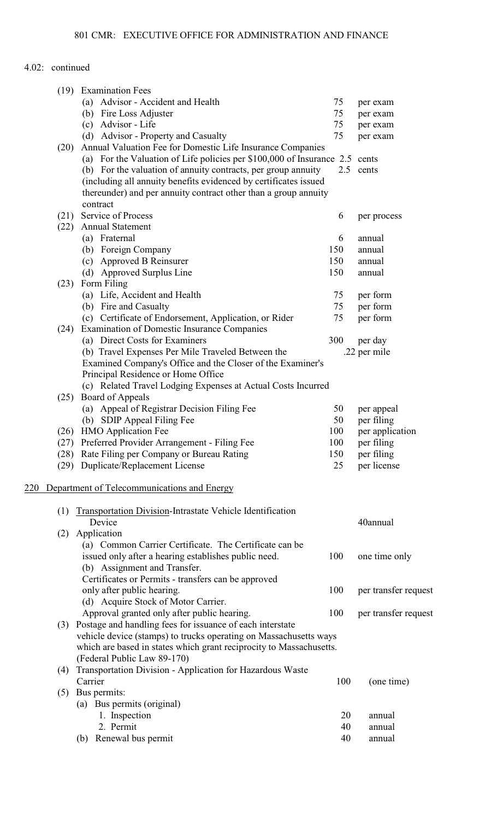| (19) | <b>Examination Fees</b>                                                     |     |                      |
|------|-----------------------------------------------------------------------------|-----|----------------------|
|      | (a) Advisor - Accident and Health                                           | 75  | per exam             |
|      | (b) Fire Loss Adjuster                                                      | 75  | per exam             |
|      | (c) Advisor - Life                                                          | 75  | per exam             |
|      | (d) Advisor - Property and Casualty                                         | 75  | per exam             |
| (20) | Annual Valuation Fee for Domestic Life Insurance Companies                  |     |                      |
|      | (a) For the Valuation of Life policies per \$100,000 of Insurance 2.5 cents |     |                      |
|      | (b) For the valuation of annuity contracts, per group annuity               |     | 2.5 cents            |
|      |                                                                             |     |                      |
|      | (including all annuity benefits evidenced by certificates issued            |     |                      |
|      | thereunder) and per annuity contract other than a group annuity             |     |                      |
|      | contract                                                                    |     |                      |
| (21) | Service of Process                                                          | 6   | per process          |
| (22) | <b>Annual Statement</b>                                                     |     |                      |
|      | (a) Fraternal                                                               | 6   | annual               |
|      | (b) Foreign Company                                                         | 150 | annual               |
|      | (c) Approved B Reinsurer                                                    | 150 | annual               |
|      | (d) Approved Surplus Line                                                   | 150 | annual               |
| (23) | Form Filing                                                                 |     |                      |
|      | (a) Life, Accident and Health                                               | 75  | per form             |
|      | (b) Fire and Casualty                                                       | 75  | per form             |
|      | (c) Certificate of Endorsement, Application, or Rider                       | 75  | per form             |
| (24) | <b>Examination of Domestic Insurance Companies</b>                          |     |                      |
|      |                                                                             |     |                      |
|      | (a) Direct Costs for Examiners                                              | 300 | per day              |
|      | (b) Travel Expenses Per Mile Traveled Between the                           |     | .22 per mile         |
|      | Examined Company's Office and the Closer of the Examiner's                  |     |                      |
|      | Principal Residence or Home Office                                          |     |                      |
|      | (c) Related Travel Lodging Expenses at Actual Costs Incurred                |     |                      |
|      | (25) Board of Appeals                                                       |     |                      |
|      | (a) Appeal of Registrar Decision Filing Fee                                 | 50  | per appeal           |
|      | (b) SDIP Appeal Filing Fee                                                  | 50  | per filing           |
| (26) | <b>HMO</b> Application Fee                                                  | 100 | per application      |
| (27) | Preferred Provider Arrangement - Filing Fee                                 | 100 | per filing           |
|      | (28) Rate Filing per Company or Bureau Rating                               | 150 | per filing           |
|      | (29) Duplicate/Replacement License                                          | 25  | per license          |
|      |                                                                             |     |                      |
| 220  | Department of Telecommunications and Energy                                 |     |                      |
|      |                                                                             |     |                      |
| (1)  | Transportation Division-Intrastate Vehicle Identification                   |     |                      |
|      | Device                                                                      |     | 40annual             |
|      |                                                                             |     |                      |
| (2)  | Application                                                                 |     |                      |
|      | (a) Common Carrier Certificate. The Certificate can be                      |     |                      |
|      | issued only after a hearing establishes public need.                        | 100 | one time only        |
|      | (b) Assignment and Transfer.                                                |     |                      |
|      | Certificates or Permits - transfers can be approved                         |     |                      |
|      | only after public hearing.                                                  | 100 | per transfer request |
|      | (d) Acquire Stock of Motor Carrier.                                         |     |                      |
|      | Approval granted only after public hearing.                                 | 100 | per transfer request |
|      | (3) Postage and handling fees for issuance of each interstate               |     |                      |
|      | vehicle device (stamps) to trucks operating on Massachusetts ways           |     |                      |
|      | which are based in states which grant reciprocity to Massachusetts.         |     |                      |
|      | (Federal Public Law 89-170)                                                 |     |                      |
|      |                                                                             |     |                      |
| (4)  | Transportation Division - Application for Hazardous Waste                   |     |                      |
|      | Carrier                                                                     | 100 | (one time)           |
|      | $(5)$ Bus permits:                                                          |     |                      |
|      | (a) Bus permits (original)                                                  |     |                      |
|      | 1. Inspection                                                               | 20  | annual               |
|      | 2. Permit                                                                   | 40  | annual               |
|      | Renewal bus permit<br>(b)                                                   | 40  | annual               |
|      |                                                                             |     |                      |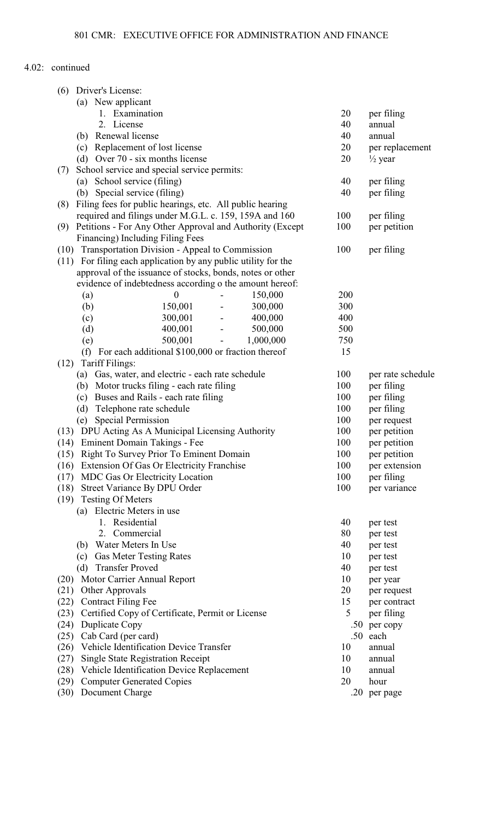| (6)  | Driver's License:                                              |                  |                          |           |     |                    |
|------|----------------------------------------------------------------|------------------|--------------------------|-----------|-----|--------------------|
|      | (a) New applicant                                              |                  |                          |           |     |                    |
|      | 1. Examination                                                 |                  |                          |           | 20  | per filing         |
|      | 2. License                                                     |                  |                          |           | 40  | annual             |
|      | (b) Renewal license                                            |                  |                          |           | 40  | annual             |
|      | (c) Replacement of lost license                                |                  |                          |           | 20  | per replacement    |
|      | (d) Over 70 - six months license                               |                  |                          |           | 20  | $\frac{1}{2}$ year |
| (7)  | School service and special service permits:                    |                  |                          |           |     |                    |
|      | (a) School service (filing)                                    |                  |                          |           | 40  | per filing         |
|      | (b) Special service (filing)                                   |                  |                          |           | 40  | per filing         |
| (8)  | Filing fees for public hearings, etc. All public hearing       |                  |                          |           |     |                    |
|      | required and filings under M.G.L. c. 159, 159A and 160         |                  |                          |           | 100 | per filing         |
| (9)  | Petitions - For Any Other Approval and Authority (Except       |                  |                          |           | 100 | per petition       |
|      | Financing) Including Filing Fees                               |                  |                          |           |     |                    |
| (10) | Transportation Division - Appeal to Commission                 |                  |                          |           | 100 | per filing         |
|      | (11) For filing each application by any public utility for the |                  |                          |           |     |                    |
|      | approval of the issuance of stocks, bonds, notes or other      |                  |                          |           |     |                    |
|      | evidence of indebtedness according o the amount hereof:        |                  |                          |           |     |                    |
|      | $\left( a\right)$                                              | $\boldsymbol{0}$ |                          | 150,000   | 200 |                    |
|      | (b)                                                            | 150,001          | $\overline{\phantom{a}}$ | 300,000   | 300 |                    |
|      | (c)                                                            | 300,001          | $\sim$                   | 400,000   | 400 |                    |
|      | (d)                                                            | 400,001          | $\blacksquare$           | 500,000   | 500 |                    |
|      | (e)                                                            | 500,001          | $\blacksquare$           | 1,000,000 | 750 |                    |
|      | (f) For each additional $$100,000$ or fraction thereof         |                  |                          |           | 15  |                    |
| (12) | Tariff Filings:                                                |                  |                          |           |     |                    |
|      | (a) Gas, water, and electric - each rate schedule              |                  |                          |           | 100 | per rate schedule  |
|      | Motor trucks filing - each rate filing<br>(b)                  |                  |                          |           | 100 | per filing         |
|      | Buses and Rails - each rate filing<br>(c)                      |                  |                          |           | 100 | per filing         |
|      | (d)<br>Telephone rate schedule                                 |                  |                          |           | 100 | per filing         |
|      | <b>Special Permission</b><br>(e)                               |                  |                          |           | 100 | per request        |
|      | (13) DPU Acting As A Municipal Licensing Authority             |                  |                          |           | 100 | per petition       |
|      | (14) Eminent Domain Takings - Fee                              |                  |                          |           | 100 | per petition       |
| (15) | Right To Survey Prior To Eminent Domain                        |                  |                          |           | 100 | per petition       |
| (16) | Extension Of Gas Or Electricity Franchise                      |                  |                          |           | 100 | per extension      |
| (17) | MDC Gas Or Electricity Location                                |                  |                          |           | 100 | per filing         |
| (18) | Street Variance By DPU Order                                   |                  |                          |           | 100 | per variance       |
| (19) | <b>Testing Of Meters</b>                                       |                  |                          |           |     |                    |
|      | (a) Electric Meters in use                                     |                  |                          |           |     |                    |
|      | 1. Residential                                                 |                  |                          |           | 40  | per test           |
|      | Commercial<br>2.                                               |                  |                          |           | 80  | per test           |
|      | Water Meters In Use<br>(b)                                     |                  |                          |           | 40  | per test           |
|      | <b>Gas Meter Testing Rates</b><br>(c)                          |                  |                          |           | 10  | per test           |
|      | <b>Transfer Proved</b><br>(d)                                  |                  |                          |           | 40  | per test           |
| (20) | Motor Carrier Annual Report                                    |                  |                          |           | 10  | per year           |
| (21) | Other Approvals                                                |                  |                          |           | 20  | per request        |
| (22) | <b>Contract Filing Fee</b>                                     |                  |                          |           | 15  | per contract       |
| (23) | Certified Copy of Certificate, Permit or License               |                  |                          |           | 5   | per filing         |
| (24) | Duplicate Copy                                                 |                  |                          |           |     | .50 per copy       |
| (25) | Cab Card (per card)                                            |                  |                          |           | .50 | each               |
| (26) | Vehicle Identification Device Transfer                         |                  |                          |           | 10  | annual             |
| (27) | <b>Single State Registration Receipt</b>                       |                  |                          |           | 10  | annual             |
| (28) | Vehicle Identification Device Replacement                      |                  |                          |           | 10  | annual             |
| (29) | <b>Computer Generated Copies</b>                               |                  |                          |           | 20  | hour               |
| (30) | Document Charge                                                |                  |                          |           |     | .20 per page       |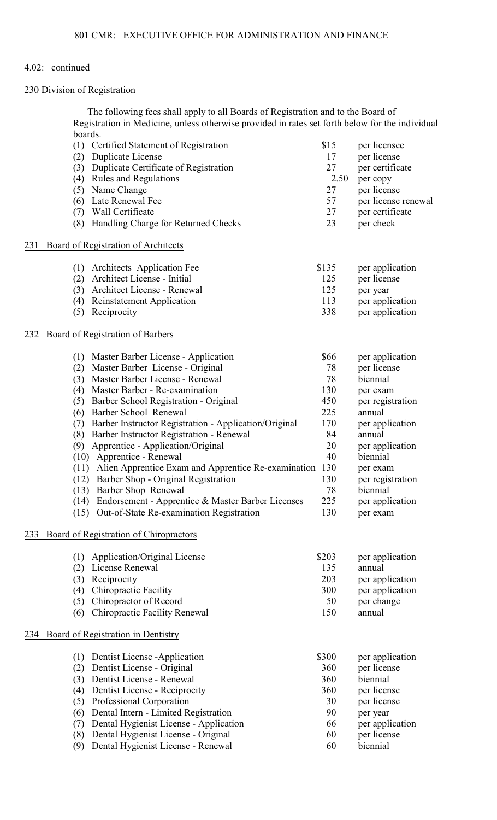#### 230 Division of Registration

The following fees shall apply to all Boards of Registration and to the Board of Registration in Medicine, unless otherwise provided in rates set forth below for the individual boards.

|     | Certified Statement of Registration<br>(1)                   | \$15  | per licensee        |
|-----|--------------------------------------------------------------|-------|---------------------|
|     | Duplicate License<br>(2)                                     | 17    | per license         |
|     | Duplicate Certificate of Registration<br>(3)                 | 27    | per certificate     |
|     | (4) Rules and Regulations                                    | 2.50  | per copy            |
|     | (5)<br>Name Change                                           | 27    | per license         |
|     | Late Renewal Fee<br>(6)                                      | 57    | per license renewal |
|     | Wall Certificate<br>(7)                                      | 27    | per certificate     |
|     | Handling Charge for Returned Checks<br>(8)                   | 23    | per check           |
| 231 | Board of Registration of Architects                          |       |                     |
|     | (1) Architects Application Fee                               | \$135 | per application     |
|     | Architect License - Initial<br>(2)                           | 125   | per license         |
|     | Architect License - Renewal<br>(3)                           | 125   | per year            |
|     | <b>Reinstatement Application</b><br>(4)                      | 113   | per application     |
|     | (5)<br>Reciprocity                                           | 338   | per application     |
| 232 | Board of Registration of Barbers                             |       |                     |
|     | (1) Master Barber License - Application                      | \$66  | per application     |
|     | Master Barber License - Original<br>(2)                      | 78    | per license         |
|     | (3) Master Barber License - Renewal                          | 78    | biennial            |
|     | Master Barber - Re-examination<br>(4)                        | 130   | per exam            |
|     | Barber School Registration - Original<br>(5)                 | 450   | per registration    |
|     | Barber School Renewal<br>(6)                                 | 225   | annual              |
|     | Barber Instructor Registration - Application/Original<br>(7) | 170   | per application     |
|     | (8)<br>Barber Instructor Registration - Renewal              | 84    | annual              |
|     | Apprentice - Application/Original<br>(9)                     | 20    | per application     |
|     | (10) Apprentice - Renewal                                    | 40    | biennial            |
|     | (11) Alien Apprentice Exam and Apprentice Re-examination     | 130   | per exam            |
|     | Barber Shop - Original Registration<br>(12)                  | 130   | per registration    |
|     | (13) Barber Shop Renewal                                     | 78    | biennial            |
|     | (14) Endorsement - Apprentice & Master Barber Licenses       | 225   | per application     |
|     | (15) Out-of-State Re-examination Registration                | 130   | per exam            |
| 233 | Board of Registration of Chiropractors                       |       |                     |
|     | Application/Original License<br>(1)                          | \$203 | per application     |
|     | License Renewal<br>(2)                                       | 135   | annual              |
|     | Reciprocity<br>(3)                                           | 203   | per application     |
|     | <b>Chiropractic Facility</b><br>(4)                          | 300   | per application     |
|     | Chiropractor of Record<br>(5)                                | 50    | per change          |
|     | <b>Chiropractic Facility Renewal</b><br>(6)                  | 150   | annual              |
| 234 | Board of Registration in Dentistry                           |       |                     |
|     | Dentist License - Application<br>(1)                         | \$300 | per application     |
|     | Dentist License - Original<br>(2)                            | 360   | per license         |
|     | Dentist License - Renewal<br>(3)                             | 360   | biennial            |
|     | Dentist License - Reciprocity<br>(4)                         | 360   | per license         |
|     | (5)<br>Professional Corporation                              | 30    | per license         |
|     | Dental Intern - Limited Registration<br>(6)                  | 90    | per year            |
|     | Dental Hygienist License - Application<br>(7)                | 66    | per application     |
|     | Dental Hygienist License - Original<br>(8)                   | 60    | per license         |
|     | Dental Hygienist License - Renewal<br>(9)                    | 60    | biennial            |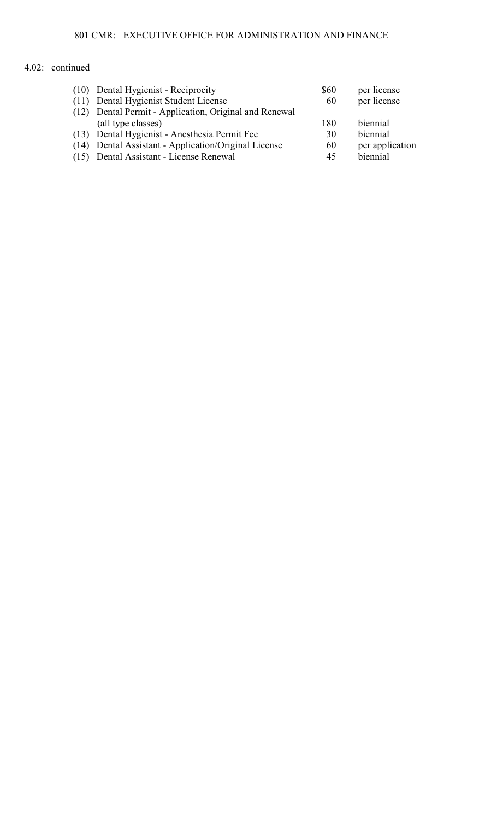| (10) Dental Hygienist - Reciprocity                    | \$60 | per license     |
|--------------------------------------------------------|------|-----------------|
| (11) Dental Hygienist Student License                  | 60   | per license     |
| (12) Dental Permit - Application, Original and Renewal |      |                 |
| (all type classes)                                     | 180  | biennial        |
| (13) Dental Hygienist - Anesthesia Permit Fee          | 30   | biennial        |
| (14) Dental Assistant - Application/Original License   | 60   | per application |
| (15) Dental Assistant - License Renewal                | 45   | biennial        |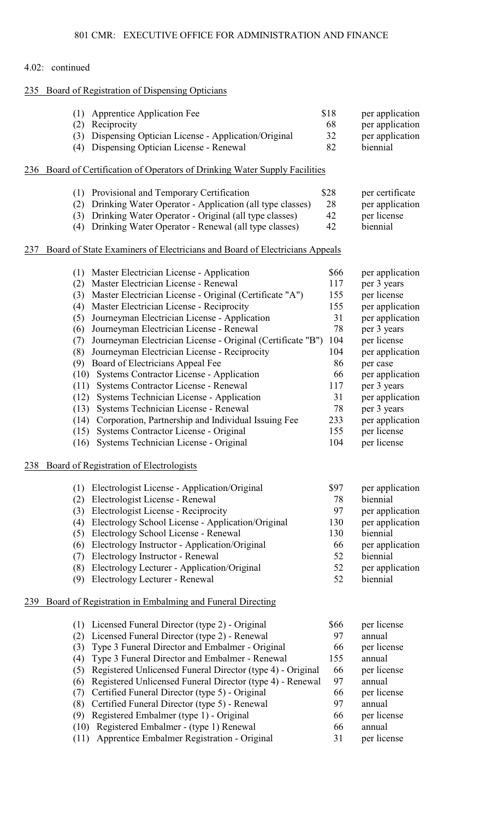## 235 Board of Registration of Dispensing Opticians

| (1) Apprentice Application Fee                         | <b>S18</b> | per application |
|--------------------------------------------------------|------------|-----------------|
| (2) Reciprocity                                        | -68        | per application |
| (3) Dispensing Optician License - Application/Original | 32         | per application |
| (4) Dispensing Optician License - Renewal              | 82         | biennial        |

## 236 Board of Certification of Operators of Drinking Water Supply Facilities

| (1) Provisional and Temporary Certification                  | \$28 | per certificate |
|--------------------------------------------------------------|------|-----------------|
| (2) Drinking Water Operator - Application (all type classes) | 28   | per application |
| (3) Drinking Water Operator - Original (all type classes)    | 42   | per license     |
| (4) Drinking Water Operator - Renewal (all type classes)     | 42   | <i>hiennial</i> |

## 237 Board of State Examiners of Electricians and Board of Electricians Appeals

|     | Master Electrician License - Application<br>(1)                    | \$66 | per application |
|-----|--------------------------------------------------------------------|------|-----------------|
|     | Master Electrician License - Renewal<br>(2)                        | 117  | per 3 years     |
|     | Master Electrician License - Original (Certificate "A")<br>(3)     | 155  | per license     |
|     | Master Electrician License - Reciprocity<br>(4)                    | 155  | per application |
|     | Journeyman Electrician License - Application<br>(5)                | 31   | per application |
|     | Journeyman Electrician License - Renewal<br>(6)                    | 78   | per 3 years     |
|     | Journeyman Electrician License - Original (Certificate "B")<br>(7) | 104  | per license     |
|     | Journeyman Electrician License - Reciprocity<br>(8)                | 104  | per application |
|     | Board of Electricians Appeal Fee<br>(9)                            | 86   | per case        |
|     | Systems Contractor License - Application<br>(10)                   | 66   | per application |
|     | Systems Contractor License - Renewal<br>(11)                       | 117  | per 3 years     |
|     | Systems Technician License - Application<br>(12)                   | 31   | per application |
|     | Systems Technician License - Renewal<br>(13)                       | 78   | per 3 years     |
|     | Corporation, Partnership and Individual Issuing Fee<br>(14)        | 233  | per application |
|     | Systems Contractor License - Original<br>(15)                      | 155  | per license     |
|     | Systems Technician License - Original<br>(16)                      | 104  | per license     |
| 238 | Board of Registration of Electrologists                            |      |                 |
|     | Electrologist License - Application/Original<br>(1)                | \$97 | per application |
|     | Electrologist License - Renewal<br>(2)                             | 78   | biennial        |
|     | Electrologist License - Reciprocity<br>(3)                         | 97   | per application |
|     | Electrology School License - Application/Original<br>(4)           | 130  | per application |
|     | Electrology School License - Renewal<br>(5)                        | 130  | biennial        |
|     | Electrology Instructor - Application/Original<br>(6)               | 66   | per application |
|     | Electrology Instructor - Renewal<br>(7)                            | 52   | biennial        |
|     | (8)<br>Electrology Lecturer - Application/Original                 | 52   | per application |
|     | Electrology Lecturer - Renewal<br>(9)                              | 52   | biennial        |
|     |                                                                    |      |                 |
| 239 | Board of Registration in Embalming and Funeral Directing           |      |                 |
|     |                                                                    |      |                 |

|     | (1) Licensed Funeral Director (type 2) - Original          | \$66 | per license |
|-----|------------------------------------------------------------|------|-------------|
| (2) | Licensed Funeral Director (type 2) - Renewal               | 97   | annual      |
| (3) | Type 3 Funeral Director and Embalmer - Original            | 66   | per license |
| (4) | Type 3 Funeral Director and Embalmer - Renewal             | 155  | annual      |
| (5) | Registered Unlicensed Funeral Director (type 4) - Original | 66   | per license |
| (6) | Registered Unlicensed Funeral Director (type 4) - Renewal  | 97   | annual      |
| (7) | Certified Funeral Director (type 5) - Original             | 66   | per license |
|     | (8) Certified Funeral Director (type 5) - Renewal          | 97   | annual      |
| (9) | Registered Embalmer (type 1) - Original                    | 66   | per license |
|     | (10) Registered Embalmer - (type 1) Renewal                | 66   | annual      |
|     | (11) Apprentice Embalmer Registration - Original           | 31   | per license |
|     |                                                            |      |             |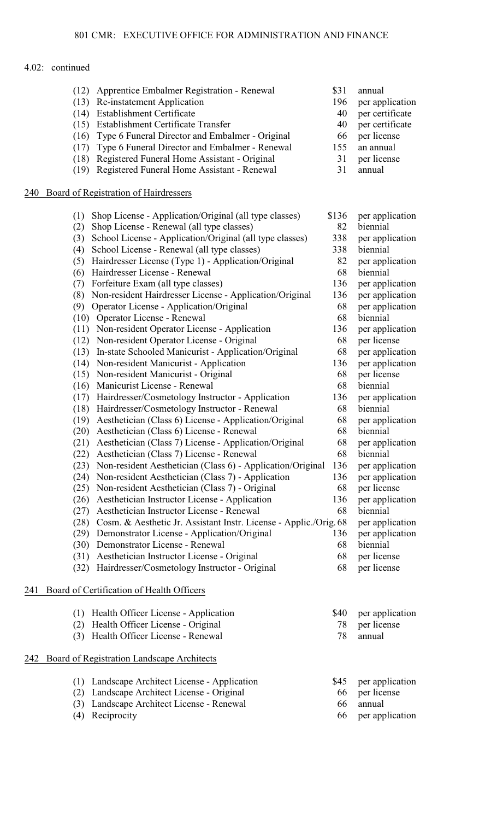|     | (13)<br>(14)<br>(16)<br>(17)                                                                                                        | (12) Apprentice Embalmer Registration - Renewal<br>Re-instatement Application<br><b>Establishment Certificate</b><br>(15) Establishment Certificate Transfer<br>Type 6 Funeral Director and Embalmer - Original<br>Type 6 Funeral Director and Embalmer - Renewal<br>(18) Registered Funeral Home Assistant - Original<br>(19) Registered Funeral Home Assistant - Renewal                                                                                                                                                                                                                                                                                                                                                                                                                                                                                                                                                                                                                                                                                                                                                                                                                                                                                                                                                                                                                                                                                                                                    | \$31<br>196<br>40<br>40<br>66<br>155<br>31<br>31                                                                                                                                   | annual<br>per application<br>per certificate<br>per certificate<br>per license<br>an annual<br>per license<br>annual                                                                                                                                                                                                                                                                                                                                                                     |
|-----|-------------------------------------------------------------------------------------------------------------------------------------|---------------------------------------------------------------------------------------------------------------------------------------------------------------------------------------------------------------------------------------------------------------------------------------------------------------------------------------------------------------------------------------------------------------------------------------------------------------------------------------------------------------------------------------------------------------------------------------------------------------------------------------------------------------------------------------------------------------------------------------------------------------------------------------------------------------------------------------------------------------------------------------------------------------------------------------------------------------------------------------------------------------------------------------------------------------------------------------------------------------------------------------------------------------------------------------------------------------------------------------------------------------------------------------------------------------------------------------------------------------------------------------------------------------------------------------------------------------------------------------------------------------|------------------------------------------------------------------------------------------------------------------------------------------------------------------------------------|------------------------------------------------------------------------------------------------------------------------------------------------------------------------------------------------------------------------------------------------------------------------------------------------------------------------------------------------------------------------------------------------------------------------------------------------------------------------------------------|
| 240 |                                                                                                                                     | Board of Registration of Hairdressers                                                                                                                                                                                                                                                                                                                                                                                                                                                                                                                                                                                                                                                                                                                                                                                                                                                                                                                                                                                                                                                                                                                                                                                                                                                                                                                                                                                                                                                                         |                                                                                                                                                                                    |                                                                                                                                                                                                                                                                                                                                                                                                                                                                                          |
|     | (1)<br>(2)<br>(3)<br>(4)<br>(5)<br>(6)<br>(7)<br>(8)<br>(9)<br>(16)<br>(17)<br>(18)<br>(19)<br>(20)<br>(24)<br>(26)<br>(27)<br>(28) | Shop License - Application/Original (all type classes)<br>Shop License - Renewal (all type classes)<br>School License - Application/Original (all type classes)<br>School License - Renewal (all type classes)<br>Hairdresser License (Type 1) - Application/Original<br>Hairdresser License - Renewal<br>Forfeiture Exam (all type classes)<br>Non-resident Hairdresser License - Application/Original<br>Operator License - Application/Original<br>(10) Operator License - Renewal<br>(11) Non-resident Operator License - Application<br>(12) Non-resident Operator License - Original<br>(13) In-state Schooled Manicurist - Application/Original<br>(14) Non-resident Manicurist - Application<br>(15) Non-resident Manicurist - Original<br>Manicurist License - Renewal<br>Hairdresser/Cosmetology Instructor - Application<br>Hairdresser/Cosmetology Instructor - Renewal<br>Aesthetician (Class 6) License - Application/Original<br>Aesthetician (Class 6) License - Renewal<br>(21) Aesthetician (Class 7) License - Application/Original<br>(22) Aesthetician (Class 7) License - Renewal<br>(23) Non-resident Aesthetician (Class 6) - Application/Original<br>Non-resident Aesthetician (Class 7) - Application<br>(25) Non-resident Aesthetician (Class 7) - Original<br>Aesthetician Instructor License - Application<br>Aesthetician Instructor License - Renewal<br>Cosm. & Aesthetic Jr. Assistant Instr. License - Applic./Orig. 68<br>(29) Demonstrator License - Application/Original | \$136<br>82<br>338<br>338<br>82<br>68<br>136<br>136<br>68<br>68<br>136<br>68<br>68<br>136<br>68<br>68<br>136<br>68<br>68<br>68<br>68<br>68<br>136<br>136<br>68<br>136<br>68<br>136 | per application<br>biennial<br>per application<br>biennial<br>per application<br>biennial<br>per application<br>per application<br>per application<br>biennial<br>per application<br>per license<br>per application<br>per application<br>per license<br>biennial<br>per application<br>biennial<br>per application<br>biennial<br>per application<br>biennial<br>per application<br>per application<br>per license<br>per application<br>biennial<br>per application<br>per application |
|     |                                                                                                                                     | (30) Demonstrator License - Renewal                                                                                                                                                                                                                                                                                                                                                                                                                                                                                                                                                                                                                                                                                                                                                                                                                                                                                                                                                                                                                                                                                                                                                                                                                                                                                                                                                                                                                                                                           | 68                                                                                                                                                                                 | biennial                                                                                                                                                                                                                                                                                                                                                                                                                                                                                 |
|     |                                                                                                                                     | (31) Aesthetician Instructor License - Original<br>(32) Hairdresser/Cosmetology Instructor - Original                                                                                                                                                                                                                                                                                                                                                                                                                                                                                                                                                                                                                                                                                                                                                                                                                                                                                                                                                                                                                                                                                                                                                                                                                                                                                                                                                                                                         | 68<br>68                                                                                                                                                                           | per license<br>per license                                                                                                                                                                                                                                                                                                                                                                                                                                                               |
| 241 |                                                                                                                                     | Board of Certification of Health Officers                                                                                                                                                                                                                                                                                                                                                                                                                                                                                                                                                                                                                                                                                                                                                                                                                                                                                                                                                                                                                                                                                                                                                                                                                                                                                                                                                                                                                                                                     |                                                                                                                                                                                    |                                                                                                                                                                                                                                                                                                                                                                                                                                                                                          |
|     | (1)<br>(2)<br>(3)                                                                                                                   | Health Officer License - Application<br>Health Officer License - Original<br>Health Officer License - Renewal                                                                                                                                                                                                                                                                                                                                                                                                                                                                                                                                                                                                                                                                                                                                                                                                                                                                                                                                                                                                                                                                                                                                                                                                                                                                                                                                                                                                 | \$40<br>78<br>78                                                                                                                                                                   | per application<br>per license<br>annual                                                                                                                                                                                                                                                                                                                                                                                                                                                 |
| 242 |                                                                                                                                     | Board of Registration Landscape Architects                                                                                                                                                                                                                                                                                                                                                                                                                                                                                                                                                                                                                                                                                                                                                                                                                                                                                                                                                                                                                                                                                                                                                                                                                                                                                                                                                                                                                                                                    |                                                                                                                                                                                    |                                                                                                                                                                                                                                                                                                                                                                                                                                                                                          |
|     | (2)<br>(3)<br>(4)                                                                                                                   | (1) Landscape Architect License - Application<br>Landscape Architect License - Original<br>Landscape Architect License - Renewal<br>Reciprocity                                                                                                                                                                                                                                                                                                                                                                                                                                                                                                                                                                                                                                                                                                                                                                                                                                                                                                                                                                                                                                                                                                                                                                                                                                                                                                                                                               | \$45<br>66<br>66<br>66                                                                                                                                                             | per application<br>per license<br>annual<br>per application                                                                                                                                                                                                                                                                                                                                                                                                                              |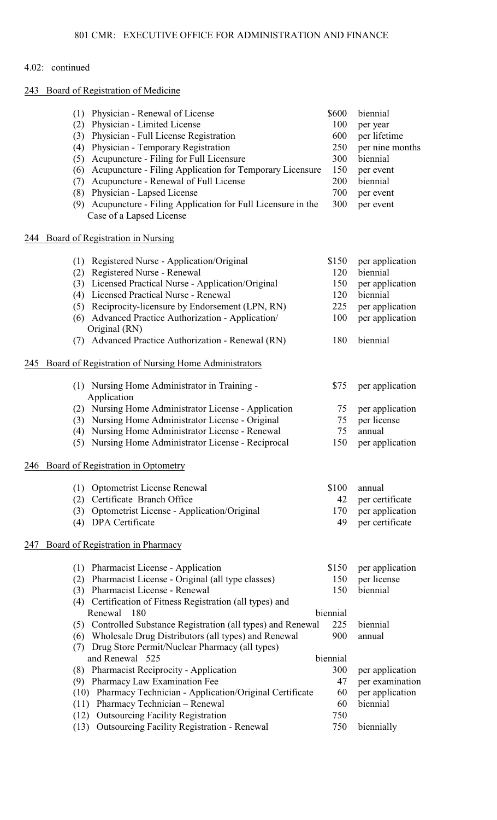# 243 Board of Registration of Medicine

|     | Physician - Renewal of License<br>(1)<br>Physician - Limited License<br>(2)<br>Physician - Full License Registration<br>(3)<br>Physician - Temporary Registration<br>(4)<br>Acupuncture - Filing for Full Licensure<br>(5)<br>Acupuncture - Filing Application for Temporary Licensure<br>(6)<br>Acupuncture - Renewal of Full License<br>(7)<br>Physician - Lapsed License<br>(8)<br>Acupuncture - Filing Application for Full Licensure in the<br>(9)<br>Case of a Lapsed License | \$600<br>100<br>600<br>250<br>300<br>150<br>200<br>700<br>300 | biennial<br>per year<br>per lifetime<br>per nine months<br>biennial<br>per event<br>biennial<br>per event<br>per event |
|-----|-------------------------------------------------------------------------------------------------------------------------------------------------------------------------------------------------------------------------------------------------------------------------------------------------------------------------------------------------------------------------------------------------------------------------------------------------------------------------------------|---------------------------------------------------------------|------------------------------------------------------------------------------------------------------------------------|
| 244 | Board of Registration in Nursing                                                                                                                                                                                                                                                                                                                                                                                                                                                    |                                                               |                                                                                                                        |
|     | Registered Nurse - Application/Original<br>(1)<br>Registered Nurse - Renewal<br>(2)<br>Licensed Practical Nurse - Application/Original<br>(3)<br>Licensed Practical Nurse - Renewal<br>(4)<br>Reciprocity-licensure by Endorsement (LPN, RN)<br>(5)<br>Advanced Practice Authorization - Application/<br>(6)<br>Original (RN)<br>Advanced Practice Authorization - Renewal (RN)<br>(7)                                                                                              | \$150<br>120<br>150<br>120<br>225<br>100<br>180               | per application<br>biennial<br>per application<br>biennial<br>per application<br>per application<br>biennial           |
| 245 | Board of Registration of Nursing Home Administrators                                                                                                                                                                                                                                                                                                                                                                                                                                |                                                               |                                                                                                                        |
|     | (1) Nursing Home Administrator in Training -<br>Application                                                                                                                                                                                                                                                                                                                                                                                                                         | \$75                                                          | per application                                                                                                        |
|     | Nursing Home Administrator License - Application<br>(2)<br>Nursing Home Administrator License - Original<br>(3)<br>Nursing Home Administrator License - Renewal<br>(4)<br>Nursing Home Administrator License - Reciprocal<br>(5)                                                                                                                                                                                                                                                    | 75<br>75<br>75<br>150                                         | per application<br>per license<br>annual<br>per application                                                            |
|     | 246 Board of Registration in Optometry                                                                                                                                                                                                                                                                                                                                                                                                                                              |                                                               |                                                                                                                        |
|     | <b>Optometrist License Renewal</b><br>(1)<br>Certificate Branch Office<br>(2)<br>Optometrist License - Application/Original<br>(3)<br>DPA Certificate<br>(4)                                                                                                                                                                                                                                                                                                                        | \$100<br>42<br>170<br>49                                      | annual<br>per certificate<br>per application<br>per certificate                                                        |
| 247 | Board of Registration in Pharmacy                                                                                                                                                                                                                                                                                                                                                                                                                                                   |                                                               |                                                                                                                        |
|     | <b>Pharmacist License - Application</b><br>(1)<br>Pharmacist License - Original (all type classes)<br>(2)<br>(3) Pharmacist License - Renewal<br>Certification of Fitness Registration (all types) and<br>(4)                                                                                                                                                                                                                                                                       | \$150<br>150<br>150                                           | per application<br>per license<br>biennial                                                                             |
|     | Renewal<br>180<br>(5) Controlled Substance Registration (all types) and Renewal<br>Wholesale Drug Distributors (all types) and Renewal<br>(6)<br>Drug Store Permit/Nuclear Pharmacy (all types)<br>(7)                                                                                                                                                                                                                                                                              | biennial<br>225<br>900                                        | biennial<br>annual                                                                                                     |
|     | and Renewal 525<br>(8) Pharmacist Reciprocity - Application<br>Pharmacy Law Examination Fee<br>(9)<br>(10) Pharmacy Technician - Application/Original Certificate<br>Pharmacy Technician - Renewal<br>(11)<br><b>Outsourcing Facility Registration</b><br>(12)<br><b>Outsourcing Facility Registration - Renewal</b><br>(13)                                                                                                                                                        | biennial<br>300<br>47<br>60<br>60<br>750<br>750               | per application<br>per examination<br>per application<br>biennial<br>biennially                                        |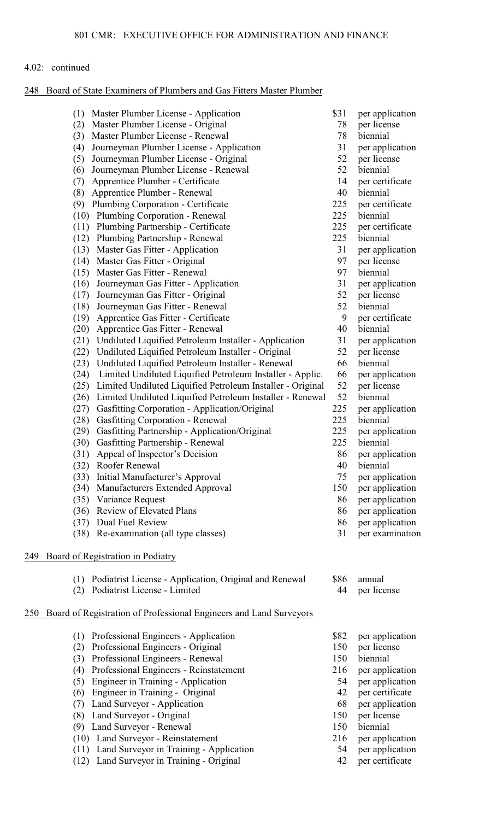## 248 Board of State Examiners of Plumbers and Gas Fitters Master Plumber

|     | Master Plumber License - Application<br>(1)                                | \$31      | per application                    |
|-----|----------------------------------------------------------------------------|-----------|------------------------------------|
|     | Master Plumber License - Original<br>(2)                                   | 78        | per license                        |
|     | Master Plumber License - Renewal<br>(3)                                    | 78        | biennial                           |
|     | Journeyman Plumber License - Application<br>(4)                            | 31        | per application                    |
|     | Journeyman Plumber License - Original<br>(5)                               | 52        | per license                        |
|     | Journeyman Plumber License - Renewal<br>(6)                                | 52        | biennial                           |
|     | Apprentice Plumber - Certificate<br>(7)                                    | 14        | per certificate                    |
|     | (8)<br>Apprentice Plumber - Renewal                                        | 40        | biennial                           |
|     | Plumbing Corporation - Certificate<br>(9)                                  | 225       | per certificate                    |
|     | (10) Plumbing Corporation - Renewal                                        | 225       | biennial                           |
|     | (11) Plumbing Partnership - Certificate                                    | 225       | per certificate                    |
|     | Plumbing Partnership - Renewal<br>(12)                                     | 225       | biennial                           |
|     | (13) Master Gas Fitter - Application                                       | 31        | per application                    |
|     | Master Gas Fitter - Original<br>(14)                                       | 97        | per license                        |
|     | Master Gas Fitter - Renewal<br>(15)                                        | 97        | biennial                           |
|     | Journeyman Gas Fitter - Application<br>(16)                                | 31        | per application                    |
|     | Journeyman Gas Fitter - Original<br>(17)                                   | 52        | per license                        |
|     | Journeyman Gas Fitter - Renewal<br>(18)                                    | 52        | biennial                           |
|     | Apprentice Gas Fitter - Certificate<br>(19)                                | 9         | per certificate                    |
|     | Apprentice Gas Fitter - Renewal<br>(20)                                    | 40        | biennial                           |
|     | Undiluted Liquified Petroleum Installer - Application<br>(21)              | 31        | per application                    |
|     | Undiluted Liquified Petroleum Installer - Original<br>(22)                 | 52        | per license                        |
|     | Undiluted Liquified Petroleum Installer - Renewal<br>(23)                  | 66        | biennial                           |
|     | Limited Undiluted Liquified Petroleum Installer - Applic.<br>(24)          | 66        | per application                    |
|     | (25)<br>Limited Undiluted Liquified Petroleum Installer - Original         | 52        | per license                        |
|     | Limited Undiluted Liquified Petroleum Installer - Renewal<br>(26)          | 52        | biennial                           |
|     | Gasfitting Corporation - Application/Original<br>(27)                      | 225       | per application                    |
|     | Gasfitting Corporation - Renewal<br>(28)                                   | 225       | biennial                           |
|     | (29)<br>Gasfitting Partnership - Application/Original                      | 225       | per application                    |
|     | Gasfitting Partnership - Renewal<br>(30)                                   | 225       | biennial                           |
|     | Appeal of Inspector's Decision<br>(31)                                     | 86        | per application                    |
|     | (32)<br>Roofer Renewal                                                     | 40        | biennial                           |
|     | Initial Manufacturer's Approval<br>(33)<br>Manufacturers Extended Approval | 75<br>150 | per application<br>per application |
|     | (34)                                                                       | 86        |                                    |
|     | Variance Request<br>(35)<br>Review of Elevated Plans<br>(36)               | 86        | per application<br>per application |
|     | Dual Fuel Review<br>(37)                                                   | 86        |                                    |
|     | Re-examination (all type classes)<br>(38)                                  | 31        | per application<br>per examination |
|     |                                                                            |           |                                    |
| 249 | Board of Registration in Podiatry                                          |           |                                    |
|     | Podiatrist License - Application, Original and Renewal<br>(1)              | \$86      | annual                             |
|     | Podiatrist License - Limited<br>(2)                                        | 44        | per license                        |
|     |                                                                            |           |                                    |
| 250 | Board of Registration of Professional Engineers and Land Surveyors         |           |                                    |
|     | Professional Engineers - Application<br>(1)                                | \$82      | per application                    |
|     | Professional Engineers - Original<br>(2)                                   | 150       | per license                        |
|     | Professional Engineers - Renewal<br>(3)                                    | 150       | biennial                           |
|     | Professional Engineers - Reinstatement<br>(4)                              | 216       | per application                    |
|     | Engineer in Training - Application<br>(5)                                  | 54        | per application                    |
|     | Engineer in Training - Original<br>(6)                                     | 42        | per certificate                    |
|     | Land Surveyor - Application<br>(7)                                         | 68        | per application                    |
|     | Land Surveyor - Original<br>(8)                                            | 150       | per license                        |
|     | (9) Land Surveyor - Renewal                                                | 150       | biennial                           |
|     | (10) Land Surveyor - Reinstatement                                         | 216       | per application                    |

- (11) Land Surveyor in Training Application 54 per application (12) Land Surveyor in Training Original 42 per certificate (12) Land Surveyor in Training - Original
	-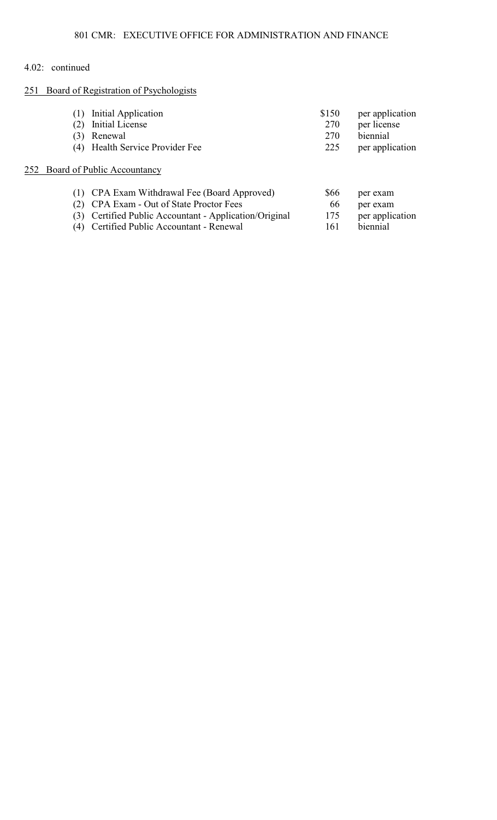# 251 Board of Registration of Psychologists

|     | Initial Application<br>Initial License             | \$150<br>270 | per application<br>per license |
|-----|----------------------------------------------------|--------------|--------------------------------|
| (3) | Renewal                                            | 270          | biennial                       |
| (4) | Health Service Provider Fee                        | 225          | per application                |
|     | 252 Board of Public Accountancy                    |              |                                |
|     | CPA Exam Withdrawal Fee (Board Approved)           | \$66         | per exam                       |
|     | CPA Exam - Out of State Proctor Fees               | 66           | per exam                       |
| (3) | Certified Public Accountant - Application/Original | 175          | per application                |
| (4) | Certified Public Accountant - Renewal              | 161          | biennial                       |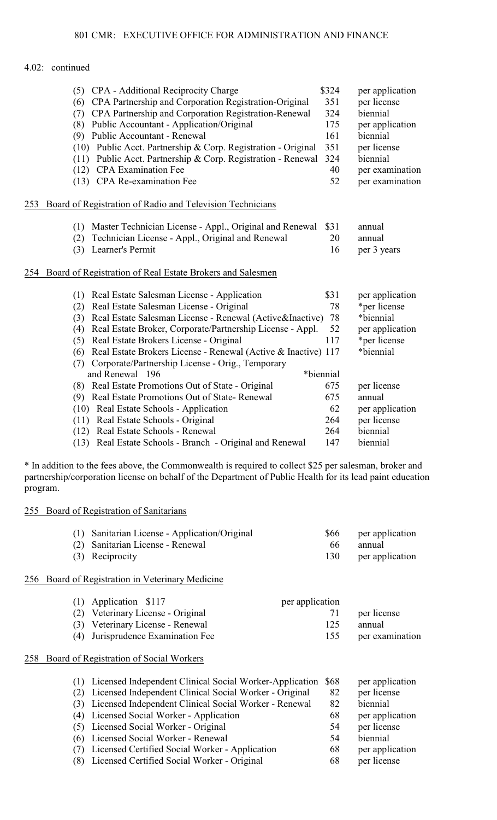|     | CPA - Additional Reciprocity Charge<br>(5)                           | \$324     | per application |
|-----|----------------------------------------------------------------------|-----------|-----------------|
|     | CPA Partnership and Corporation Registration-Original<br>(6)         | 351       | per license     |
|     | CPA Partnership and Corporation Registration-Renewal<br>(7)          | 324       | biennial        |
|     | Public Accountant - Application/Original<br>(8)                      | 175       | per application |
|     | Public Accountant - Renewal<br>(9)                                   | 161       | biennial        |
|     | (10) Public Acct. Partnership & Corp. Registration - Original        | 351       | per license     |
|     | (11) Public Acct. Partnership & Corp. Registration - Renewal         | 324       | biennial        |
|     | (12) CPA Examination Fee                                             | 40        | per examination |
|     | (13) CPA Re-examination Fee                                          | 52        | per examination |
| 253 | Board of Registration of Radio and Television Technicians            |           |                 |
|     | Master Technician License - Appl., Original and Renewal<br>(1)       | \$31      | annual          |
|     | Technician License - Appl., Original and Renewal<br>(2)              | 20        | annual          |
|     | Learner's Permit<br>(3)                                              | 16        | per 3 years     |
| 254 | Board of Registration of Real Estate Brokers and Salesmen            |           |                 |
|     | Real Estate Salesman License - Application<br>(1)                    | \$31      | per application |
|     | Real Estate Salesman License - Original<br>(2)                       | 78        | *per license    |
|     | Real Estate Salesman License - Renewal (Active&Inactive)<br>(3)      | 78        | *biennial       |
|     | Real Estate Broker, Corporate/Partnership License - Appl.<br>(4)     | 52        | per application |
|     | Real Estate Brokers License - Original<br>(5)                        | 117       | *per license    |
|     | Real Estate Brokers License - Renewal (Active & Inactive) 117<br>(6) |           | *biennial       |
|     | Corporate/Partnership License - Orig., Temporary<br>(7)              |           |                 |
|     | and Renewal 196                                                      | *biennial |                 |
|     | Real Estate Promotions Out of State - Original<br>(8)                | 675       | per license     |
|     | Real Estate Promotions Out of State-Renewal<br>(9)                   | 675       | annual          |
|     | (10) Real Estate Schools - Application                               | 62        | per application |
|     | (11) Real Estate Schools - Original                                  | 264       | per license     |
|     | (12) Real Estate Schools - Renewal                                   | 264       | biennial        |
|     | (13) Real Estate Schools - Branch - Original and Renewal             | 147       | biennial        |

\* In addition to the fees above, the Commonwealth is required to collect \$25 per salesman, broker and partnership/corporation license on behalf of the Department of Public Health for its lead paint education program.

# 255 Board of Registration of Sanitarians

| (1) Sanitarian License - Application/Original |     | \$66 per application |
|-----------------------------------------------|-----|----------------------|
| (2) Sanitarian License - Renewal              | 66. | annual               |
| (3) Reciprocity                               |     | 130 per application  |

# 256 Board of Registration in Veterinary Medicine

| $(1)$ Application \$117           | per application |                 |
|-----------------------------------|-----------------|-----------------|
| (2) Veterinary License - Original | 71              | per license     |
| (3) Veterinary License - Renewal  | 125             | annual          |
| (4) Jurisprudence Examination Fee | 155             | per examination |

## 258 Board of Registration of Social Workers

| (1) Licensed Independent Clinical Social Worker-Application<br>(2) Licensed Independent Clinical Social Worker - Original<br>(3) Licensed Independent Clinical Social Worker - Renewal<br>(4) Licensed Social Worker - Application<br>(5) Licensed Social Worker - Original<br>(6) Licensed Social Worker - Renewal | - S68<br>82<br>82<br>68<br>54<br>54<br>68 | per application<br>per license<br>biennial<br>per application<br>per license<br>biennial |
|---------------------------------------------------------------------------------------------------------------------------------------------------------------------------------------------------------------------------------------------------------------------------------------------------------------------|-------------------------------------------|------------------------------------------------------------------------------------------|
| (7) Licensed Certified Social Worker - Application<br>(8) Licensed Certified Social Worker - Original                                                                                                                                                                                                               | 68                                        | per application<br>per license                                                           |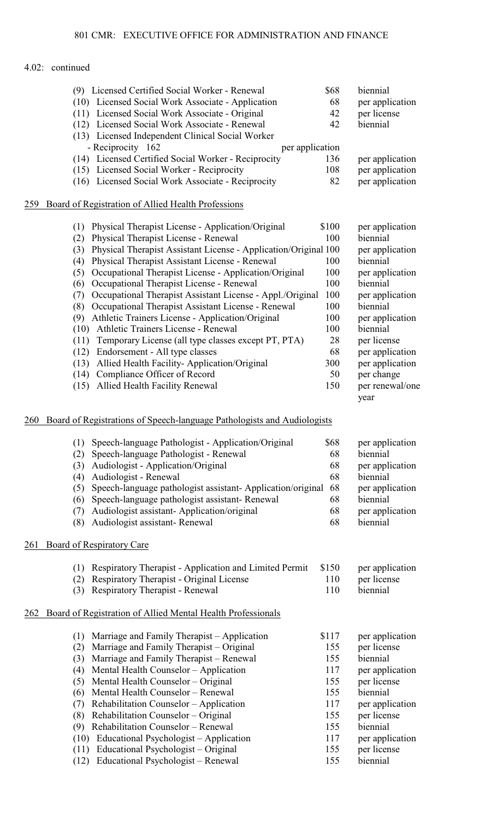| 259 | Board of Registration of Allied Health Professions<br>Physical Therapist License - Application/Original<br>(1)                | \$100      | per application                       |
|-----|-------------------------------------------------------------------------------------------------------------------------------|------------|---------------------------------------|
|     | Physical Therapist License - Renewal<br>(2)                                                                                   | 100        | biennial                              |
|     | Physical Therapist Assistant License - Application/Original 100<br>(3)                                                        |            | per application                       |
|     | Physical Therapist Assistant License - Renewal<br>(4)                                                                         | 100        | biennial                              |
|     | Occupational Therapist License - Application/Original<br>(5)                                                                  | 100        | per application                       |
|     | Occupational Therapist License - Renewal<br>(6)                                                                               | 100        | biennial                              |
|     | Occupational Therapist Assistant License - Appl./Original<br>(7)<br>Occupational Therapist Assistant License - Renewal<br>(8) | 100<br>100 | per application<br>biennial           |
|     | Athletic Trainers License - Application/Original<br>(9)                                                                       | 100        | per application                       |
|     | Athletic Trainers License - Renewal<br>(10)                                                                                   | 100        | biennial                              |
|     | Temporary License (all type classes except PT, PTA)<br>(11)                                                                   | 28         | per license                           |
|     | Endorsement - All type classes<br>(12)                                                                                        | 68         | per application                       |
|     | Allied Health Facility-Application/Original<br>(13)                                                                           | 300        | per application                       |
|     | Compliance Officer of Record<br>(14)<br>(15) Allied Health Facility Renewal                                                   | 50<br>150  | per change<br>per renewal/one<br>year |
| 260 | Board of Registrations of Speech-language Pathologists and Audiologists                                                       |            |                                       |
|     | Speech-language Pathologist - Application/Original<br>(1)                                                                     | \$68       | per application                       |
|     | Speech-language Pathologist - Renewal<br>(2)                                                                                  | 68         | biennial                              |
|     | Audiologist - Application/Original<br>(3)                                                                                     | 68         | per application                       |
|     | Audiologist - Renewal<br>(4)                                                                                                  | 68         | biennial                              |
|     | Speech-language pathologist assistant-Application/original<br>(5)<br>Speech-language pathologist assistant-Renewal<br>(6)     | 68<br>68   | per application<br>biennial           |
|     | Audiologist assistant-Application/original<br>(7)                                                                             | 68         | per application                       |
|     | Audiologist assistant-Renewal<br>(8)                                                                                          | 68         | biennial                              |
| 261 | Board of Respiratory Care                                                                                                     |            |                                       |
|     | Respiratory Therapist - Application and Limited Permit<br>(1)                                                                 | \$150      | per application                       |
|     | Respiratory Therapist - Original License<br>(2)                                                                               | 110        | per license                           |
|     | <b>Respiratory Therapist - Renewal</b><br>(3)                                                                                 | 110        | biennial                              |
| 262 | Board of Registration of Allied Mental Health Professionals                                                                   |            |                                       |
|     | Marriage and Family Therapist – Application<br>(1)                                                                            | \$117      | per application                       |
|     | Marriage and Family Therapist – Original<br>(2)                                                                               | 155        | per license                           |
|     | Marriage and Family Therapist - Renewal<br>(3)                                                                                | 155        | biennial                              |

- (4) Mental Health Counselor Application 117 per application
- (5) Mental Health Counselor Original 155 per license<br>
(6) Mental Health Counselor Renewal 155 biennial
- (6) Mental Health Counselor Renewal 155 biennial<br>
(7) Rehabilitation Counselor Application 117 per application
- (7) Rehabilitation Counselor Application 117 per application
- (8) Rehabilitation Counselor Original 155 per license
- (9) Rehabilitation Counselor Renewal 155 biennial
- (10) Educational Psychologist Application 117 per application (11) Educational Psychologist Original 155 per license
- (11) Educational Psychologist Original 155 per licen<br>
(12) Educational Psychologist Renewal 155 biennial (12) Educational Psychologist – Renewal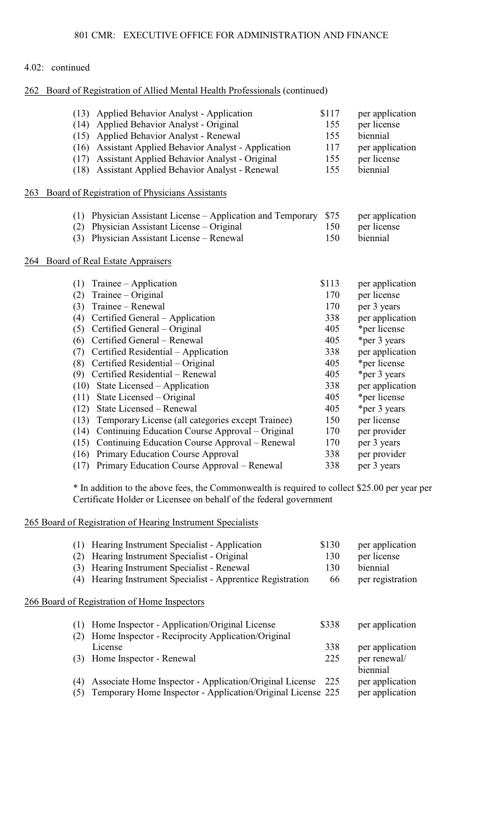## 262 Board of Registration of Allied Mental Health Professionals (continued)

|     | (13) | Applied Behavior Analyst - Application                  | \$117 | per application |
|-----|------|---------------------------------------------------------|-------|-----------------|
|     | (14) | Applied Behavior Analyst - Original                     | 155   | per license     |
|     | (15) | Applied Behavior Analyst - Renewal                      | 155   | biennial        |
|     | (16) | <b>Assistant Applied Behavior Analyst - Application</b> | 117   | per application |
|     | (17) | Assistant Applied Behavior Analyst - Original           | 155   | per license     |
|     | (18) | Assistant Applied Behavior Analyst - Renewal            | 155   | biennial        |
| 263 |      | Board of Registration of Physicians Assistants          |       |                 |
|     | (1)  | Physician Assistant License – Application and Temporary | \$75  | per application |
|     | (2)  | Physician Assistant License – Original                  | 150   | per license     |
|     | (3)  | Physician Assistant License - Renewal                   | 150   | biennial        |
| 264 |      | <b>Board of Real Estate Appraisers</b>                  |       |                 |
|     | (1)  | $T^{\text{rainee}} - \text{Application}$                | \$113 | per application |
|     | (2)  | Trainee – Original                                      | 170   | per license     |
|     | (3)  | Trainee - Renewal                                       | 170   | per 3 years     |
|     | (4)  | Certified General – Application                         | 338   | per application |
|     | (5)  | Certified General – Original                            | 405   | *per license    |
|     | (6)  | Certified General - Renewal                             | 405   | *per 3 years    |
|     | (7)  | Certified Residential - Application                     | 338   | per application |
|     | (8)  | Certified Residential – Original                        | 405   | *per license    |
|     | (9)  | Certified Residential - Renewal                         | 405   | *per 3 years    |
|     | (10) | State Licensed – Application                            | 338   | per application |
|     | (11) | State Licensed – Original                               | 405   | *per license    |
|     | (12) | State Licensed - Renewal                                | 405   | *per 3 years    |
|     | (13) | Temporary License (all categories except Trainee)       | 150   | per license     |
|     | (14) | Continuing Education Course Approval – Original         | 170   | per provider    |
|     | (15) | Continuing Education Course Approval – Renewal          | 170   | per 3 years     |
|     | (16) | Primary Education Course Approval                       | 338   | per provider    |
|     | (17) | Primary Education Course Approval – Renewal             | 338   | per 3 years     |

\* In addition to the above fees, the Commonwealth is required to collect \$25.00 per year per Certificate Holder or Licensee on behalf of the federal government

## 265 Board of Registration of Hearing Instrument Specialists

| (1)        | Hearing Instrument Specialist - Application                                                        | \$130 | per application          |
|------------|----------------------------------------------------------------------------------------------------|-------|--------------------------|
| (2)        | Hearing Instrument Specialist - Original                                                           | 130   | per license              |
| (3)        | Hearing Instrument Specialist - Renewal                                                            | 130   | biennial                 |
| (4)        | Hearing Instrument Specialist - Apprentice Registration                                            | 66    | per registration         |
|            | 266 Board of Registration of Home Inspectors                                                       |       |                          |
| (1)<br>(2) | Home Inspector - Application/Original License<br>Home Inspector - Reciprocity Application/Original | \$338 | per application          |
|            | License                                                                                            | 338   | per application          |
| (3)        | Home Inspector - Renewal                                                                           | 225   | per renewal/<br>biennial |
| (4)        | Associate Home Inspector - Application/Original License                                            | 225   | per application          |
| (5)        | Temporary Home Inspector - Application/Original License 225                                        |       | per application          |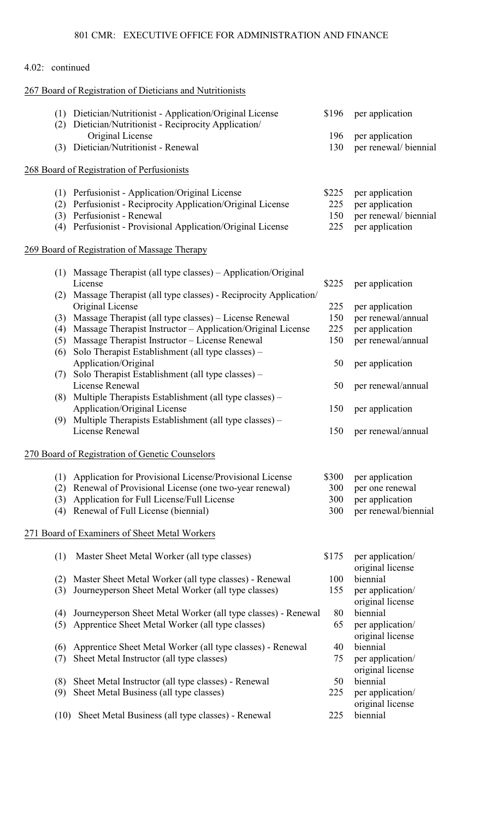|                 |     | <u>001 CIVIN. – EAECO ITVE OFFICE FON ADIVITIVISTNATION AND FINANCE</u>                                        |       |                                      |
|-----------------|-----|----------------------------------------------------------------------------------------------------------------|-------|--------------------------------------|
| 4.02: continued |     |                                                                                                                |       |                                      |
|                 |     | 267 Board of Registration of Dieticians and Nutritionists                                                      |       |                                      |
|                 | (2) | (1) Dietician/Nutritionist - Application/Original License<br>Dietician/Nutritionist - Reciprocity Application/ | \$196 | per application                      |
|                 |     | Original License                                                                                               | 196   | per application                      |
|                 | (3) | Dietician/Nutritionist - Renewal                                                                               | 130   | per renewal/ biennial                |
|                 |     | 268 Board of Registration of Perfusionists                                                                     |       |                                      |
|                 |     | (1) Perfusionist - Application/Original License                                                                | \$225 | per application                      |
|                 | (2) | Perfusionist - Reciprocity Application/Original License                                                        | 225   | per application                      |
|                 |     | (3) Perfusionist - Renewal                                                                                     | 150   | per renewal/ biennial                |
|                 | (4) | Perfusionist - Provisional Application/Original License                                                        | 225   | per application                      |
|                 |     | 269 Board of Registration of Massage Therapy                                                                   |       |                                      |
|                 | (1) | Massage Therapist (all type classes) – Application/Original                                                    |       |                                      |
|                 |     | License                                                                                                        | \$225 | per application                      |
|                 | (2) | Massage Therapist (all type classes) - Reciprocity Application/                                                |       |                                      |
|                 |     | Original License                                                                                               | 225   | per application                      |
|                 | (3) | Massage Therapist (all type classes) – License Renewal                                                         | 150   | per renewal/annual                   |
|                 | (4) | Massage Therapist Instructor - Application/Original License                                                    | 225   | per application                      |
|                 | (5) | Massage Therapist Instructor - License Renewal                                                                 | 150   | per renewal/annual                   |
|                 | (6) | Solo Therapist Establishment (all type classes) –                                                              |       |                                      |
|                 |     | Application/Original                                                                                           | 50    | per application                      |
|                 | (7) | Solo Therapist Establishment (all type classes) –                                                              |       |                                      |
|                 |     | License Renewal                                                                                                | 50    | per renewal/annual                   |
|                 |     | (8) Multiple Therapists Establishment (all type classes) –                                                     |       |                                      |
|                 |     | Application/Original License                                                                                   | 150   | per application                      |
|                 | (9) | Multiple Therapists Establishment (all type classes) -                                                         |       |                                      |
|                 |     | License Renewal                                                                                                | 150   | per renewal/annual                   |
|                 |     | 270 Board of Registration of Genetic Counselors                                                                |       |                                      |
|                 | (1) | Application for Provisional License/Provisional License                                                        | \$300 | per application                      |
|                 | (2) | Renewal of Provisional License (one two-year renewal)                                                          | 300   | per one renewal                      |
|                 | (3) | Application for Full License/Full License                                                                      | 300   | per application                      |
|                 | (4) | Renewal of Full License (biennial)                                                                             | 300   | per renewal/biennial                 |
|                 |     | 271 Board of Examiners of Sheet Metal Workers                                                                  |       |                                      |
|                 | (1) | Master Sheet Metal Worker (all type classes)                                                                   | \$175 | per application/                     |
|                 |     |                                                                                                                |       | original license                     |
|                 | (2) | Master Sheet Metal Worker (all type classes) - Renewal                                                         | 100   | biennial                             |
|                 | (3) | Journeyperson Sheet Metal Worker (all type classes)                                                            | 155   | per application/                     |
|                 |     | Journeyperson Sheet Metal Worker (all type classes) - Renewal                                                  | 80    | original license<br>biennial         |
|                 | (4) |                                                                                                                | 65    |                                      |
|                 | (5) | Apprentice Sheet Metal Worker (all type classes)                                                               |       | per application/<br>original license |
|                 | (6) | Apprentice Sheet Metal Worker (all type classes) - Renewal                                                     | 40    | biennial                             |
|                 | (7) | Sheet Metal Instructor (all type classes)                                                                      | 75    | per application/                     |
|                 |     |                                                                                                                |       |                                      |

- ense
	- ense
	- original license
- (8) Sheet Metal Instructor (all type classes) Renewal 50 biennial<br>
(9) Sheet Metal Business (all type classes) 225 per application/
- (9) Sheet Metal Business (all type classes)  $225$ original license
- (10) Sheet Metal Business (all type classes) Renewal 225 biennial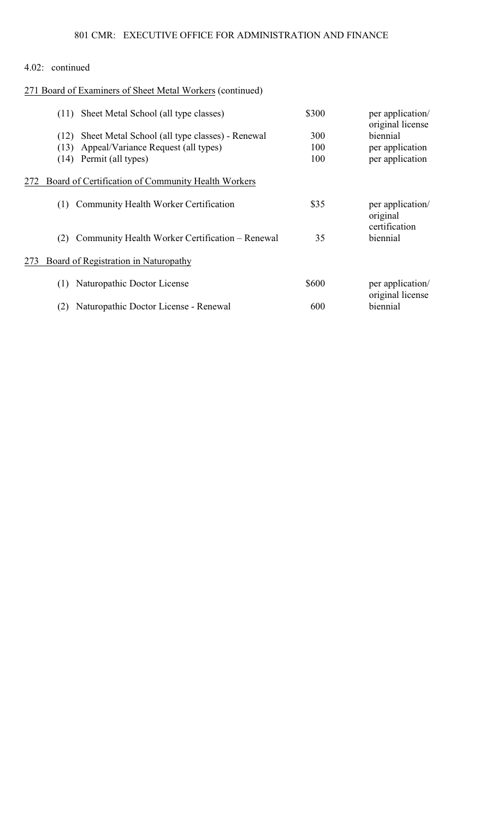# 271 Board of Examiners of Sheet Metal Workers (continued)

|     | Sheet Metal School (all type classes)<br>(11)                                                                                        | \$300             | per application/<br>original license           |
|-----|--------------------------------------------------------------------------------------------------------------------------------------|-------------------|------------------------------------------------|
|     | Sheet Metal School (all type classes) - Renewal<br>(12)<br>Appeal/Variance Request (all types)<br>(13)<br>Permit (all types)<br>(14) | 300<br>100<br>100 | biennial<br>per application<br>per application |
| 272 | Board of Certification of Community Health Workers                                                                                   |                   |                                                |
|     | Community Health Worker Certification<br>(1)                                                                                         | \$35              | per application/<br>original                   |
|     | Community Health Worker Certification – Renewal<br>(2)                                                                               | 35                | certification<br>biennial                      |
| 273 | Board of Registration in Naturopathy                                                                                                 |                   |                                                |
|     | Naturopathic Doctor License<br>(1)                                                                                                   | \$600             | per application/<br>original license           |
|     | Naturopathic Doctor License - Renewal<br>(2)                                                                                         | 600               | biennial                                       |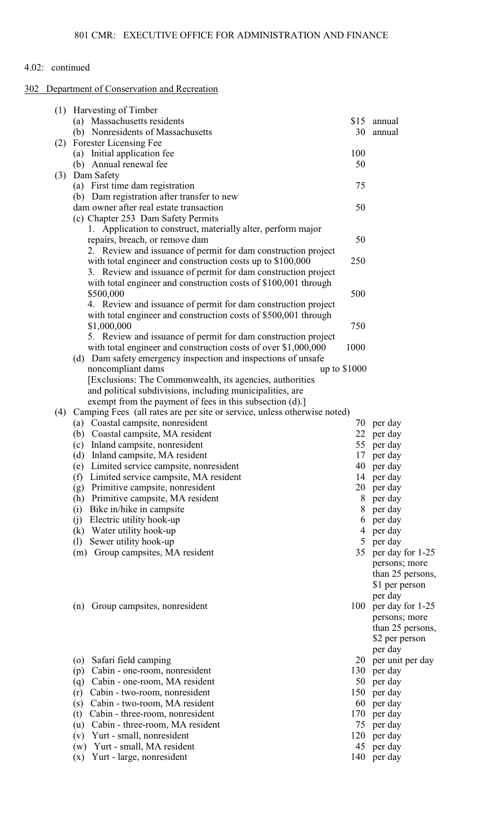# 302 Department of Conservation and Recreation

|     | (1) Harvesting of Timber                                                 |              |                  |
|-----|--------------------------------------------------------------------------|--------------|------------------|
|     | (a) Massachusetts residents                                              | \$15         | annual           |
|     | (b) Nonresidents of Massachusetts                                        | 30           | annual           |
| (2) | Forester Licensing Fee                                                   |              |                  |
|     | (a) Initial application fee                                              | 100          |                  |
|     | (b) Annual renewal fee                                                   | 50           |                  |
| (3) | Dam Safety                                                               |              |                  |
|     | (a) First time dam registration                                          | 75           |                  |
|     | (b) Dam registration after transfer to new                               |              |                  |
|     | dam owner after real estate transaction                                  | 50           |                  |
|     | (c) Chapter 253 Dam Safety Permits                                       |              |                  |
|     | 1. Application to construct, materially alter, perform major             |              |                  |
|     | repairs, breach, or remove dam                                           | 50           |                  |
|     | 2. Review and issuance of permit for dam construction project            |              |                  |
|     | with total engineer and construction costs up to \$100,000               | 250          |                  |
|     | 3. Review and issuance of permit for dam construction project            |              |                  |
|     | with total engineer and construction costs of \$100,001 through          |              |                  |
|     | \$500,000                                                                | 500          |                  |
|     | 4. Review and issuance of permit for dam construction project            |              |                  |
|     | with total engineer and construction costs of \$500,001 through          |              |                  |
|     | \$1,000,000                                                              | 750          |                  |
|     | 5. Review and issuance of permit for dam construction project            |              |                  |
|     | with total engineer and construction costs of over \$1,000,000           | 1000         |                  |
|     | (d) Dam safety emergency inspection and inspections of unsafe            |              |                  |
|     | noncompliant dams                                                        | up to \$1000 |                  |
|     | [Exclusions: The Commonwealth, its agencies, authorities                 |              |                  |
|     | and political subdivisions, including municipalities, are                |              |                  |
|     | exempt from the payment of fees in this subsection (d).]                 |              |                  |
| (4) | Camping Fees (all rates are per site or service, unless otherwise noted) |              |                  |
|     | (a) Coastal campsite, nonresident                                        | 70           | per day          |
|     | (b) Coastal campsite, MA resident                                        | 22           | per day          |
|     | (c) Inland campsite, nonresident                                         | 55           | per day          |
|     | (d) Inland campsite, MA resident                                         | 17           | per day          |
|     | (e) Limited service campsite, nonresident                                | 40           | per day          |
|     | Limited service campsite, MA resident<br>(f)                             |              | 14 per day       |
|     | Primitive campsite, nonresident<br>(g)                                   | 20           | per day          |
|     | (h) Primitive campsite, MA resident                                      | 8            | per day          |
|     | (i) Bike in/hike in campsite                                             | 8            | per day          |
|     | (j) Electric utility hook-up                                             | 6            | per day          |
|     | (k) Water utility hook-up                                                | 4            | per day          |
|     | Sewer utility hook-up<br>(1)                                             | 5            | per day          |
|     | Group campsites, MA resident<br>(m)                                      | 35           | per day for 1-25 |
|     |                                                                          |              | persons; more    |
|     |                                                                          |              | than 25 persons, |
|     |                                                                          |              | \$1 per person   |
|     |                                                                          |              | per day          |
|     | Group campsites, nonresident<br>(n)                                      | 100          | per day for 1-25 |
|     |                                                                          |              | persons; more    |
|     |                                                                          |              | than 25 persons, |
|     |                                                                          |              | \$2 per person   |
|     |                                                                          |              | per day          |
|     | Safari field camping<br>(0)                                              | 20           | per unit per day |
|     | Cabin - one-room, nonresident<br>(p)                                     | 130          | per day          |
|     | (q) Cabin - one-room, MA resident                                        | 50           | per day          |
|     | Cabin - two-room, nonresident<br>(r)                                     | 150          | per day          |
|     | Cabin - two-room, MA resident<br>(s)                                     | 60           | per day          |
|     | Cabin - three-room, nonresident<br>(t)                                   | 170          | per day          |
|     | (u) Cabin - three-room, MA resident                                      | 75           | per day          |
|     | (v) Yurt - small, nonresident                                            | 120          | per day          |
|     | Yurt - small, MA resident<br>(w)                                         | 45           | per day          |
|     | Yurt - large, nonresident<br>(x)                                         | 140          | per day          |
|     |                                                                          |              |                  |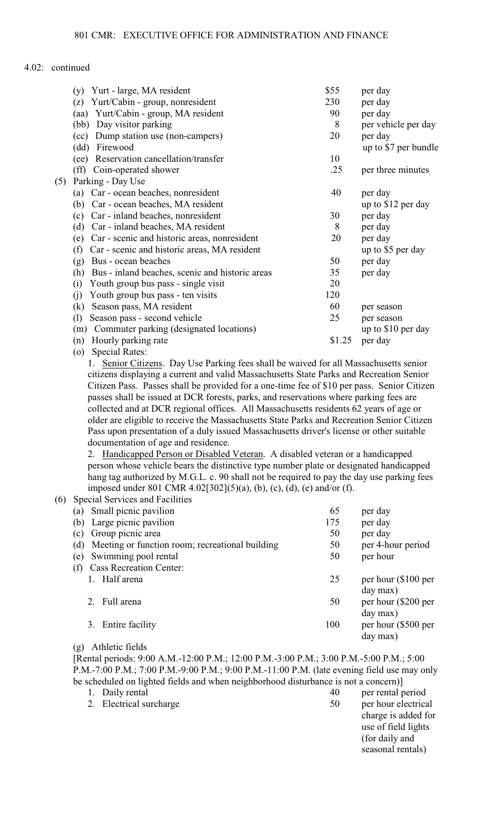|     | Yurt - large, MA resident<br>(y)                       | \$55   | per day              |
|-----|--------------------------------------------------------|--------|----------------------|
|     | Yurt/Cabin - group, nonresident<br>(z)                 | 230    | per day              |
|     | Yurt/Cabin - group, MA resident<br>(aa)                | 90     | per day              |
|     | Day visitor parking<br>(bb)                            | 8      | per vehicle per day  |
|     | Dump station use (non-campers)<br>(cc)                 | 20     | per day              |
|     | (dd)<br>Firewood                                       |        | up to \$7 per bundle |
|     | Reservation cancellation/transfer<br>(ee)              | 10     |                      |
|     | (ff)<br>Coin-operated shower                           | .25    | per three minutes    |
| (5) | Parking - Day Use                                      |        |                      |
|     | Car - ocean beaches, nonresident<br>(a)                | 40     | per day              |
|     | Car - ocean beaches, MA resident<br>(b)                |        | up to \$12 per day   |
|     | Car - inland beaches, nonresident<br>(c)               | 30     | per day              |
|     | (d)<br>Car - inland beaches, MA resident               | 8      | per day              |
|     | Car - scenic and historic areas, nonresident<br>(e)    | 20     | per day              |
|     | Car - scenic and historic areas, MA resident<br>(f)    |        | up to \$5 per day    |
|     | Bus - ocean beaches<br>(g)                             | 50     | per day              |
|     | Bus - inland beaches, scenic and historic areas<br>(h) | 35     | per day              |
|     | (i)<br>Youth group bus pass - single visit             | 20     |                      |
|     | Youth group bus pass - ten visits<br>(j)               | 120    |                      |
|     | Season pass, MA resident<br>$\left( \mathrm{k}\right)$ | 60     | per season           |
|     | (1)<br>Season pass - second vehicle                    | 25     | per season           |
|     | Commuter parking (designated locations)<br>(m)         |        | up to \$10 per day   |
|     | Hourly parking rate<br>(n)                             | \$1.25 | per day              |
|     |                                                        |        |                      |

(o) Special Rates:

1. Senior Citizens. Day Use Parking fees shall be waived for all Massachusetts senior citizens displaying a current and valid Massachusetts State Parks and Recreation Senior Citizen Pass. Passes shall be provided for a one-time fee of \$10 per pass. Senior Citizen passes shall be issued at DCR forests, parks, and reservations where parking fees are collected and at DCR regional offices. All Massachusetts residents 62 years of age or older are eligible to receive the Massachusetts State Parks and Recreation Senior Citizen Pass upon presentation of a duly issued Massachusetts driver's license or other suitable documentation of age and residence.

2. Handicapped Person or Disabled Veteran. A disabled veteran or a handicapped person whose vehicle bears the distinctive type number plate or designated handicapped hang tag authorized by M.G.L. c. 90 shall not be required to pay the day use parking fees imposed under 801 CMR 4.02[302](5)(a), (b), (c), (d), (e) and/or (f).

(6) Special Services and Facilities

| (a) | Small picnic pavilion                           | 65  | per day             |
|-----|-------------------------------------------------|-----|---------------------|
| (b) | Large picnic pavilion                           | 175 | per day             |
| (c) | Group picnic area                               | 50  | per day             |
| (d) | Meeting or function room; recreational building | 50  | per 4-hour period   |
| (e) | Swimming pool rental                            | 50  | per hour            |
|     | <b>Cass Recreation Center:</b>                  |     |                     |
|     | Half arena                                      | 25  | per hour (\$100 per |
|     |                                                 |     | day max)            |
|     | 2. Full arena                                   | 50  | per hour (\$200 per |
|     |                                                 |     | day max)            |
|     | 3. Entire facility                              | 100 | per hour (\$500 per |
|     |                                                 |     | day max)            |

#### (g) Athletic fields

2. Electrical surcharge

[Rental periods: 9:00 A.M.-12:00 P.M.; 12:00 P.M.-3:00 P.M.; 3:00 P.M.-5:00 P.M.; 5:00 P.M.-7:00 P.M.; 7:00 P.M.-9:00 P.M.; 9:00 P.M.-11:00 P.M. (late evening field use may only be scheduled on lighted fields and when neighborhood disturbance is not a concern)] 1. Daily rental

|    | per rental period   |
|----|---------------------|
| 50 | per hour electrical |
|    | charge is added for |
|    | use of field lights |
|    | (for daily and      |
|    | seasonal rentals)   |
|    |                     |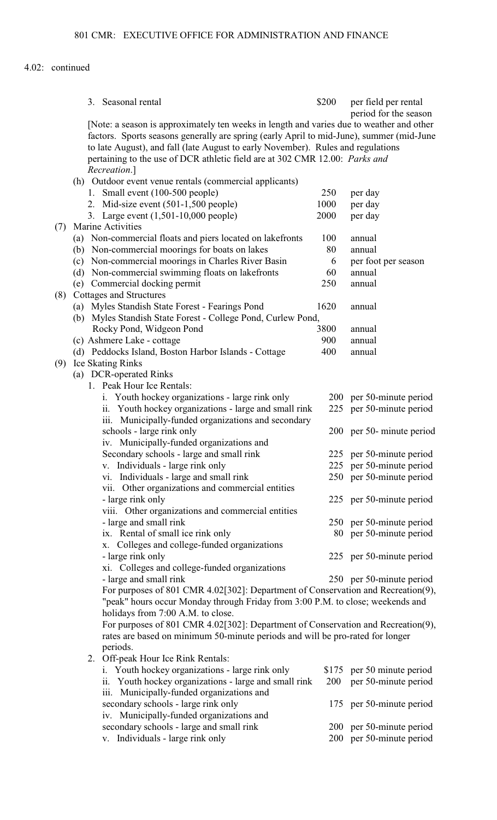|     |     | 3. Seasonal rental                                                                                                                                                                                                                                                       | \$200 | per field per rental<br>period for the season |
|-----|-----|--------------------------------------------------------------------------------------------------------------------------------------------------------------------------------------------------------------------------------------------------------------------------|-------|-----------------------------------------------|
|     |     | [Note: a season is approximately ten weeks in length and varies due to weather and other<br>factors. Sports seasons generally are spring (early April to mid-June), summer (mid-June<br>to late August), and fall (late August to early November). Rules and regulations |       |                                               |
|     |     | pertaining to the use of DCR athletic field are at 302 CMR 12.00: Parks and<br>Recreation.]                                                                                                                                                                              |       |                                               |
|     |     | (h) Outdoor event venue rentals (commercial applicants)                                                                                                                                                                                                                  |       |                                               |
|     |     | 1. Small event (100-500 people)                                                                                                                                                                                                                                          | 250   | per day                                       |
|     |     | 2. Mid-size event (501-1,500 people)                                                                                                                                                                                                                                     | 1000  | per day                                       |
|     |     | 3. Large event (1,501-10,000 people)                                                                                                                                                                                                                                     | 2000  | per day                                       |
| (7) |     | Marine Activities                                                                                                                                                                                                                                                        |       |                                               |
|     |     | (a) Non-commercial floats and piers located on lakefronts                                                                                                                                                                                                                | 100   | annual                                        |
|     | (b) | Non-commercial moorings for boats on lakes                                                                                                                                                                                                                               | 80    | annual                                        |
|     |     | (c) Non-commercial moorings in Charles River Basin                                                                                                                                                                                                                       | 6     | per foot per season                           |
|     |     | (d) Non-commercial swimming floats on lakefronts                                                                                                                                                                                                                         | 60    | annual                                        |
|     |     | (e) Commercial docking permit                                                                                                                                                                                                                                            | 250   | annual                                        |
| (8) |     | Cottages and Structures                                                                                                                                                                                                                                                  |       |                                               |
|     |     | (a) Myles Standish State Forest - Fearings Pond                                                                                                                                                                                                                          | 1620  | annual                                        |
|     |     | (b) Myles Standish State Forest - College Pond, Curlew Pond,                                                                                                                                                                                                             |       |                                               |
|     |     | Rocky Pond, Widgeon Pond                                                                                                                                                                                                                                                 | 3800  | annual                                        |
|     |     | (c) Ashmere Lake - cottage                                                                                                                                                                                                                                               | 900   | annual                                        |
|     |     | (d) Peddocks Island, Boston Harbor Islands - Cottage                                                                                                                                                                                                                     | 400   | annual                                        |
| (9) |     | <b>Ice Skating Rinks</b>                                                                                                                                                                                                                                                 |       |                                               |
|     |     | (a) DCR-operated Rinks                                                                                                                                                                                                                                                   |       |                                               |
|     |     | 1. Peak Hour Ice Rentals:                                                                                                                                                                                                                                                |       |                                               |
|     |     | i. Youth hockey organizations - large rink only                                                                                                                                                                                                                          |       | 200 per 50-minute period                      |
|     |     | ii. Youth hockey organizations - large and small rink                                                                                                                                                                                                                    |       | 225 per 50-minute period                      |
|     |     | iii. Municipally-funded organizations and secondary<br>schools - large rink only                                                                                                                                                                                         |       | 200 per 50- minute period                     |
|     |     | iv. Municipally-funded organizations and                                                                                                                                                                                                                                 |       |                                               |
|     |     | Secondary schools - large and small rink                                                                                                                                                                                                                                 |       | 225 per 50-minute period                      |
|     |     | v. Individuals - large rink only                                                                                                                                                                                                                                         |       | 225 per 50-minute period                      |
|     |     | vi. Individuals - large and small rink                                                                                                                                                                                                                                   |       | 250 per 50-minute period                      |
|     |     | vii. Other organizations and commercial entities                                                                                                                                                                                                                         |       |                                               |
|     |     | - large rink only                                                                                                                                                                                                                                                        |       | 225 per 50-minute period                      |
|     |     | viii. Other organizations and commercial entities                                                                                                                                                                                                                        |       |                                               |
|     |     | - large and small rink                                                                                                                                                                                                                                                   |       | 250 per 50-minute period                      |
|     |     | ix. Rental of small ice rink only                                                                                                                                                                                                                                        |       | 80 per 50-minute period                       |
|     |     | x. Colleges and college-funded organizations                                                                                                                                                                                                                             |       |                                               |
|     |     | - large rink only                                                                                                                                                                                                                                                        |       | 225 per 50-minute period                      |
|     |     | xi. Colleges and college-funded organizations                                                                                                                                                                                                                            |       |                                               |
|     |     | - large and small rink                                                                                                                                                                                                                                                   |       | 250 per 50-minute period                      |
|     |     | For purposes of 801 CMR 4.02[302]: Department of Conservation and Recreation(9),                                                                                                                                                                                         |       |                                               |
|     |     | "peak" hours occur Monday through Friday from 3:00 P.M. to close; weekends and<br>holidays from 7:00 A.M. to close.                                                                                                                                                      |       |                                               |
|     |     | For purposes of 801 CMR 4.02[302]: Department of Conservation and Recreation(9),                                                                                                                                                                                         |       |                                               |
|     |     | rates are based on minimum 50-minute periods and will be pro-rated for longer                                                                                                                                                                                            |       |                                               |
|     |     | periods.                                                                                                                                                                                                                                                                 |       |                                               |
|     |     | 2. Off-peak Hour Ice Rink Rentals:                                                                                                                                                                                                                                       |       |                                               |
|     |     | i. Youth hockey organizations - large rink only                                                                                                                                                                                                                          |       | \$175 per 50 minute period                    |
|     |     | ii. Youth hockey organizations - large and small rink                                                                                                                                                                                                                    | 200   | per 50-minute period                          |
|     |     | iii. Municipally-funded organizations and                                                                                                                                                                                                                                |       |                                               |
|     |     | secondary schools - large rink only                                                                                                                                                                                                                                      |       | 175 per 50-minute period                      |
|     |     | iv. Municipally-funded organizations and                                                                                                                                                                                                                                 |       |                                               |
|     |     | secondary schools - large and small rink                                                                                                                                                                                                                                 |       | 200 per 50-minute period                      |
|     |     | v. Individuals - large rink only                                                                                                                                                                                                                                         | 200   | per 50-minute period                          |
|     |     |                                                                                                                                                                                                                                                                          |       |                                               |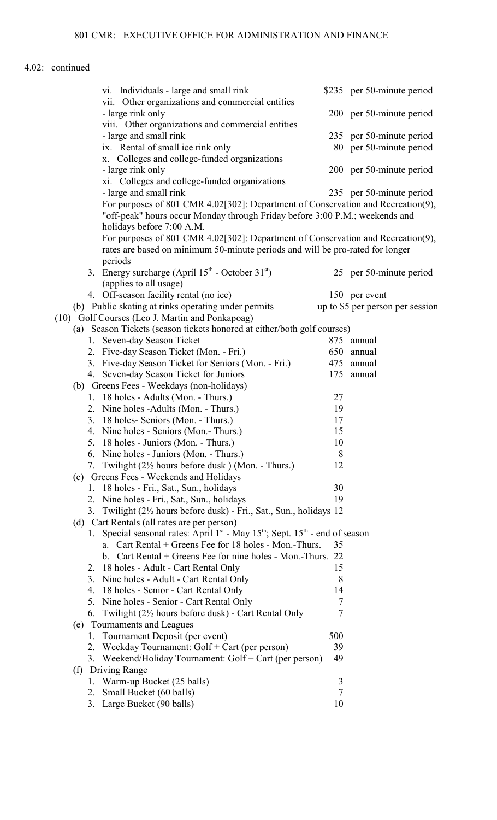|     | vi. Individuals - large and small rink<br>vii. Other organizations and commercial entities    |                | \$235 per 50-minute period       |
|-----|-----------------------------------------------------------------------------------------------|----------------|----------------------------------|
|     | - large rink only<br>viii. Other organizations and commercial entities                        |                | 200 per 50-minute period         |
|     | - large and small rink                                                                        |                | 235 per 50-minute period         |
|     | ix. Rental of small ice rink only                                                             |                | 80 per 50-minute period          |
|     | Colleges and college-funded organizations<br>X.                                               |                |                                  |
|     | - large rink only                                                                             |                | 200 per 50-minute period         |
|     | xi. Colleges and college-funded organizations                                                 |                |                                  |
|     | - large and small rink                                                                        |                | 235 per 50-minute period         |
|     | For purposes of 801 CMR 4.02[302]: Department of Conservation and Recreation(9),              |                |                                  |
|     | "off-peak" hours occur Monday through Friday before 3:00 P.M.; weekends and                   |                |                                  |
|     | holidays before 7:00 A.M.                                                                     |                |                                  |
|     | For purposes of 801 CMR 4.02[302]: Department of Conservation and Recreation(9),              |                |                                  |
|     | rates are based on minimum 50-minute periods and will be pro-rated for longer                 |                |                                  |
|     | periods                                                                                       |                |                                  |
|     | 3. Energy surcharge (April 15 <sup>th</sup> - October 31 <sup>st</sup> )                      |                | 25 per 50-minute period          |
|     | (applies to all usage)                                                                        |                |                                  |
|     | 4. Off-season facility rental (no ice)                                                        |                | 150 per event                    |
|     | (b) Public skating at rinks operating under permits                                           |                | up to \$5 per person per session |
|     | (10) Golf Courses (Leo J. Martin and Ponkapoag)                                               |                |                                  |
|     | (a) Season Tickets (season tickets honored at either/both golf courses)                       |                |                                  |
|     | 1. Seven-day Season Ticket                                                                    | 875            | annual                           |
|     | 2. Five-day Season Ticket (Mon. - Fri.)                                                       | 650            | annual                           |
|     | 3. Five-day Season Ticket for Seniors (Mon. - Fri.)                                           | 475            | annual                           |
|     | 4. Seven-day Season Ticket for Juniors                                                        | 175            | annual                           |
|     | (b) Greens Fees - Weekdays (non-holidays)                                                     |                |                                  |
|     | 1. 18 holes - Adults (Mon. - Thurs.)                                                          | 27             |                                  |
|     | 2. Nine holes - Adults (Mon. - Thurs.)                                                        | 19             |                                  |
|     | 3. 18 holes- Seniors (Mon. - Thurs.)                                                          | 17             |                                  |
|     | 4. Nine holes - Seniors (Mon.- Thurs.)                                                        | 15             |                                  |
|     | 5. 18 holes - Juniors (Mon. - Thurs.)                                                         | 10             |                                  |
|     | 6. Nine holes - Juniors (Mon. - Thurs.)                                                       | 8              |                                  |
|     | 7. Twilight $(2\frac{1}{2})$ hours before dusk $)$ (Mon. - Thurs.)                            | 12             |                                  |
|     | (c) Greens Fees - Weekends and Holidays                                                       |                |                                  |
|     | 18 holes - Fri., Sat., Sun., holidays<br>1.                                                   | 30             |                                  |
|     | 2. Nine holes - Fri., Sat., Sun., holidays                                                    | 19             |                                  |
|     | 3. Twilight (2 <sup>1</sup> / <sub>2</sub> hours before dusk) - Fri., Sat., Sun., holidays 12 |                |                                  |
|     | (d) Cart Rentals (all rates are per person)                                                   |                |                                  |
|     | 1. Special seasonal rates: April $1st$ - May $15th$ ; Sept. $15th$ - end of season            |                |                                  |
|     | Cart Rental + Greens Fee for 18 holes - Mon.-Thurs.<br>a.                                     | 35             |                                  |
|     | b. Cart Rental $+$ Greens Fee for nine holes - Mon.-Thurs. 22                                 |                |                                  |
| 2.  | 18 holes - Adult - Cart Rental Only                                                           | 15             |                                  |
| 3.  | Nine holes - Adult - Cart Rental Only                                                         | 8              |                                  |
| 4.  | 18 holes - Senior - Cart Rental Only                                                          | 14             |                                  |
|     | 5. Nine holes - Senior - Cart Rental Only                                                     | 7              |                                  |
| 6.  | Twilight (2½ hours before dusk) - Cart Rental Only                                            | 7              |                                  |
| (e) | Tournaments and Leagues                                                                       |                |                                  |
|     | Tournament Deposit (per event)<br>1.                                                          | 500            |                                  |
|     | 2. Weekday Tournament: Golf + Cart (per person)                                               | 39             |                                  |
|     | 3. Weekend/Holiday Tournament: Golf + Cart (per person)                                       | 49             |                                  |
| (f) | <b>Driving Range</b>                                                                          |                |                                  |
|     | 1. Warm-up Bucket (25 balls)                                                                  | 3              |                                  |
|     | 2. Small Bucket (60 balls)                                                                    | $\overline{7}$ |                                  |
|     | 3. Large Bucket (90 balls)                                                                    | 10             |                                  |
|     |                                                                                               |                |                                  |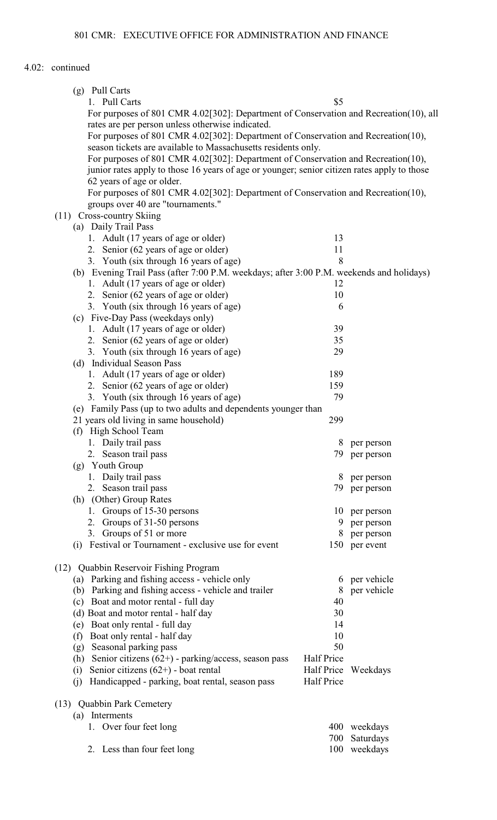|      |     | (g) Pull Carts                                                                              |            |                     |
|------|-----|---------------------------------------------------------------------------------------------|------------|---------------------|
|      |     | 1. Pull Carts                                                                               | \$5        |                     |
|      |     | For purposes of 801 CMR 4.02[302]: Department of Conservation and Recreation(10), all       |            |                     |
|      |     | rates are per person unless otherwise indicated.                                            |            |                     |
|      |     | For purposes of 801 CMR 4.02[302]: Department of Conservation and Recreation(10),           |            |                     |
|      |     | season tickets are available to Massachusetts residents only.                               |            |                     |
|      |     | For purposes of 801 CMR 4.02[302]: Department of Conservation and Recreation(10),           |            |                     |
|      |     | junior rates apply to those 16 years of age or younger; senior citizen rates apply to those |            |                     |
|      |     | 62 years of age or older.                                                                   |            |                     |
|      |     | For purposes of 801 CMR 4.02[302]: Department of Conservation and Recreation(10),           |            |                     |
|      |     | groups over 40 are "tournaments."                                                           |            |                     |
|      |     | (11) Cross-country Skiing                                                                   |            |                     |
|      |     | (a) Daily Trail Pass                                                                        |            |                     |
|      |     |                                                                                             | 13         |                     |
|      |     | 1. Adult (17 years of age or older)                                                         |            |                     |
|      |     | 2. Senior (62 years of age or older)                                                        | 11         |                     |
|      |     | 3. Youth (six through 16 years of age)                                                      | 8          |                     |
|      |     | (b) Evening Trail Pass (after 7:00 P.M. weekdays; after 3:00 P.M. weekends and holidays)    |            |                     |
|      |     | 1. Adult (17 years of age or older)                                                         | 12         |                     |
|      |     | 2. Senior (62 years of age or older)                                                        | 10         |                     |
|      |     | 3. Youth (six through 16 years of age)                                                      | 6          |                     |
|      |     | (c) Five-Day Pass (weekdays only)                                                           |            |                     |
|      |     | 1. Adult (17 years of age or older)                                                         | 39         |                     |
|      |     | 2. Senior (62 years of age or older)                                                        | 35         |                     |
|      |     | 3. Youth (six through 16 years of age)                                                      | 29         |                     |
|      |     | (d) Individual Season Pass                                                                  |            |                     |
|      |     | 1. Adult (17 years of age or older)                                                         | 189        |                     |
|      |     | 2. Senior (62 years of age or older)                                                        | 159        |                     |
|      |     | 3. Youth (six through 16 years of age)                                                      | 79         |                     |
|      |     | (e) Family Pass (up to two adults and dependents younger than                               |            |                     |
|      |     | 21 years old living in same household)                                                      | 299        |                     |
|      | (f) | High School Team                                                                            |            |                     |
|      |     | 1. Daily trail pass                                                                         | 8          | per person          |
|      |     | 2. Season trail pass                                                                        |            | 79 per person       |
|      |     | (g) Youth Group                                                                             |            |                     |
|      |     | 1. Daily trail pass                                                                         | 8          | per person          |
|      |     | 2. Season trail pass                                                                        | 79         | per person          |
|      |     | (h) (Other) Group Rates                                                                     |            |                     |
|      |     | 1. Groups of 15-30 persons                                                                  | 10         | per person          |
|      |     | 2. Groups of 31-50 persons                                                                  | 9          | per person          |
|      |     | 3. Groups of 51 or more                                                                     | 8          | per person          |
|      | (i) | Festival or Tournament - exclusive use for event                                            |            | 150 per event       |
|      |     |                                                                                             |            |                     |
|      |     | (12) Quabbin Reservoir Fishing Program                                                      |            |                     |
|      |     | (a) Parking and fishing access - vehicle only                                               | 6          | per vehicle         |
|      |     | (b) Parking and fishing access - vehicle and trailer                                        | 8          | per vehicle         |
|      | (c) | Boat and motor rental - full day                                                            | 40         |                     |
|      |     | (d) Boat and motor rental - half day                                                        | 30         |                     |
|      |     | (e) Boat only rental - full day                                                             | 14         |                     |
|      | (f) | Boat only rental - half day                                                                 | 10         |                     |
|      | (g) | Seasonal parking pass                                                                       | 50         |                     |
|      |     | (h) Senior citizens $(62+)$ - parking/access, season pass                                   | Half Price |                     |
|      | (i) | Senior citizens $(62+)$ - boat rental                                                       |            | Half Price Weekdays |
|      | (j) | Handicapped - parking, boat rental, season pass                                             | Half Price |                     |
|      |     |                                                                                             |            |                     |
| (13) |     | <b>Quabbin Park Cemetery</b>                                                                |            |                     |
|      | (a) | Interments                                                                                  |            |                     |
|      |     | 1. Over four feet long                                                                      |            | 400 weekdays        |
|      |     |                                                                                             | 700        | Saturdays           |
|      |     | 2. Less than four feet long                                                                 | 100        | weekdays            |
|      |     |                                                                                             |            |                     |
|      |     |                                                                                             |            |                     |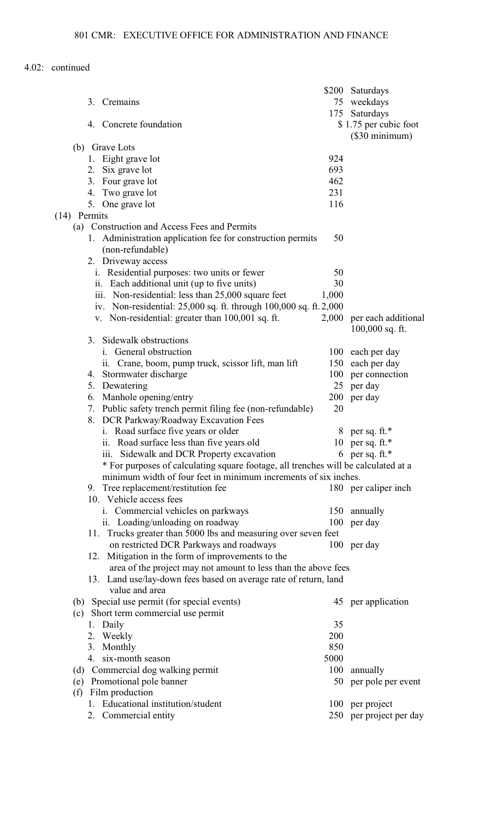| 3. Cremains                                                                                                                                           | 75<br>175 | \$200 Saturdays<br>weekdays                          |
|-------------------------------------------------------------------------------------------------------------------------------------------------------|-----------|------------------------------------------------------|
| 4. Concrete foundation                                                                                                                                |           | Saturdays<br>\$1.75 per cubic foot<br>(\$30 minimum) |
| (b) Grave Lots                                                                                                                                        |           |                                                      |
| 1. Eight grave lot                                                                                                                                    | 924       |                                                      |
| 2. Six grave lot                                                                                                                                      | 693       |                                                      |
| 3. Four grave lot                                                                                                                                     | 462       |                                                      |
| 4. Two grave lot                                                                                                                                      | 231       |                                                      |
| 5. One grave lot                                                                                                                                      | 116       |                                                      |
| Permits<br>(14)                                                                                                                                       |           |                                                      |
| (a) Construction and Access Fees and Permits<br>1. Administration application fee for construction permits<br>(non-refundable)<br>2. Driveway access  | 50        |                                                      |
| i. Residential purposes: two units or fewer                                                                                                           | 50        |                                                      |
| ii. Each additional unit (up to five units)                                                                                                           | 30        |                                                      |
| iii. Non-residential: less than 25,000 square feet                                                                                                    | 1,000     |                                                      |
| iv. Non-residential: 25,000 sq. ft. through 100,000 sq. ft. 2,000                                                                                     |           |                                                      |
| v. Non-residential: greater than 100,001 sq. ft.                                                                                                      | 2,000     | per each additional<br>$100,000$ sq. ft.             |
| 3. Sidewalk obstructions                                                                                                                              |           |                                                      |
| i. General obstruction                                                                                                                                | 100       | each per day                                         |
| ii. Crane, boom, pump truck, scissor lift, man lift                                                                                                   |           | 150 each per day                                     |
| 4. Stormwater discharge                                                                                                                               | 100       | per connection                                       |
| 5. Dewatering                                                                                                                                         | 25        | per day                                              |
| 6. Manhole opening/entry                                                                                                                              |           | 200 per day                                          |
| 7. Public safety trench permit filing fee (non-refundable)<br>8. DCR Parkway/Roadway Excavation Fees                                                  | 20        |                                                      |
| i. Road surface five years or older                                                                                                                   | 8         | per sq. ft.*                                         |
| ii. Road surface less than five years old                                                                                                             | 10        | per sq. ft.*                                         |
| iii. Sidewalk and DCR Property excavation                                                                                                             |           | 6 per sq. ft.*                                       |
| * For purposes of calculating square footage, all trenches will be calculated at a<br>minimum width of four feet in minimum increments of six inches. |           |                                                      |
| 9. Tree replacement/restitution fee                                                                                                                   |           | 180 per caliper inch                                 |
| 10. Vehicle access fees                                                                                                                               |           |                                                      |
| i. Commercial vehicles on parkways                                                                                                                    |           | 150 annually                                         |
| ii. Loading/unloading on roadway                                                                                                                      |           | 100 per day                                          |
| 11. Trucks greater than 5000 lbs and measuring over seven feet                                                                                        |           |                                                      |
| on restricted DCR Parkways and roadways<br>12. Mitigation in the form of improvements to the                                                          |           | 100 per day                                          |
| area of the project may not amount to less than the above fees                                                                                        |           |                                                      |
| 13. Land use/lay-down fees based on average rate of return, land<br>value and area                                                                    |           |                                                      |
| (b) Special use permit (for special events)                                                                                                           |           | 45 per application                                   |
| (c) Short term commercial use permit                                                                                                                  |           |                                                      |
| 1. Daily                                                                                                                                              | 35        |                                                      |
| 2. Weekly                                                                                                                                             | 200       |                                                      |
| 3. Monthly                                                                                                                                            | 850       |                                                      |
| 4. six-month season                                                                                                                                   | 5000      |                                                      |
| (d) Commercial dog walking permit                                                                                                                     | 100       | annually                                             |
| (e) Promotional pole banner                                                                                                                           |           | 50 per pole per event                                |
| Film production<br>(f)                                                                                                                                |           |                                                      |
| 1. Educational institution/student                                                                                                                    |           | 100 per project                                      |
| 2. Commercial entity                                                                                                                                  |           | 250 per project per day                              |
|                                                                                                                                                       |           |                                                      |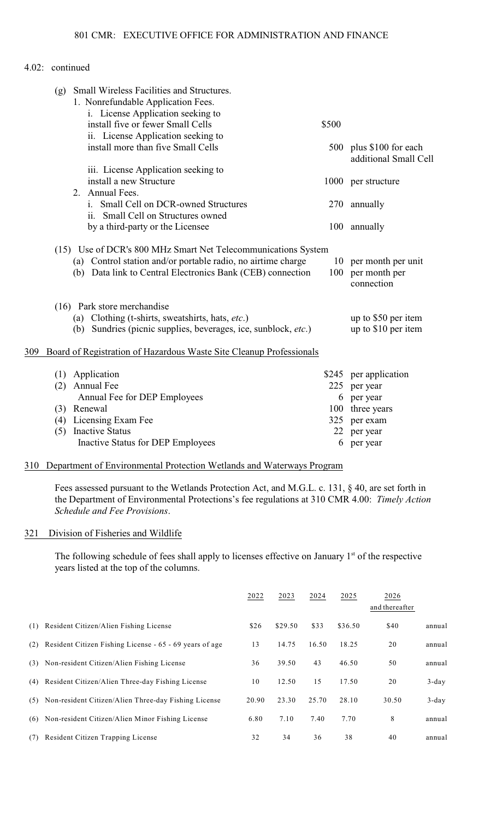|     | Small Wireless Facilities and Structures.<br>(g)<br>1. Nonrefundable Application Fees.<br>i. License Application seeking to |       |                                                      |
|-----|-----------------------------------------------------------------------------------------------------------------------------|-------|------------------------------------------------------|
|     | install five or fewer Small Cells                                                                                           | \$500 |                                                      |
|     | ii. License Application seeking to                                                                                          |       |                                                      |
|     | install more than five Small Cells                                                                                          |       | 500 plus \$100 for each<br>additional Small Cell     |
|     | iii. License Application seeking to                                                                                         |       |                                                      |
|     | install a new Structure<br>2. Annual Fees.                                                                                  |       | 1000 per structure                                   |
|     | Small Cell on DCR-owned Structures<br>1.<br>ii. Small Cell on Structures owned                                              |       | 270 annually                                         |
|     | by a third-party or the Licensee                                                                                            |       | 100 annually                                         |
|     | (15) Use of DCR's 800 MHz Smart Net Telecommunications System                                                               |       |                                                      |
|     | (a) Control station and/or portable radio, no airtime charge<br>(b) Data link to Central Electronics Bank (CEB) connection  | 100   | 10 per month per unit<br>per month per<br>connection |
|     | (16) Park store merchandise                                                                                                 |       |                                                      |
|     | (a) Clothing (t-shirts, sweatshirts, hats, etc.)<br>(b) Sundries (picnic supplies, beverages, ice, sunblock, <i>etc.</i> )  |       | up to \$50 per item<br>up to \$10 per item           |
| 309 | Board of Registration of Hazardous Waste Site Cleanup Professionals                                                         |       |                                                      |
|     |                                                                                                                             |       |                                                      |
|     | Application<br>(1)<br>Annual Fee<br>(2)                                                                                     | 225   | \$245 per application<br>per year                    |
|     | Annual Fee for DEP Employees                                                                                                | 6     | per year                                             |
|     | (3) Renewal                                                                                                                 | 100   | three years                                          |
|     | Licensing Exam Fee<br>(4)                                                                                                   | 325   | per exam                                             |
|     | <b>Inactive Status</b><br>(5)                                                                                               | 22    | per year                                             |
|     | Inactive Status for DEP Employees                                                                                           | 6     | per year                                             |
|     |                                                                                                                             |       |                                                      |

#### 310 Department of Environmental Protection Wetlands and Waterways Program

Fees assessed pursuant to the Wetlands Protection Act, and M.G.L. c. 131, § 40, are set forth in the Department of Environmental Protections's fee regulations at 310 CMR 4.00: *Timely Action Schedule and Fee Provisions*.

#### 321 Division of Fisheries and Wildlife

The following schedule of fees shall apply to licenses effective on January  $1<sup>st</sup>$  of the respective years listed at the top of the columns.

|     |                                                          | 2022  | 2023    | 2024  | 2025    | 2026<br>and thereafter |          |
|-----|----------------------------------------------------------|-------|---------|-------|---------|------------------------|----------|
| (1) | Resident Citizen/Alien Fishing License                   | \$26  | \$29.50 | \$33  | \$36.50 | \$40                   | annual   |
| (2) | Resident Citizen Fishing License - 65 - 69 years of age  | 13    | 14.75   | 16.50 | 18.25   | 20                     | annual   |
|     | (3) Non-resident Citizen/Alien Fishing License           | 36    | 39.50   | 43    | 46.50   | 50                     | annual   |
| (4) | Resident Citizen/Alien Three-day Fishing License         | 10    | 12.50   | 15    | 17.50   | 20                     | $3$ -day |
|     | (5) Non-resident Citizen/Alien Three-day Fishing License | 20.90 | 23.30   | 25.70 | 28.10   | 30.50                  | $3$ -day |
|     | (6) Non-resident Citizen/Alien Minor Fishing License     | 6.80  | 7.10    | 7.40  | 7.70    | 8                      | annual   |
| (7) | Resident Citizen Trapping License                        | 32    | 34      | 36    | 38      | 40                     | annual   |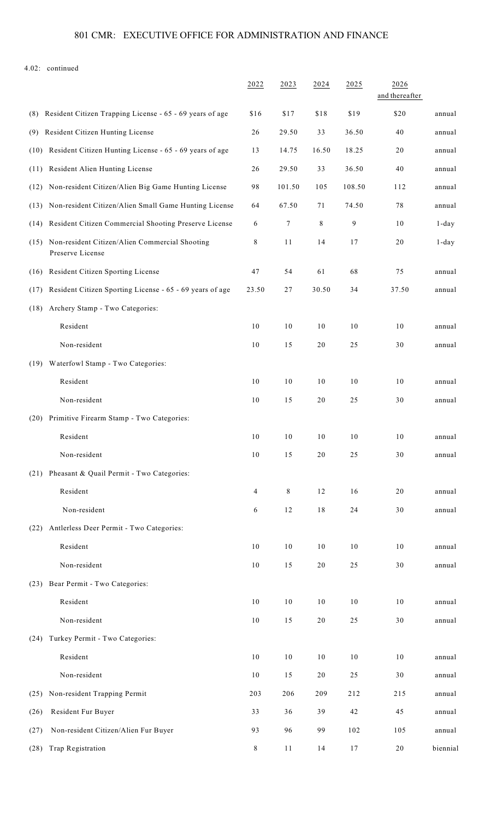# 801 CMR: EXECUTIVE OFFICE FOR ADMINISTRATION AND FINANCE

|                                                                            | 2022   | 2023   | 2024   | 2025   | 2026<br>and thereafter |          |
|----------------------------------------------------------------------------|--------|--------|--------|--------|------------------------|----------|
| Resident Citizen Trapping License - 65 - 69 years of age<br>(8)            | \$16   | \$17   | \$18   | \$19   | \$20                   | annual   |
| Resident Citizen Hunting License<br>(9)                                    | 26     | 29.50  | 33     | 36.50  | 40                     | annual   |
| (10) Resident Citizen Hunting License - 65 - 69 years of age               | 13     | 14.75  | 16.50  | 18.25  | 20                     | annual   |
| (11) Resident Alien Hunting License                                        | 26     | 29.50  | 33     | 36.50  | 40                     | annual   |
| (12) Non-resident Citizen/Alien Big Game Hunting License                   | 98     | 101.50 | 105    | 108.50 | 112                    | annual   |
| (13) Non-resident Citizen/Alien Small Game Hunting License                 | 64     | 67.50  | 71     | 74.50  | 78                     | annual   |
| (14) Resident Citizen Commercial Shooting Preserve License                 | 6      | 7      | 8      | 9      | 10                     | $1$ -day |
| Non-resident Citizen/Alien Commercial Shooting<br>(15)<br>Preserve License | 8      | 11     | 14     | 17     | $20\,$                 | 1-day    |
| Resident Citizen Sporting License<br>(16)                                  | 47     | 54     | 61     | 68     | 75                     | annual   |
| (17) Resident Citizen Sporting License - 65 - 69 years of age              | 23.50  | 27     | 30.50  | 34     | 37.50                  | annual   |
| Archery Stamp - Two Categories:<br>(18)                                    |        |        |        |        |                        |          |
| Resident                                                                   | $10$   | 10     | 10     | 10     | 10                     | annual   |
| Non-resident                                                               | $10$   | 15     | $20\,$ | 25     | 30                     | annual   |
| Waterfowl Stamp - Two Categories:<br>(19)                                  |        |        |        |        |                        |          |
| Resident                                                                   | $10\,$ | 10     | 10     | 10     | 10                     | annual   |
| Non-resident                                                               | 10     | 15     | 20     | 25     | 30                     | annual   |
| Primitive Firearm Stamp - Two Categories:<br>(20)                          |        |        |        |        |                        |          |
| Resident                                                                   | 10     | 10     | 10     | 10     | 10                     | annual   |
| Non-resident                                                               | $10\,$ | 15     | 20     | 25     | 30                     | annual   |
| (21) Pheasant & Quail Permit - Two Categories:                             |        |        |        |        |                        |          |
| Resident                                                                   | 4      | 8      | 12     | 16     | 20                     | annual   |
| Non-resident                                                               | 6      | 12     | 18     | 24     | 30                     | annual   |
| Antlerless Deer Permit - Two Categories:<br>(22)                           |        |        |        |        |                        |          |
| Resident                                                                   | 10     | 10     | 10     | 10     | 10                     | annual   |
| Non-resident                                                               | $10$   | 15     | $20\,$ | 25     | 30                     | annual   |
| (23) Bear Permit - Two Categories:                                         |        |        |        |        |                        |          |
| Resident                                                                   | $10\,$ | 10     | 10     | 10     | 10                     | annual   |
| Non-resident                                                               | $10\,$ | 15     | $20\,$ | 25     | 30                     | annual   |
| Turkey Permit - Two Categories:<br>(24)                                    |        |        |        |        |                        |          |
| Resident                                                                   | $10\,$ | 10     | 10     | 10     | 10                     | annual   |
| Non-resident                                                               | $10$   | 15     | 20     | 25     | 30                     | annual   |
| Non-resident Trapping Permit<br>(25)                                       | 203    | 206    | 209    | 212    | 215                    | annual   |
| Resident Fur Buyer<br>(26)                                                 | 33     | 36     | 39     | 42     | 45                     | annual   |
| Non-resident Citizen/Alien Fur Buyer<br>(27)                               | 93     | 96     | 99     | 102    | 105                    | annual   |
| Trap Registration<br>(28)                                                  | 8      | 11     | 14     | 17     | 20                     | biennial |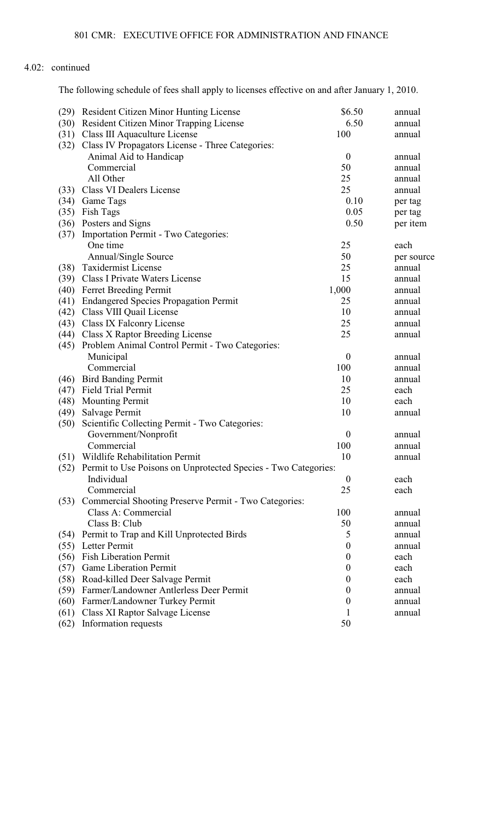The following schedule of fees shall apply to licenses effective on and after January 1, 2010.

| (29) | <b>Resident Citizen Minor Hunting License</b>                       | \$6.50           | annual     |
|------|---------------------------------------------------------------------|------------------|------------|
| (30) | <b>Resident Citizen Minor Trapping License</b>                      | 6.50             | annual     |
| (31) | Class III Aquaculture License                                       | 100              | annual     |
| (32) | Class IV Propagators License - Three Categories:                    |                  |            |
|      | Animal Aid to Handicap                                              | $\boldsymbol{0}$ | annual     |
|      | Commercial                                                          | 50               | annual     |
|      | All Other                                                           | 25               | annual     |
| (33) | <b>Class VI Dealers License</b>                                     | 25               | annual     |
| (34) | Game Tags                                                           | 0.10             | per tag    |
| (35) | Fish Tags                                                           | 0.05             | per tag    |
| (36) | Posters and Signs                                                   | 0.50             | per item   |
| (37) | Importation Permit - Two Categories:                                |                  |            |
|      | One time                                                            | 25               | each       |
|      | Annual/Single Source                                                | 50               | per source |
| (38) | <b>Taxidermist License</b>                                          | 25               | annual     |
| (39) | <b>Class I Private Waters License</b>                               | 15               | annual     |
| (40) | <b>Ferret Breeding Permit</b>                                       | 1,000            | annual     |
| (41) | <b>Endangered Species Propagation Permit</b>                        | 25               | annual     |
|      | (42) Class VIII Quail License                                       | 10               | annual     |
| (43) | <b>Class IX Falconry License</b>                                    | 25               | annual     |
| (44) | <b>Class X Raptor Breeding License</b>                              | 25               | annual     |
| (45) | Problem Animal Control Permit - Two Categories:                     |                  |            |
|      | Municipal                                                           | $\boldsymbol{0}$ | annual     |
|      | Commercial                                                          | 100              | annual     |
| (46) | <b>Bird Banding Permit</b>                                          | 10               | annual     |
| (47) | Field Trial Permit                                                  | 25               | each       |
| (48) | <b>Mounting Permit</b>                                              | 10               | each       |
| (49) | Salvage Permit                                                      | 10               | annual     |
| (50) | Scientific Collecting Permit - Two Categories:                      |                  |            |
|      | Government/Nonprofit                                                | $\boldsymbol{0}$ | annual     |
|      | Commercial                                                          | 100              | annual     |
| (51) | Wildlife Rehabilitation Permit                                      | 10               | annual     |
|      | (52) Permit to Use Poisons on Unprotected Species - Two Categories: |                  |            |
|      | Individual                                                          | $\boldsymbol{0}$ | each       |
|      | Commercial                                                          | 25               | each       |
| (53) | Commercial Shooting Preserve Permit - Two Categories:               |                  |            |
|      | Class A: Commercial                                                 | 100              | annual     |
|      | Class B: Club                                                       | 50               | annual     |
| (54) | Permit to Trap and Kill Unprotected Birds                           | 5                | annual     |
| (55) | Letter Permit                                                       | $\boldsymbol{0}$ | annual     |
| (56) | <b>Fish Liberation Permit</b>                                       | $\boldsymbol{0}$ | each       |
| (57) | <b>Game Liberation Permit</b>                                       | $\boldsymbol{0}$ | each       |
| (58) | Road-killed Deer Salvage Permit                                     | $\boldsymbol{0}$ | each       |
| (59) | Farmer/Landowner Antlerless Deer Permit                             | 0                | annual     |
| (60) | Farmer/Landowner Turkey Permit                                      | $\theta$         | annual     |
| (61) | Class XI Raptor Salvage License                                     | T                | annual     |
| (62) | Information requests                                                | 50               |            |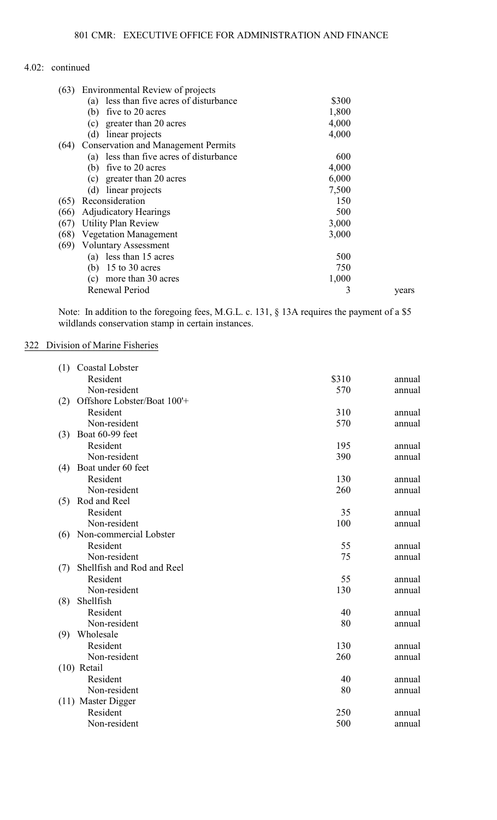| (63) | Environmental Review of projects           |       |       |
|------|--------------------------------------------|-------|-------|
|      | less than five acres of disturbance<br>(a) | \$300 |       |
|      | five to 20 acres<br>(b)                    | 1,800 |       |
|      | greater than 20 acres<br>(c)               | 4,000 |       |
|      | linear projects<br>(d)                     | 4,000 |       |
| (64) | <b>Conservation and Management Permits</b> |       |       |
|      | (a) less than five acres of disturbance    | 600   |       |
|      | five to 20 acres<br>(b)                    | 4,000 |       |
|      | greater than 20 acres<br>(c)               | 6,000 |       |
|      | (d)<br>linear projects                     | 7,500 |       |
| (65) | Reconsideration                            | 150   |       |
| (66) | <b>Adjudicatory Hearings</b>               | 500   |       |
| (67) | <b>Utility Plan Review</b>                 | 3,000 |       |
| (68) | <b>Vegetation Management</b>               | 3,000 |       |
| (69) | <b>Voluntary Assessment</b>                |       |       |
|      | less than 15 acres<br>(a)                  | 500   |       |
|      | 15 to 30 acres<br>(b)                      | 750   |       |
|      | more than 30 acres<br>(c)                  | 1,000 |       |
|      | Renewal Period                             | 3     | years |

Note: In addition to the foregoing fees, M.G.L. c. 131, § 13A requires the payment of a \$5 wildlands conservation stamp in certain instances.

## 322 Division of Marine Fisheries

| (1) | Coastal Lobster             |       |        |
|-----|-----------------------------|-------|--------|
|     | Resident                    | \$310 | annual |
|     | Non-resident                | 570   | annual |
| (2) | Offshore Lobster/Boat 100'+ |       |        |
|     | Resident                    | 310   | annual |
|     | Non-resident                | 570   | annual |
| (3) | Boat 60-99 feet             |       |        |
|     | Resident                    | 195   | annual |
|     | Non-resident                | 390   | annual |
| (4) | Boat under 60 feet          |       |        |
|     | Resident                    | 130   | annual |
|     | Non-resident                | 260   | annual |
| (5) | Rod and Reel                |       |        |
|     | Resident                    | 35    | annual |
|     | Non-resident                | 100   | annual |
| (6) | Non-commercial Lobster      |       |        |
|     | Resident                    | 55    | annual |
|     | Non-resident                | 75    | annual |
| (7) | Shellfish and Rod and Reel  |       |        |
|     | Resident                    | 55    | annual |
|     | Non-resident                | 130   | annual |
| (8) | Shellfish                   |       |        |
|     | Resident                    | 40    | annual |
|     | Non-resident                | 80    | annual |
| (9) | Wholesale                   |       |        |
|     | Resident                    | 130   | annual |
|     | Non-resident                | 260   | annual |
|     | $(10)$ Retail               |       |        |
|     | Resident                    | 40    | annual |
|     | Non-resident                | 80    | annual |
|     | (11) Master Digger          |       |        |
|     | Resident                    | 250   | annual |
|     | Non-resident                | 500   | annual |
|     |                             |       |        |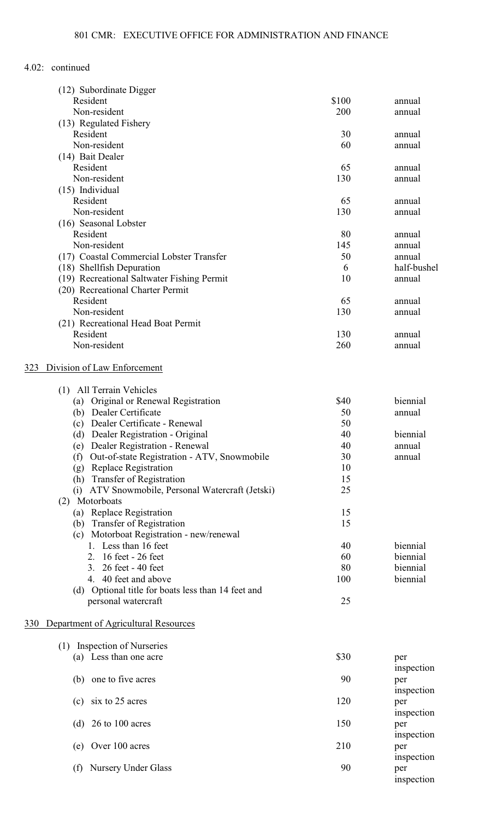|     | (12) Subordinate Digger                            |       |             |
|-----|----------------------------------------------------|-------|-------------|
|     | Resident                                           | \$100 | annual      |
|     | Non-resident                                       | 200   | annual      |
|     | (13) Regulated Fishery                             |       |             |
|     | Resident                                           | 30    | annual      |
|     | Non-resident                                       | 60    | annual      |
|     | (14) Bait Dealer                                   |       |             |
|     | Resident                                           | 65    | annual      |
|     | Non-resident                                       | 130   | annual      |
|     | $(15)$ Individual                                  |       |             |
|     | Resident                                           | 65    | annual      |
|     | Non-resident                                       | 130   | annual      |
|     | (16) Seasonal Lobster                              |       |             |
|     | Resident                                           | 80    | annual      |
|     | Non-resident                                       | 145   | annual      |
|     | (17) Coastal Commercial Lobster Transfer           | 50    | annual      |
|     | (18) Shellfish Depuration                          | 6     | half-bushel |
|     | (19) Recreational Saltwater Fishing Permit         | 10    | annual      |
|     | (20) Recreational Charter Permit                   |       |             |
|     | Resident                                           | 65    | annual      |
|     | Non-resident                                       | 130   | annual      |
|     | (21) Recreational Head Boat Permit                 |       |             |
|     | Resident                                           | 130   | annual      |
|     | Non-resident                                       | 260   | annual      |
|     |                                                    |       |             |
| 323 | Division of Law Enforcement                        |       |             |
|     | All Terrain Vehicles<br>(1)                        |       |             |
|     | Original or Renewal Registration<br>(a)            | \$40  | biennial    |
|     | (b) Dealer Certificate                             | 50    | annual      |
|     | Dealer Certificate - Renewal<br>(c)                | 50    |             |
|     | Dealer Registration - Original<br>(d)              | 40    | biennial    |
|     | (e) Dealer Registration - Renewal                  | 40    | annual      |
|     | (f) Out-of-state Registration - ATV, Snowmobile    | 30    | annual      |
|     | Replace Registration<br>(g)                        | 10    |             |
|     | (h) Transfer of Registration                       | 15    |             |
|     | (i) ATV Snowmobile, Personal Watercraft (Jetski)   | 25    |             |
|     | Motorboats<br>(2)                                  |       |             |
|     | (a) Replace Registration                           | 15    |             |
|     | (b) Transfer of Registration                       | 15    |             |
|     | (c) Motorboat Registration - new/renewal           |       |             |
|     | 1. Less than 16 feet                               | 40    | biennial    |
|     | 16 feet - 26 feet<br>2.                            | 60    | biennial    |
|     | 3. 26 feet - 40 feet                               | 80    | biennial    |
|     | 4. 40 feet and above                               | 100   | biennial    |
|     | (d) Optional title for boats less than 14 feet and |       |             |
|     | personal watercraft                                | 25    |             |
| 330 | Department of Agricultural Resources               |       |             |
|     |                                                    |       |             |
|     | (1) Inspection of Nurseries                        |       |             |
|     | (a) Less than one acre                             | \$30  | per         |
|     |                                                    |       | inspection  |
|     | (b) one to five acres                              | 90    | per         |
|     |                                                    |       | inspection  |
|     | six to 25 acres<br>(c)                             | 120   | per         |
|     |                                                    |       | inspection  |
|     | (d) $26$ to 100 acres                              | 150   | per         |
|     |                                                    |       | inspection  |
|     | (e) Over 100 acres                                 | 210   | per         |
|     |                                                    |       | inspection  |
|     | <b>Nursery Under Glass</b><br>(f)                  | 90    | per         |
|     |                                                    |       | inspection  |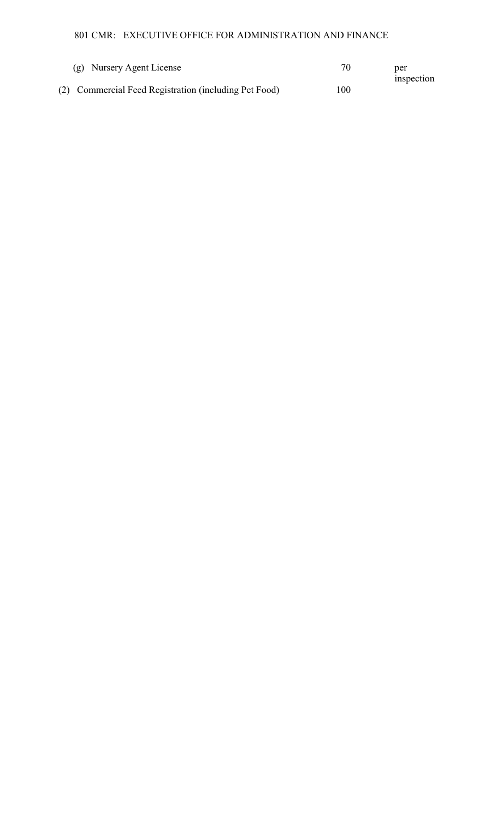801 CMR: EXECUTIVE OFFICE FOR ADMINISTRATION AND FINANCE

| (g) Nursery Agent License                             |     | per<br>inspection |
|-------------------------------------------------------|-----|-------------------|
| (2) Commercial Feed Registration (including Pet Food) | 100 |                   |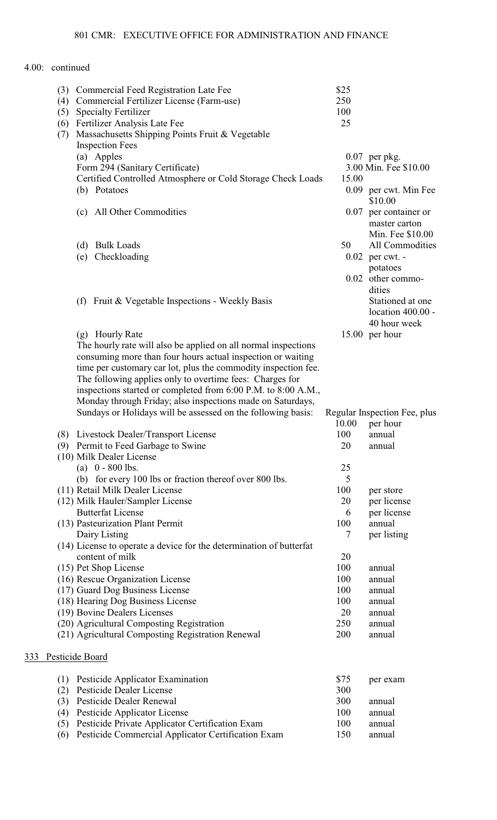|     | (4)<br>(5) | (3) Commercial Feed Registration Late Fee<br>Commercial Fertilizer License (Farm-use)<br><b>Specialty Fertilizer</b><br>(6) Fertilizer Analysis Late Fee | \$25<br>250<br>100<br>25 |                                                            |
|-----|------------|----------------------------------------------------------------------------------------------------------------------------------------------------------|--------------------------|------------------------------------------------------------|
|     | (7)        | Massachusetts Shipping Points Fruit & Vegetable                                                                                                          |                          |                                                            |
|     |            | <b>Inspection Fees</b>                                                                                                                                   |                          |                                                            |
|     |            | (a) Apples                                                                                                                                               |                          | $0.07$ per pkg.                                            |
|     |            | Form 294 (Sanitary Certificate)<br>Certified Controlled Atmosphere or Cold Storage Check Loads                                                           | 15.00                    | 3.00 Min. Fee \$10.00                                      |
|     |            | (b) Potatoes                                                                                                                                             |                          | 0.09 per cwt. Min Fee                                      |
|     |            |                                                                                                                                                          |                          | \$10.00                                                    |
|     |            | (c) All Other Commodities                                                                                                                                |                          | 0.07 per container or<br>master carton<br>Min. Fee \$10.00 |
|     |            | <b>Bulk Loads</b><br>(d)                                                                                                                                 | 50                       | All Commodities                                            |
|     |            | Checkloading<br>(e)                                                                                                                                      |                          | $0.02$ per cwt. -                                          |
|     |            |                                                                                                                                                          |                          | potatoes                                                   |
|     |            |                                                                                                                                                          |                          | 0.02 other commo-                                          |
|     |            |                                                                                                                                                          |                          | dities                                                     |
|     |            | Fruit & Vegetable Inspections - Weekly Basis<br>(f)                                                                                                      |                          | Stationed at one<br>location 400.00 -                      |
|     |            |                                                                                                                                                          |                          | 40 hour week                                               |
|     |            | (g) Hourly Rate                                                                                                                                          |                          | 15.00 per hour                                             |
|     |            | The hourly rate will also be applied on all normal inspections                                                                                           |                          |                                                            |
|     |            | consuming more than four hours actual inspection or waiting                                                                                              |                          |                                                            |
|     |            | time per customary car lot, plus the commodity inspection fee.                                                                                           |                          |                                                            |
|     |            | The following applies only to overtime fees: Charges for                                                                                                 |                          |                                                            |
|     |            | inspections started or completed from 6:00 P.M. to 8:00 A.M.,                                                                                            |                          |                                                            |
|     |            | Monday through Friday; also inspections made on Saturdays,<br>Sundays or Holidays will be assessed on the following basis:                               |                          | Regular Inspection Fee, plus                               |
|     |            |                                                                                                                                                          | 10.00                    | per hour                                                   |
|     |            | (8) Livestock Dealer/Transport License                                                                                                                   | 100                      | annual                                                     |
|     |            | (9) Permit to Feed Garbage to Swine                                                                                                                      | 20                       | annual                                                     |
|     |            | (10) Milk Dealer License                                                                                                                                 |                          |                                                            |
|     |            | (a) $0 - 800$ lbs.                                                                                                                                       | 25                       |                                                            |
|     |            | (b) for every 100 lbs or fraction thereof over 800 lbs.                                                                                                  | 5                        |                                                            |
|     |            | (11) Retail Milk Dealer License<br>(12) Milk Hauler/Sampler License                                                                                      | 100<br>20                | per store<br>per license                                   |
|     |            | <b>Butterfat License</b>                                                                                                                                 | 6                        | per license                                                |
|     |            | (13) Pasteurization Plant Permit                                                                                                                         | 100                      | annual                                                     |
|     |            | Dairy Listing                                                                                                                                            | 7                        | per listing                                                |
|     |            | (14) License to operate a device for the determination of butterfat                                                                                      |                          |                                                            |
|     |            | content of milk                                                                                                                                          | 20                       |                                                            |
|     |            | (15) Pet Shop License                                                                                                                                    | 100                      | annual                                                     |
|     |            | (16) Rescue Organization License                                                                                                                         | 100                      | annual                                                     |
|     |            | (17) Guard Dog Business License<br>(18) Hearing Dog Business License                                                                                     | 100<br>100               | annual<br>annual                                           |
|     |            | (19) Bovine Dealers Licenses                                                                                                                             | 20                       | annual                                                     |
|     |            | (20) Agricultural Composting Registration                                                                                                                | 250                      | annual                                                     |
|     |            | (21) Agricultural Composting Registration Renewal                                                                                                        | 200                      | annual                                                     |
| 333 |            | Pesticide Board                                                                                                                                          |                          |                                                            |
|     |            |                                                                                                                                                          |                          |                                                            |
|     | (1)<br>(2) | Pesticide Applicator Examination<br>Pesticide Dealer License                                                                                             | \$75<br>300              | per exam                                                   |
|     | (3)        | Pesticide Dealer Renewal                                                                                                                                 | 300                      | annual                                                     |
|     | (4)        | Pesticide Applicator License                                                                                                                             | 100                      | annual                                                     |
|     | (5)        | Pesticide Private Applicator Certification Exam                                                                                                          | 100                      | annual                                                     |
|     | (6)        | Pesticide Commercial Applicator Certification Exam                                                                                                       | 150                      | annual                                                     |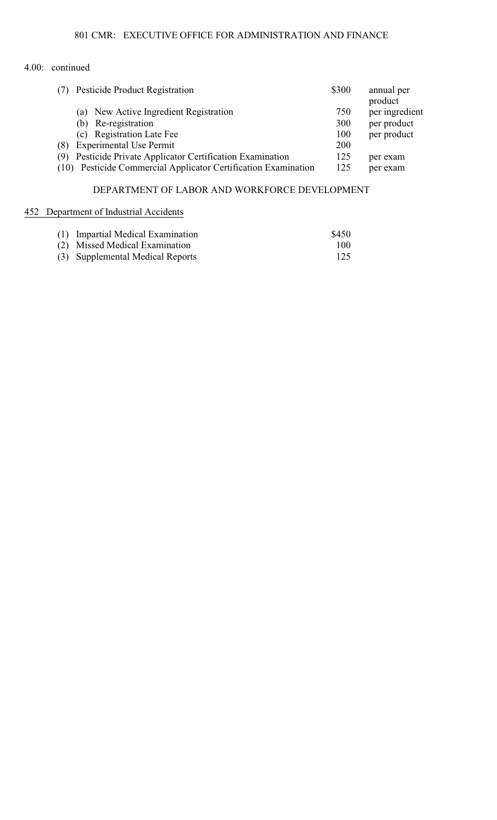| (7) | Pesticide Product Registration                                 | \$300 | annual per<br>product |
|-----|----------------------------------------------------------------|-------|-----------------------|
|     | New Active Ingredient Registration<br>(a)                      | 750   | per ingredient        |
|     | Re-registration<br>(b)                                         | 300   | per product           |
|     | <b>Registration Late Fee</b><br>(c)                            | 100   | per product           |
| (8) | <b>Experimental Use Permit</b>                                 | 200   |                       |
| (9) | Pesticide Private Applicator Certification Examination         | 125   | per exam              |
|     | (10) Pesticide Commercial Applicator Certification Examination | 125   | per exam              |

## DEPARTMENT OF LABOR AND WORKFORCE DEVELOPMENT

## 452 Department of Industrial Accidents

| (1) Impartial Medical Examination | \$450 |
|-----------------------------------|-------|
| (2) Missed Medical Examination    | 100   |
| (3) Supplemental Medical Reports  | 125   |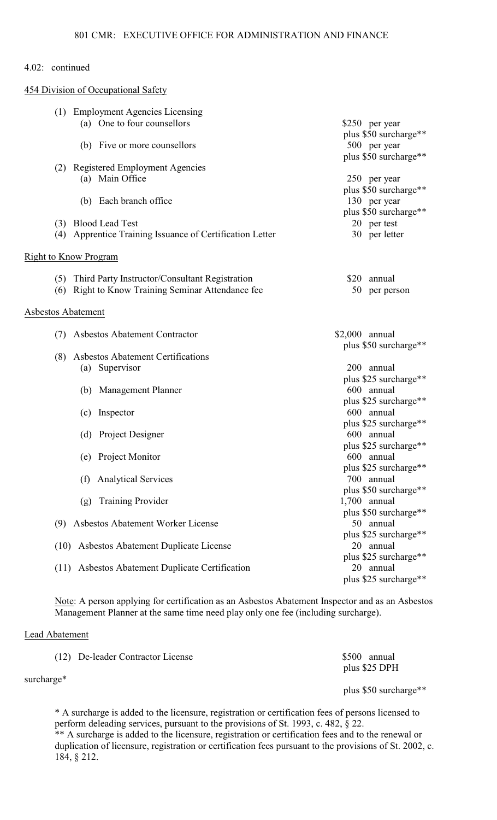454 Division of Occupational Safety

| (1) Employment Agencies Licensing                        |                       |
|----------------------------------------------------------|-----------------------|
| (a) One to four counsellors                              | \$250 per year        |
|                                                          | plus \$50 surcharge** |
| (b) Five or more counsellors                             | 500 per year          |
|                                                          | plus \$50 surcharge** |
| (2) Registered Employment Agencies                       |                       |
| (a) Main Office                                          | 250 per year          |
|                                                          | plus \$50 surcharge** |
| (b) Each branch office                                   | 130 per year          |
|                                                          | plus \$50 surcharge** |
| (3) Blood Lead Test                                      | 20 per test           |
| (4) Apprentice Training Issuance of Certification Letter | 30 per letter         |
|                                                          |                       |
| <b>Right to Know Program</b>                             |                       |
|                                                          |                       |
| (5) Third Party Instructor/Consultant Registration       | \$20 annual           |
| Right to Know Training Seminar Attendance fee<br>(6)     | 50<br>per person      |
| Asbestos Abatement                                       |                       |
|                                                          |                       |
| <b>Asbestos Abatement Contractor</b><br>(7)              | \$2,000 annual        |
|                                                          | plus \$50 surcharge** |
| <b>Asbestos Abatement Certifications</b><br>(8)          |                       |
| (a) Supervisor                                           | 200 annual            |
|                                                          | plus \$25 surcharge** |
| (b) Management Planner                                   | 600 annual            |
|                                                          | plus \$25 surcharge** |
| (c) Inspector                                            | 600 annual            |
|                                                          | plus \$25 surcharge** |
| (d) Project Designer                                     | 600 annual            |
|                                                          | plus \$25 surcharge** |
| (e) Project Monitor                                      | 600 annual            |
|                                                          | plus \$25 surcharge** |
| <b>Analytical Services</b><br>(f)                        | 700 annual            |
|                                                          | plus \$50 surcharge** |
| <b>Training Provider</b><br>(g)                          | $1,700$ annual        |
|                                                          | plus \$50 surcharge** |
| Asbestos Abatement Worker License<br>(9)                 | 50 annual             |
|                                                          | plus \$25 surcharge** |
| (10) Asbestos Abatement Duplicate License                | 20 annual             |
|                                                          | plus \$25 surcharge** |
| (11) Asbestos Abatement Duplicate Certification          | 20 annual             |
|                                                          | plus \$25 surcharge** |

Note: A person applying for certification as an Asbestos Abatement Inspector and as an Asbestos Management Planner at the same time need play only one fee (including surcharge).

# Lead Abatement

| (12) De-leader Contractor License | \$500 annual          |
|-----------------------------------|-----------------------|
| surcharge*                        | plus \$25 DPH         |
|                                   | plus \$50 surcharge** |

\* A surcharge is added to the licensure, registration or certification fees of persons licensed to perform deleading services, pursuant to the provisions of St. 1993, c. 482, § 22.

\*\* A surcharge is added to the licensure, registration or certification fees and to the renewal or duplication of licensure, registration or certification fees pursuant to the provisions of St. 2002, c. 184, § 212.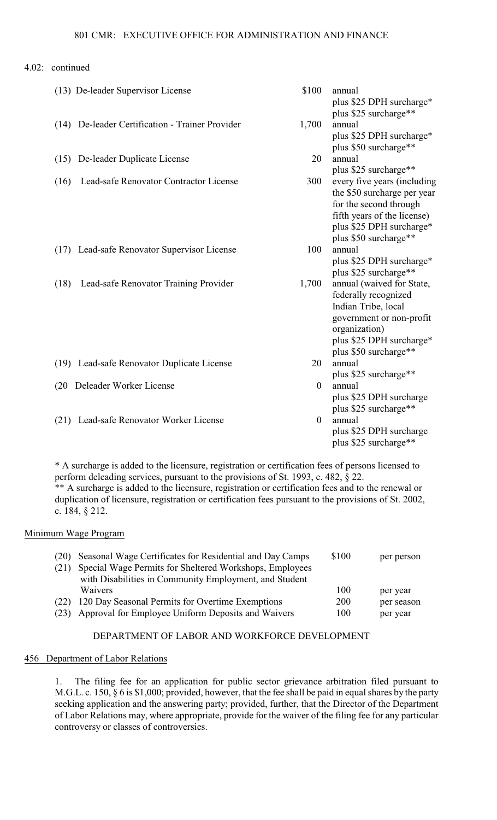| (13) De-leader Supervisor License               | \$100          | annual<br>plus \$25 DPH surcharge*                                                                                                                                         |
|-------------------------------------------------|----------------|----------------------------------------------------------------------------------------------------------------------------------------------------------------------------|
| (14) De-leader Certification - Trainer Provider | 1,700          | plus \$25 surcharge**<br>annual<br>plus \$25 DPH surcharge*<br>plus \$50 surcharge**                                                                                       |
| (15) De-leader Duplicate License                | 20             | annual<br>plus \$25 surcharge**                                                                                                                                            |
| Lead-safe Renovator Contractor License<br>(16)  | 300            | every five years (including<br>the \$50 surcharge per year<br>for the second through<br>fifth years of the license)<br>plus \$25 DPH surcharge*<br>plus \$50 surcharge**   |
| (17) Lead-safe Renovator Supervisor License     | 100            | annual<br>plus \$25 DPH surcharge*<br>plus \$25 surcharge**                                                                                                                |
| Lead-safe Renovator Training Provider<br>(18)   | 1,700          | annual (waived for State,<br>federally recognized<br>Indian Tribe, local<br>government or non-profit<br>organization)<br>plus \$25 DPH surcharge*<br>plus \$50 surcharge** |
| (19) Lead-safe Renovator Duplicate License      | 20             | annual<br>plus \$25 surcharge**                                                                                                                                            |
| Deleader Worker License<br>(20)                 | $\theta$       | annual<br>plus \$25 DPH surcharge<br>plus \$25 surcharge**                                                                                                                 |
| (21) Lead-safe Renovator Worker License         | $\overline{0}$ | annual<br>plus \$25 DPH surcharge<br>plus \$25 surcharge**                                                                                                                 |

\* A surcharge is added to the licensure, registration or certification fees of persons licensed to perform deleading services, pursuant to the provisions of St. 1993, c. 482, § 22. \*\* A surcharge is added to the licensure, registration or certification fees and to the renewal or duplication of licensure, registration or certification fees pursuant to the provisions of St. 2002, c. 184, § 212.

## Minimum Wage Program

|      | (20) Seasonal Wage Certificates for Residential and Day Camps | \$100 | per person |
|------|---------------------------------------------------------------|-------|------------|
| (21) | Special Wage Permits for Sheltered Workshops, Employees       |       |            |
|      | with Disabilities in Community Employment, and Student        |       |            |
|      | Waivers                                                       | 100   | per year   |
|      | (22) 120 Day Seasonal Permits for Overtime Exemptions         | 200   | per season |
| (23) | Approval for Employee Uniform Deposits and Waivers            | 100   | per year   |

## DEPARTMENT OF LABOR AND WORKFORCE DEVELOPMENT

#### 456 Department of Labor Relations

1. The filing fee for an application for public sector grievance arbitration filed pursuant to M.G.L. c. 150, § 6 is \$1,000; provided, however, that the fee shall be paid in equal shares by the party seeking application and the answering party; provided, further, that the Director of the Department of Labor Relations may, where appropriate, provide for the waiver of the filing fee for any particular controversy or classes of controversies.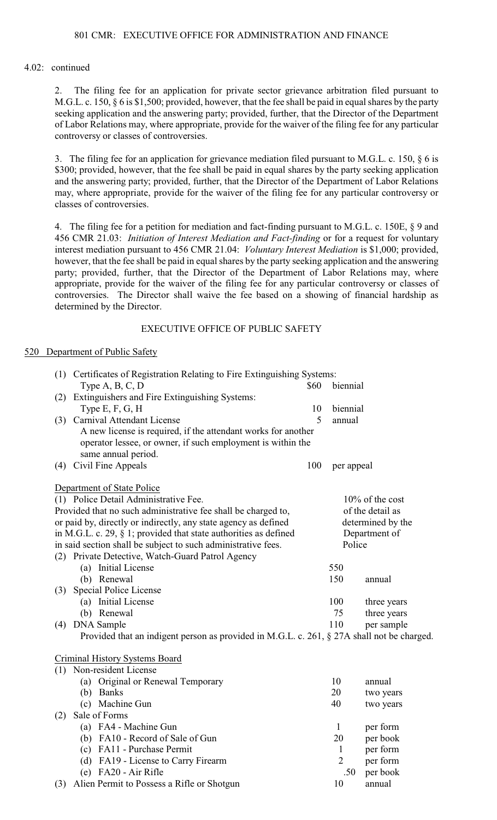2. The filing fee for an application for private sector grievance arbitration filed pursuant to M.G.L. c. 150, § 6 is \$1,500; provided, however, that the fee shall be paid in equal shares by the party seeking application and the answering party; provided, further, that the Director of the Department of Labor Relations may, where appropriate, provide for the waiver of the filing fee for any particular controversy or classes of controversies.

3. The filing fee for an application for grievance mediation filed pursuant to M.G.L. c. 150, § 6 is \$300; provided, however, that the fee shall be paid in equal shares by the party seeking application and the answering party; provided, further, that the Director of the Department of Labor Relations may, where appropriate, provide for the waiver of the filing fee for any particular controversy or classes of controversies.

4. The filing fee for a petition for mediation and fact-finding pursuant to M.G.L. c. 150E, § 9 and 456 CMR 21.03: *Initiation of Interest Mediation and Fact-finding* or for a request for voluntary interest mediation pursuant to 456 CMR 21.04: *Voluntary Interest Mediation* is \$1,000; provided, however, that the fee shall be paid in equal shares by the party seeking application and the answering party; provided, further, that the Director of the Department of Labor Relations may, where appropriate, provide for the waiver of the filing fee for any particular controversy or classes of controversies. The Director shall waive the fee based on a showing of financial hardship as determined by the Director.

## EXECUTIVE OFFICE OF PUBLIC SAFETY

#### 520 Department of Public Safety

| (1) Certificates of Registration Relating to Fire Extinguishing Systems:                   |      |                |                    |
|--------------------------------------------------------------------------------------------|------|----------------|--------------------|
| Type $A, B, C, D$                                                                          | \$60 | biennial       |                    |
| Extinguishers and Fire Extinguishing Systems:<br>(2)                                       |      |                |                    |
| Type E, F, G, H                                                                            | 10   | biennial       |                    |
| (3) Carnival Attendant License                                                             | 5    | annual         |                    |
| A new license is required, if the attendant works for another                              |      |                |                    |
| operator lessee, or owner, if such employment is within the                                |      |                |                    |
| same annual period.                                                                        |      |                |                    |
| Civil Fine Appeals<br>(4)                                                                  | 100  | per appeal     |                    |
|                                                                                            |      |                |                    |
| Department of State Police                                                                 |      |                |                    |
| (1) Police Detail Administrative Fee.                                                      |      |                | $10\%$ of the cost |
| Provided that no such administrative fee shall be charged to,                              |      |                | of the detail as   |
| or paid by, directly or indirectly, any state agency as defined                            |      |                | determined by the  |
| in M.G.L. c. 29, $\S$ 1; provided that state authorities as defined                        |      |                | Department of      |
| in said section shall be subject to such administrative fees.                              |      | Police         |                    |
| (2) Private Detective, Watch-Guard Patrol Agency                                           |      |                |                    |
| (a) Initial License                                                                        |      | 550            |                    |
| (b) Renewal                                                                                |      | 150            | annual             |
| Special Police License<br>(3)                                                              |      |                |                    |
| (a) Initial License                                                                        |      | 100            | three years        |
| (b) Renewal                                                                                |      | 75             | three years        |
| (4) DNA Sample                                                                             |      | 110            | per sample         |
| Provided that an indigent person as provided in M.G.L. c. 261, § 27A shall not be charged. |      |                |                    |
| <b>Criminal History Systems Board</b>                                                      |      |                |                    |
| (1) Non-resident License                                                                   |      |                |                    |
| (a) Original or Renewal Temporary                                                          |      | 10             | annual             |
| (b) Banks                                                                                  |      | 20             | two years          |
| (c) Machine Gun                                                                            |      | 40             | two years          |
| Sale of Forms<br>(2)                                                                       |      |                |                    |
| (a) FA4 - Machine Gun                                                                      |      | $\mathbf{1}$   | per form           |
| (b) FA10 - Record of Sale of Gun                                                           |      | 20             | per book           |
| (c) FA11 - Purchase Permit                                                                 |      | $\mathbf{1}$   | per form           |
| (d) FA19 - License to Carry Firearm                                                        |      | $\overline{2}$ | per form           |
| $(e)$ FA20 - Air Rifle                                                                     |      | .50            | per book           |
| (3) Alien Permit to Possess a Rifle or Shotgun                                             |      | 10             | annual             |
|                                                                                            |      |                |                    |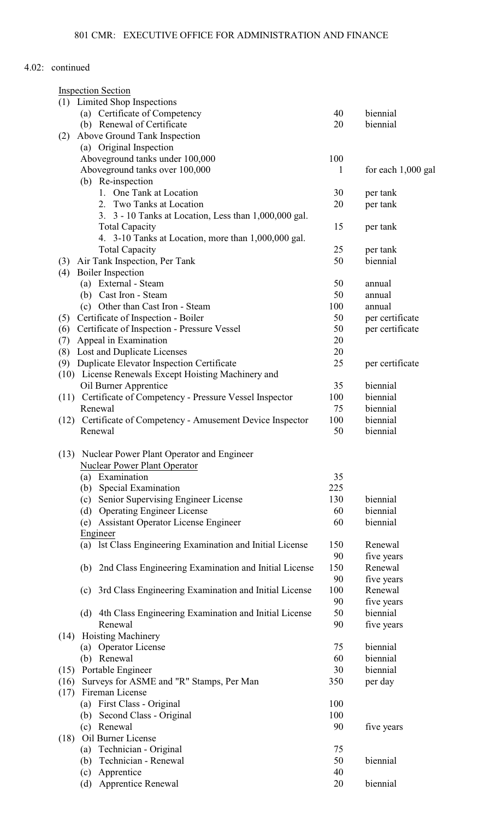| <b>Inspection Section</b>                                      |     |                      |
|----------------------------------------------------------------|-----|----------------------|
| (1) Limited Shop Inspections                                   |     |                      |
| (a) Certificate of Competency                                  | 40  | biennial             |
| (b) Renewal of Certificate                                     | 20  | biennial             |
| Above Ground Tank Inspection<br>(2)                            |     |                      |
| (a) Original Inspection                                        |     |                      |
| Aboveground tanks under 100,000                                | 100 |                      |
| Aboveground tanks over 100,000                                 | 1   | for each $1,000$ gal |
| (b) Re-inspection                                              |     |                      |
| 1. One Tank at Location                                        | 30  | per tank             |
| 2. Two Tanks at Location                                       | 20  | per tank             |
| 3. 3 - 10 Tanks at Location, Less than 1,000,000 gal.          |     |                      |
| <b>Total Capacity</b>                                          | 15  | per tank             |
| 4. 3-10 Tanks at Location, more than 1,000,000 gal.            |     |                      |
| <b>Total Capacity</b>                                          | 25  | per tank             |
| Air Tank Inspection, Per Tank<br>(3)                           | 50  | biennial             |
| <b>Boiler</b> Inspection<br>(4)                                |     |                      |
| (a) External - Steam                                           | 50  | annual               |
| (b) Cast Iron - Steam                                          | 50  | annual               |
| (c) Other than Cast Iron - Steam                               | 100 | annual               |
| Certificate of Inspection - Boiler<br>(5)                      | 50  | per certificate      |
| Certificate of Inspection - Pressure Vessel<br>(6)             | 50  | per certificate      |
| Appeal in Examination<br>(7)                                   | 20  |                      |
| Lost and Duplicate Licenses<br>(8)                             | 20  |                      |
| Duplicate Elevator Inspection Certificate<br>(9)               | 25  | per certificate      |
| (10) License Renewals Except Hoisting Machinery and            |     |                      |
| Oil Burner Apprentice                                          | 35  | biennial             |
| Certificate of Competency - Pressure Vessel Inspector<br>(11)  | 100 | biennial             |
| Renewal                                                        | 75  | biennial             |
| Certificate of Competency - Amusement Device Inspector<br>(12) | 100 | biennial             |
| Renewal                                                        | 50  | biennial             |
| (13)<br>Nuclear Power Plant Operator and Engineer              |     |                      |
| Nuclear Power Plant Operator                                   |     |                      |
| (a) Examination                                                | 35  |                      |
| Special Examination<br>(b)                                     | 225 |                      |
| Senior Supervising Engineer License<br>(c)                     | 130 | biennial             |
| (d) Operating Engineer License                                 | 60  | biennial             |
| <b>Assistant Operator License Engineer</b><br>(e)              | 60  | biennial             |
| Engineer                                                       |     |                      |
| (a) 1st Class Engineering Examination and Initial License      | 150 | Renewal              |
|                                                                | 90  | five years           |
|                                                                | 150 | Renewal              |
| 2nd Class Engineering Examination and Initial License<br>(b)   | 90  |                      |
|                                                                |     | five years           |
| 3rd Class Engineering Examination and Initial License<br>(c)   | 100 | Renewal              |
|                                                                | 90  | five years           |
| (d) 4th Class Engineering Examination and Initial License      | 50  | biennial             |
| Renewal                                                        | 90  | five years           |
| <b>Hoisting Machinery</b><br>(14)                              |     |                      |
| (a) Operator License                                           | 75  | biennial             |
| (b) Renewal                                                    | 60  | biennial             |
| Portable Engineer<br>(15)                                      | 30  | biennial             |
| Surveys for ASME and "R" Stamps, Per Man<br>(16)               | 350 | per day              |
| Fireman License<br>(17)                                        |     |                      |
| First Class - Original<br>(a)                                  | 100 |                      |
| (b) Second Class - Original                                    | 100 |                      |
| Renewal<br>(c)                                                 | 90  | five years           |
| Oil Burner License<br>(18)                                     |     |                      |
| (a) Technician - Original                                      | 75  |                      |
| Technician - Renewal<br>(b)                                    | 50  | biennial             |
| Apprentice<br>(c)                                              | 40  |                      |
| <b>Apprentice Renewal</b><br>(d)                               | 20  | biennial             |
|                                                                |     |                      |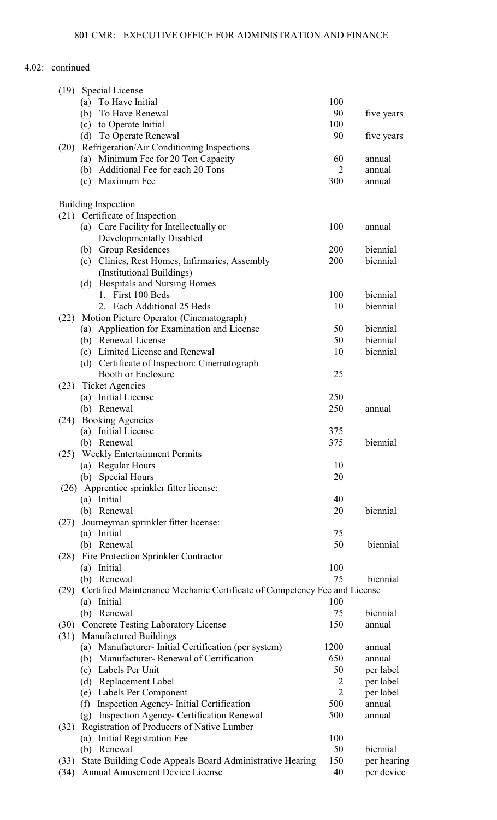| (19)<br>Special License                                                                           |                |                        |
|---------------------------------------------------------------------------------------------------|----------------|------------------------|
| (a) To Have Initial                                                                               | 100            |                        |
| To Have Renewal<br>(b)                                                                            | 90             | five years             |
| (c) to Operate Initial                                                                            | 100            |                        |
| (d) To Operate Renewal                                                                            | 90             | five years             |
| Refrigeration/Air Conditioning Inspections<br>(20)                                                |                |                        |
| Minimum Fee for 20 Ton Capacity<br>(a)                                                            | 60             | annual                 |
| (b) Additional Fee for each 20 Tons                                                               | $\overline{2}$ | annual                 |
| Maximum Fee<br>(c)                                                                                | 300            | annual                 |
|                                                                                                   |                |                        |
| <b>Building Inspection</b>                                                                        |                |                        |
| (21) Certificate of Inspection                                                                    |                |                        |
| (a) Care Facility for Intellectually or                                                           | 100            | annual                 |
| Developmentally Disabled                                                                          |                |                        |
| (b) Group Residences                                                                              | 200            | biennial               |
| (c) Clinics, Rest Homes, Infirmaries, Assembly                                                    | 200            | biennial               |
| (Institutional Buildings)                                                                         |                |                        |
| (d) Hospitals and Nursing Homes<br>1. First 100 Beds                                              |                | biennial               |
| 2. Each Additional 25 Beds                                                                        | 100<br>10      | biennial               |
|                                                                                                   |                |                        |
| Motion Picture Operator (Cinematograph)<br>(22)<br>Application for Examination and License<br>(a) | 50             | biennial               |
| (b) Renewal License                                                                               | 50             | biennial               |
| (c) Limited License and Renewal                                                                   | 10             | biennial               |
| (d) Certificate of Inspection: Cinematograph                                                      |                |                        |
| <b>Booth or Enclosure</b>                                                                         | 25             |                        |
| <b>Ticket Agencies</b><br>(23)                                                                    |                |                        |
| (a) Initial License                                                                               | 250            |                        |
| (b) Renewal                                                                                       | 250            | annual                 |
| <b>Booking Agencies</b><br>(24)                                                                   |                |                        |
| Initial License<br>(a)                                                                            | 375            |                        |
| Renewal<br>(b)                                                                                    | 375            | biennial               |
| (25) Weekly Entertainment Permits                                                                 |                |                        |
| <b>Regular Hours</b><br>(a)                                                                       | 10             |                        |
| <b>Special Hours</b><br>(b)                                                                       | 20             |                        |
| Apprentice sprinkler fitter license:<br>(26)                                                      |                |                        |
| Initial<br>(a)                                                                                    | 40             |                        |
| (b) Renewal                                                                                       | 20             | biennial               |
| Journeyman sprinkler fitter license:<br>(27)                                                      |                |                        |
| Initial<br>(a)                                                                                    | 75             |                        |
| (b) Renewal                                                                                       | 50             | biennial               |
| Fire Protection Sprinkler Contractor<br>(28)                                                      |                |                        |
| (a) Initial                                                                                       | 100            |                        |
| (b) Renewal                                                                                       | 75             | biennial               |
| Certified Maintenance Mechanic Certificate of Competency Fee and License<br>(29)                  |                |                        |
| Initial<br>(a)                                                                                    | 100            |                        |
| (b) Renewal                                                                                       | 75             | biennial               |
| (30) Concrete Testing Laboratory License                                                          | 150            | annual                 |
| <b>Manufactured Buildings</b><br>(31)                                                             |                |                        |
| (a) Manufacturer-Initial Certification (per system)<br>(b) Manufacturer-Renewal of Certification  | 1200<br>650    | annual                 |
| (c) Labels Per Unit                                                                               | 50             | annual<br>per label    |
|                                                                                                   | 2              |                        |
| (d) Replacement Label<br>(e) Labels Per Component                                                 | $\overline{2}$ | per label<br>per label |
| Inspection Agency- Initial Certification<br>(f)                                                   | 500            | annual                 |
| <b>Inspection Agency- Certification Renewal</b><br>(g)                                            | 500            | annual                 |
| Registration of Producers of Native Lumber<br>(32)                                                |                |                        |
| Initial Registration Fee<br>(a)                                                                   | 100            |                        |
| (b) Renewal                                                                                       |                |                        |
|                                                                                                   | 50             | biennial               |
| State Building Code Appeals Board Administrative Hearing<br>(33)                                  | 150            | per hearing            |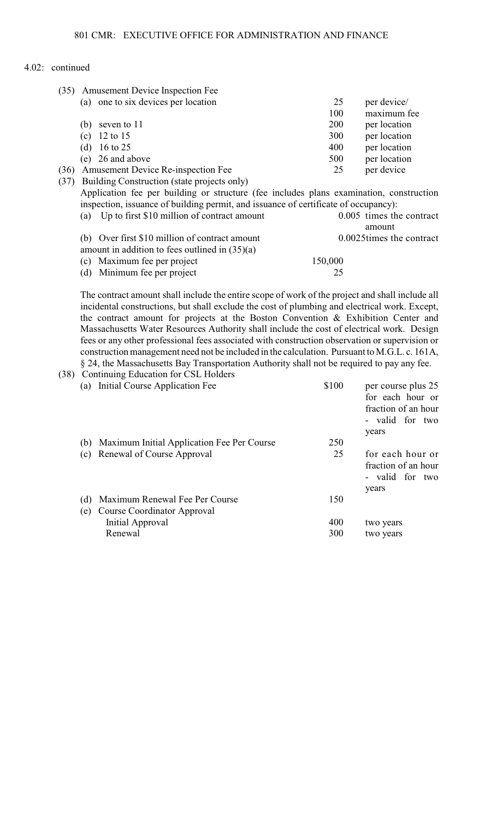| (35) | Amusement Device Inspection Fee                                                         |         |                          |
|------|-----------------------------------------------------------------------------------------|---------|--------------------------|
|      | (a) one to six devices per location                                                     | 25      | per device/              |
|      |                                                                                         | 100     | maximum fee              |
|      | seven to 11<br>(b)                                                                      | 200     | per location             |
|      | 12 to 15<br>(c)                                                                         | 300     | per location             |
|      | 16 to 25<br>(d)                                                                         | 400     | per location             |
|      | 26 and above<br>(e)                                                                     | 500     | per location             |
| (36) | Amusement Device Re-inspection Fee                                                      | 25      | per device               |
| (37) | Building Construction (state projects only)                                             |         |                          |
|      | Application fee per building or structure (fee includes plans examination, construction |         |                          |
|      | inspection, issuance of building permit, and issuance of certificate of occupancy):     |         |                          |
|      | Up to first \$10 million of contract amount<br>(a)                                      |         | 0.005 times the contract |
|      |                                                                                         |         | amount                   |
|      | Over first \$10 million of contract amount<br>(b)                                       |         | 0.0025times the contract |
|      | amount in addition to fees outlined in $(35)(a)$                                        |         |                          |
|      | (c) Maximum fee per project                                                             | 150,000 |                          |

(d) Minimum fee per project 25

The contract amount shall include the entire scope of work of the project and shall include all incidental constructions, but shall exclude the cost of plumbing and electrical work. Except, the contract amount for projects at the Boston Convention & Exhibition Center and Massachusetts Water Resources Authority shall include the cost of electrical work. Design fees or any other professional fees associated with construction observation or supervision or construction management need not be included in the calculation. Pursuant to M.G.L. c. 161A, § 24, the Massachusetts Bay Transportation Authority shall not be required to pay any fee.

| (38) |                | Continuing Education for CSL Holders           |       |                                                                                           |
|------|----------------|------------------------------------------------|-------|-------------------------------------------------------------------------------------------|
|      | (a)            | Initial Course Application Fee                 | \$100 | per course plus 25<br>for each hour or<br>fraction of an hour<br>- valid for two<br>years |
|      |                | (b) Maximum Initial Application Fee Per Course | 250   |                                                                                           |
|      | $^{\circ}$ (c) | Renewal of Course Approval                     | 25    | for each hour or<br>fraction of an hour<br>- valid for two<br>years                       |
|      | (d)            | Maximum Renewal Fee Per Course                 | 150   |                                                                                           |
|      | (e)            | Course Coordinator Approval                    |       |                                                                                           |
|      |                | Initial Approval                               | 400   | two years                                                                                 |
|      |                | Renewal                                        | 300   | two years                                                                                 |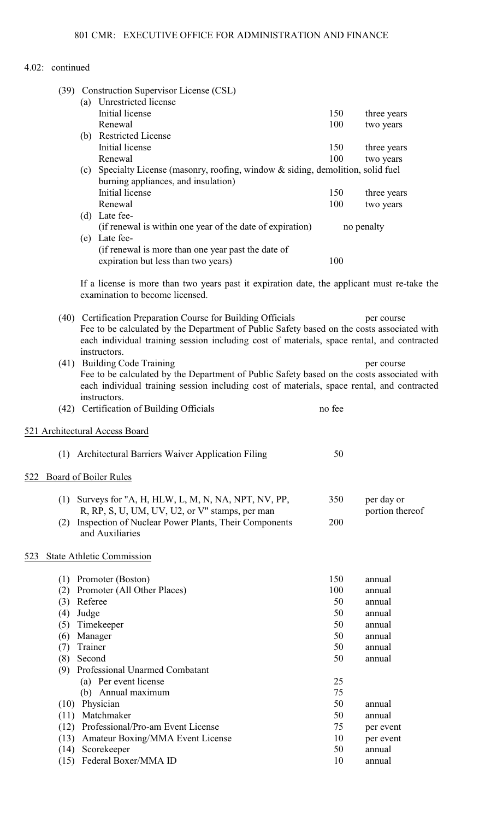|     |              | (39) Construction Supervisor License (CSL)<br>(a) Unrestricted license                                                                                                                                                                                   |          |                 |
|-----|--------------|----------------------------------------------------------------------------------------------------------------------------------------------------------------------------------------------------------------------------------------------------------|----------|-----------------|
|     |              | Initial license                                                                                                                                                                                                                                          | 150      | three years     |
|     |              | Renewal                                                                                                                                                                                                                                                  | 100      | two years       |
|     |              | (b) Restricted License                                                                                                                                                                                                                                   |          |                 |
|     |              | Initial license                                                                                                                                                                                                                                          | 150      | three years     |
|     |              | Renewal                                                                                                                                                                                                                                                  | 100      | two years       |
|     |              | (c) Specialty License (masonry, roofing, window & siding, demolition, solid fuel                                                                                                                                                                         |          |                 |
|     |              | burning appliances, and insulation)<br>Initial license                                                                                                                                                                                                   | 150      | three years     |
|     |              | Renewal                                                                                                                                                                                                                                                  | 100      | two years       |
|     |              | (d) Late fee-                                                                                                                                                                                                                                            |          |                 |
|     |              | (if renewal is within one year of the date of expiration)                                                                                                                                                                                                |          | no penalty      |
|     |              | (e) Late fee-                                                                                                                                                                                                                                            |          |                 |
|     |              | (if renewal is more than one year past the date of                                                                                                                                                                                                       |          |                 |
|     |              | expiration but less than two years)                                                                                                                                                                                                                      | 100      |                 |
|     |              |                                                                                                                                                                                                                                                          |          |                 |
|     |              | If a license is more than two years past it expiration date, the applicant must re-take the<br>examination to become licensed.                                                                                                                           |          |                 |
|     |              | (40) Certification Preparation Course for Building Officials<br>Fee to be calculated by the Department of Public Safety based on the costs associated with<br>each individual training session including cost of materials, space rental, and contracted |          | per course      |
|     |              | instructors.                                                                                                                                                                                                                                             |          |                 |
|     |              | (41) Building Code Training                                                                                                                                                                                                                              |          | per course      |
|     |              | Fee to be calculated by the Department of Public Safety based on the costs associated with                                                                                                                                                               |          |                 |
|     |              | each individual training session including cost of materials, space rental, and contracted<br>instructors.                                                                                                                                               |          |                 |
|     |              | (42) Certification of Building Officials                                                                                                                                                                                                                 | no fee   |                 |
|     |              | 521 Architectural Access Board                                                                                                                                                                                                                           |          |                 |
|     |              | (1) Architectural Barriers Waiver Application Filing                                                                                                                                                                                                     | 50       |                 |
| 522 |              | Board of Boiler Rules                                                                                                                                                                                                                                    |          |                 |
|     |              | (1) Surveys for "A, H, HLW, L, M, N, NA, NPT, NV, PP,                                                                                                                                                                                                    | 350      | per day or      |
|     |              | R, RP, S, U, UM, UV, U2, or V" stamps, per man                                                                                                                                                                                                           |          | portion thereof |
|     | (2)          | Inspection of Nuclear Power Plants, Their Components<br>and Auxiliaries                                                                                                                                                                                  | 200      |                 |
| 523 |              | <b>State Athletic Commission</b>                                                                                                                                                                                                                         |          |                 |
|     | (1)          | Promoter (Boston)                                                                                                                                                                                                                                        | 150      | annual          |
|     | (2)          | Promoter (All Other Places)                                                                                                                                                                                                                              | 100      | annual          |
|     |              | (3) Referee                                                                                                                                                                                                                                              | 50       | annual          |
|     | (4)          | Judge                                                                                                                                                                                                                                                    | 50       | annual          |
|     | (5)          | Timekeeper                                                                                                                                                                                                                                               | 50       | annual          |
|     |              | (6) Manager                                                                                                                                                                                                                                              | 50       | annual          |
|     | (7)          | Trainer                                                                                                                                                                                                                                                  | 50       | annual          |
|     | (8)          | Second                                                                                                                                                                                                                                                   | 50       | annual          |
|     |              | (9) Professional Unarmed Combatant                                                                                                                                                                                                                       |          |                 |
|     |              | (a) Per event license                                                                                                                                                                                                                                    | 25       |                 |
|     |              | (b) Annual maximum                                                                                                                                                                                                                                       | 75       |                 |
|     |              | (10) Physician                                                                                                                                                                                                                                           | 50       | annual          |
|     | (11)         | Matchmaker                                                                                                                                                                                                                                               | 50       | annual          |
|     | (12)         | Professional/Pro-am Event License                                                                                                                                                                                                                        | 75       | per event       |
|     | (13)         | Amateur Boxing/MMA Event License                                                                                                                                                                                                                         | 10       | per event       |
|     | (14)<br>(15) | Scorekeeper<br>Federal Boxer/MMA ID                                                                                                                                                                                                                      | 50<br>10 | annual          |
|     |              |                                                                                                                                                                                                                                                          |          | annual          |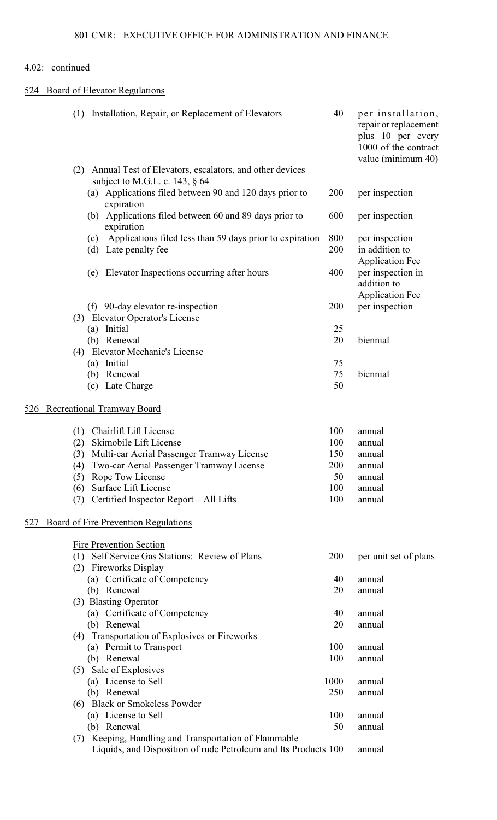# 524 Board of Elevator Regulations

|     | (1) Installation, Repair, or Replacement of Elevators                                                                    | 40   | per installation,<br>repair or replacement<br>plus 10 per every<br>1000 of the contract<br>value (minimum 40) |
|-----|--------------------------------------------------------------------------------------------------------------------------|------|---------------------------------------------------------------------------------------------------------------|
|     | (2) Annual Test of Elevators, escalators, and other devices<br>subject to M.G.L. c. 143, $\S$ 64                         |      |                                                                                                               |
|     | (a) Applications filed between 90 and 120 days prior to<br>expiration                                                    | 200  | per inspection                                                                                                |
|     | Applications filed between 60 and 89 days prior to<br>(b)<br>expiration                                                  | 600  | per inspection                                                                                                |
|     | Applications filed less than 59 days prior to expiration<br>(c)                                                          | 800  | per inspection                                                                                                |
|     | Late penalty fee<br>(d)                                                                                                  | 200  | in addition to<br><b>Application Fee</b>                                                                      |
|     | Elevator Inspections occurring after hours<br>(e)                                                                        | 400  | per inspection in<br>addition to<br><b>Application Fee</b>                                                    |
|     | (f) 90-day elevator re-inspection                                                                                        | 200  | per inspection                                                                                                |
|     | (3) Elevator Operator's License                                                                                          |      |                                                                                                               |
|     | (a) Initial                                                                                                              | 25   |                                                                                                               |
|     | (b) Renewal                                                                                                              | 20   | biennial                                                                                                      |
|     | <b>Elevator Mechanic's License</b><br>(4)                                                                                |      |                                                                                                               |
|     | (a) Initial                                                                                                              | 75   |                                                                                                               |
|     | Renewal<br>(b)                                                                                                           | 75   | biennial                                                                                                      |
|     | Late Charge<br>(c)                                                                                                       | 50   |                                                                                                               |
| 526 | <b>Recreational Tramway Board</b>                                                                                        |      |                                                                                                               |
|     | Chairlift Lift License<br>(1)                                                                                            | 100  | annual                                                                                                        |
|     | Skimobile Lift License<br>(2)                                                                                            | 100  | annual                                                                                                        |
|     | Multi-car Aerial Passenger Tramway License<br>(3)                                                                        | 150  | annual                                                                                                        |
|     | (4) Two-car Aerial Passenger Tramway License                                                                             | 200  | annual                                                                                                        |
|     | (5) Rope Tow License                                                                                                     | 50   | annual                                                                                                        |
|     | Surface Lift License<br>(6)                                                                                              | 100  | annual                                                                                                        |
|     | Certified Inspector Report – All Lifts<br>(7)                                                                            | 100  | annual                                                                                                        |
|     |                                                                                                                          |      |                                                                                                               |
| 527 | Board of Fire Prevention Regulations                                                                                     |      |                                                                                                               |
|     | Fire Prevention Section                                                                                                  |      |                                                                                                               |
|     | Self Service Gas Stations: Review of Plans<br>(1)<br>(2) Fireworks Display                                               | 200  | per unit set of plans                                                                                         |
|     | (a) Certificate of Competency                                                                                            | 40   | annual                                                                                                        |
|     | (b) Renewal                                                                                                              | 20   | annual                                                                                                        |
|     | (3) Blasting Operator                                                                                                    |      |                                                                                                               |
|     | (a) Certificate of Competency                                                                                            | 40   | annual                                                                                                        |
|     | (b) Renewal                                                                                                              | 20   | annual                                                                                                        |
|     | (4) Transportation of Explosives or Fireworks                                                                            |      |                                                                                                               |
|     | (a) Permit to Transport                                                                                                  | 100  | annual                                                                                                        |
|     | (b) Renewal                                                                                                              | 100  | annual                                                                                                        |
|     | (5) Sale of Explosives                                                                                                   |      |                                                                                                               |
|     | (a) License to Sell                                                                                                      | 1000 | annual                                                                                                        |
|     | (b) Renewal                                                                                                              | 250  | annual                                                                                                        |
|     | (6) Black or Smokeless Powder                                                                                            |      |                                                                                                               |
|     | (a) License to Sell                                                                                                      | 100  | annual                                                                                                        |
|     | (b) Renewal                                                                                                              | 50   | annual                                                                                                        |
|     | (7) Keeping, Handling and Transportation of Flammable<br>Liquids, and Disposition of rude Petroleum and Its Products 100 |      | annual                                                                                                        |
|     |                                                                                                                          |      |                                                                                                               |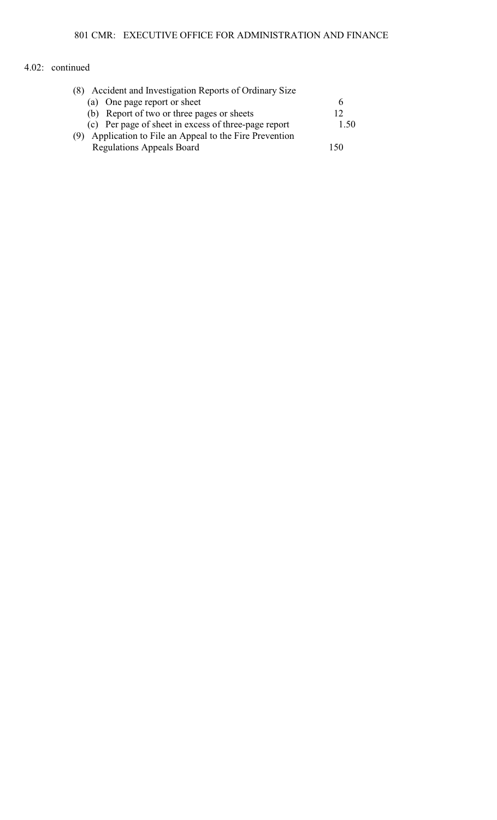| (8) Accident and Investigation Reports of Ordinary Size  |      |
|----------------------------------------------------------|------|
| (a) One page report or sheet                             |      |
| (b) Report of two or three pages or sheets               | 12   |
| (c) Per page of sheet in excess of three-page report     | 1.50 |
| (9) Application to File an Appeal to the Fire Prevention |      |
| <b>Regulations Appeals Board</b>                         | 150  |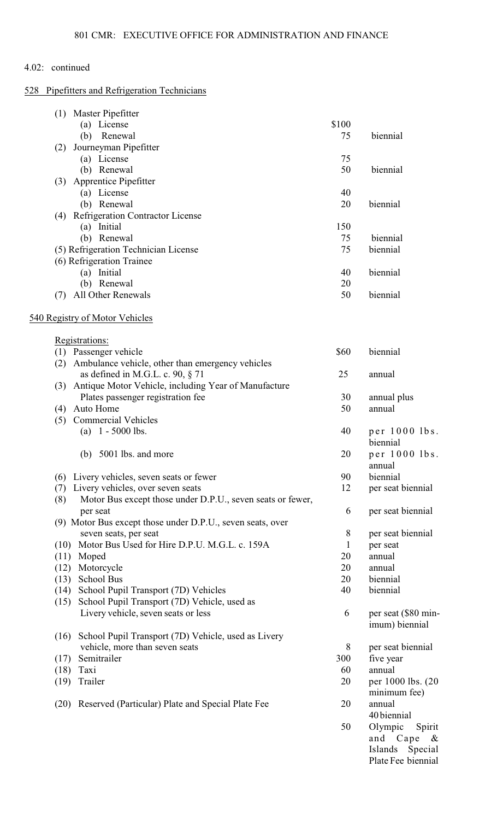# 528 Pipefitters and Refrigeration Technicians

| (1)  | Master Pipefitter                                          |       |                           |
|------|------------------------------------------------------------|-------|---------------------------|
|      | (a) License                                                | \$100 |                           |
|      | (b) Renewal                                                | 75    | biennial                  |
| (2)  | Journeyman Pipefitter                                      |       |                           |
|      | (a) License                                                | 75    |                           |
|      | (b) Renewal                                                | 50    | biennial                  |
| (3)  | Apprentice Pipefitter                                      |       |                           |
|      | (a) License                                                | 40    |                           |
|      | (b) Renewal                                                | 20    | biennial                  |
|      | (4) Refrigeration Contractor License                       |       |                           |
|      | (a) Initial                                                | 150   |                           |
|      | (b) Renewal                                                | 75    | biennial                  |
|      | (5) Refrigeration Technician License                       | 75    | biennial                  |
|      | (6) Refrigeration Trainee                                  |       |                           |
|      | (a) Initial                                                | 40    | biennial                  |
|      | (b) Renewal                                                | 20    |                           |
| (7)  | All Other Renewals                                         | 50    | biennial                  |
|      | 540 Registry of Motor Vehicles                             |       |                           |
|      | Registrations:                                             |       |                           |
|      | (1) Passenger vehicle                                      | \$60  | biennial                  |
| (2)  | Ambulance vehicle, other than emergency vehicles           |       |                           |
|      | as defined in M.G.L. c. 90, $\S$ 71                        | 25    | annual                    |
| (3)  | Antique Motor Vehicle, including Year of Manufacture       |       |                           |
|      | Plates passenger registration fee                          | 30    | annual plus               |
| (4)  | Auto Home                                                  | 50    | annual                    |
| (5)  | <b>Commercial Vehicles</b>                                 |       |                           |
|      | (a) $1 - 5000$ lbs.                                        | 40    | per 1000 lbs.<br>biennial |
|      | 5001 lbs. and more<br>(b)                                  | 20    | per 1000 lbs.<br>annual   |
| (6)  | Livery vehicles, seven seats or fewer                      | 90    | biennial                  |
| (7)  | Livery vehicles, over seven seats                          | 12    | per seat biennial         |
| (8)  | Motor Bus except those under D.P.U., seven seats or fewer, |       |                           |
|      | per seat                                                   | 6     | per seat biennial         |
|      | (9) Motor Bus except those under D.P.U., seven seats, over |       |                           |
|      | seven seats, per seat                                      | 8     | per seat biennial         |
| (10) | Motor Bus Used for Hire D.P.U. M.G.L. c. 159A              | 1     | per seat                  |
| (11) | Moped                                                      | 20    | annual                    |
| (12) | Motorcycle                                                 | 20    | annual                    |
| (13) | <b>School Bus</b>                                          | 20    | biennial                  |
| (14) | School Pupil Transport (7D) Vehicles                       | 40    | biennial                  |
| (15) | School Pupil Transport (7D) Vehicle, used as               |       |                           |
|      | Livery vehicle, seven seats or less                        | 6     | per seat (\$80 min-       |
|      |                                                            |       | imum) biennial            |
| (16) | School Pupil Transport (7D) Vehicle, used as Livery        |       |                           |
|      | vehicle, more than seven seats                             | 8     | per seat biennial         |
| (17) | Semitrailer                                                | 300   | five year                 |
| (18) | Taxi                                                       | 60    | annual                    |
| (19) | Trailer                                                    | 20    | per 1000 lbs. (20)        |
|      |                                                            |       | minimum fee)              |
| (20) | Reserved (Particular) Plate and Special Plate Fee          | 20    | annual                    |
|      |                                                            |       | 40 biennial               |
|      |                                                            | 50    | Olympic<br>Spirit         |
|      |                                                            |       | and Cape<br>$\&$          |
|      |                                                            |       | Islands Special           |
|      |                                                            |       | Plate Fee biennial        |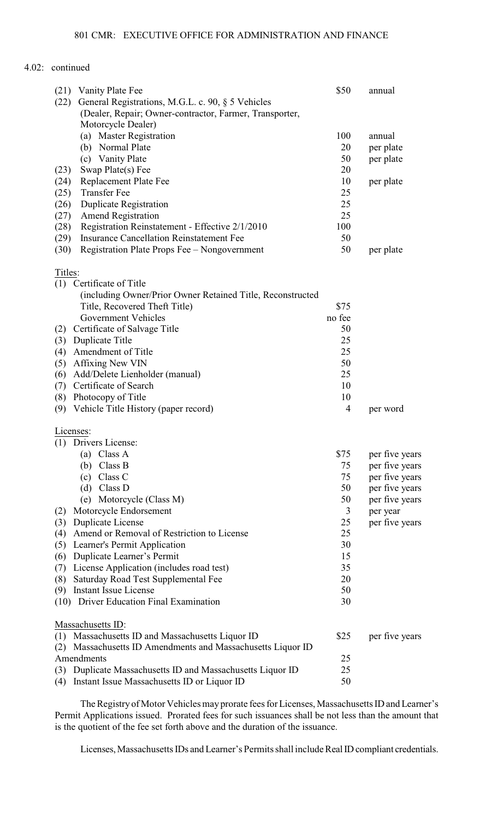| (21) Vanity Plate Fee                                          | \$50           | annual         |
|----------------------------------------------------------------|----------------|----------------|
| (22)<br>General Registrations, M.G.L. c. 90, § 5 Vehicles      |                |                |
| (Dealer, Repair; Owner-contractor, Farmer, Transporter,        |                |                |
| Motorcycle Dealer)                                             |                |                |
| (a) Master Registration                                        | 100            | annual         |
| (b) Normal Plate                                               | 20             | per plate      |
| (c) Vanity Plate                                               | 50             | per plate      |
| Swap Plate(s) Fee<br>(23)                                      | 20             |                |
| Replacement Plate Fee                                          | 10             |                |
| (24)<br><b>Transfer Fee</b>                                    |                | per plate      |
| (25)                                                           | 25             |                |
| <b>Duplicate Registration</b><br>(26)                          | 25             |                |
| <b>Amend Registration</b><br>(27)                              | 25             |                |
| (28)<br>Registration Reinstatement - Effective 2/1/2010        | 100            |                |
| <b>Insurance Cancellation Reinstatement Fee</b><br>(29)        | 50             |                |
| (30)<br>Registration Plate Props Fee - Nongovernment           | 50             | per plate      |
| Titles:                                                        |                |                |
| (1) Certificate of Title                                       |                |                |
| (including Owner/Prior Owner Retained Title, Reconstructed     |                |                |
| Title, Recovered Theft Title)                                  | \$75           |                |
| <b>Government Vehicles</b>                                     | no fee         |                |
| Certificate of Salvage Title<br>(2)                            | 50             |                |
| Duplicate Title<br>(3)                                         | 25             |                |
| Amendment of Title<br>(4)                                      | 25             |                |
| (5)<br>Affixing New VIN                                        | 50             |                |
| (6)<br>Add/Delete Lienholder (manual)                          | 25             |                |
| Certificate of Search<br>(7)                                   | 10             |                |
|                                                                | 10             |                |
| Photocopy of Title<br>(8)                                      |                |                |
| (9)<br>Vehicle Title History (paper record)                    | $\overline{4}$ | per word       |
| Licenses:                                                      |                |                |
| Drivers License:<br>(1)                                        |                |                |
| Class A<br>(a)                                                 | \$75           | per five years |
| $(b)$ Class B                                                  | 75             | per five years |
| Class C<br>(c)                                                 | 75             | per five years |
| $(d)$ Class D                                                  | 50             | per five years |
| Motorcycle (Class M)<br>(e)                                    | 50             | per five years |
| Motorcycle Endorsement<br>(2)                                  | 3              | per year       |
| <b>Duplicate License</b><br>(3)                                | 25             | per five years |
| Amend or Removal of Restriction to License<br>(4)              | 25             |                |
|                                                                |                |                |
| (5)<br>Learner's Permit Application                            | 30             |                |
| Duplicate Learner's Permit<br>(6)                              | 15             |                |
| License Application (includes road test)<br>(7)                | 35             |                |
| Saturday Road Test Supplemental Fee<br>(8)                     | 20             |                |
| Instant Issue License<br>(9)                                   | 50             |                |
| (10) Driver Education Final Examination                        | 30             |                |
| Massachusetts ID:                                              |                |                |
| (1) Massachusetts ID and Massachusetts Liquor ID               | \$25           | per five years |
| Massachusetts ID Amendments and Massachusetts Liquor ID<br>(2) |                |                |
| Amendments                                                     | 25             |                |
| Duplicate Massachusetts ID and Massachusetts Liquor ID<br>(3)  | 25             |                |
| Instant Issue Massachusetts ID or Liquor ID<br>(4)             | 50             |                |
|                                                                |                |                |

The Registry of Motor Vehicles may prorate fees for Licenses, Massachusetts ID and Learner's Permit Applications issued. Prorated fees for such issuances shall be not less than the amount that is the quotient of the fee set forth above and the duration of the issuance.

Licenses, Massachusetts IDs and Learner's Permits shall include Real ID compliant credentials.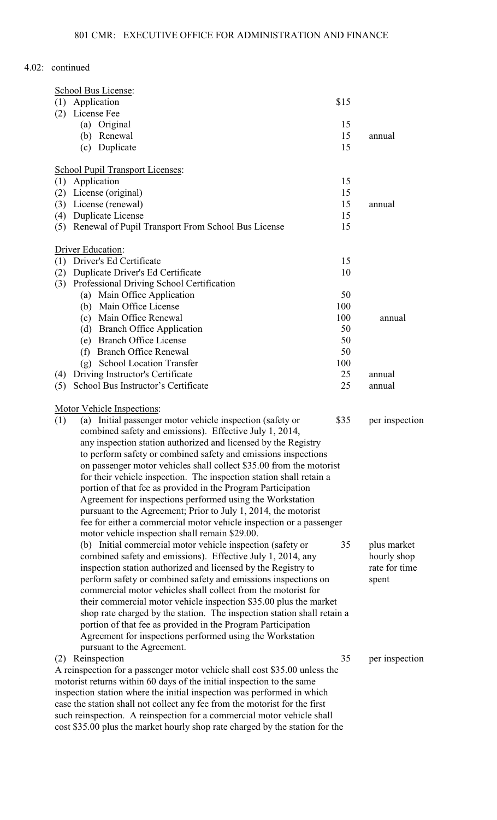| School Bus License:                                                                                                             |           |                |
|---------------------------------------------------------------------------------------------------------------------------------|-----------|----------------|
| (1) Application                                                                                                                 | \$15      |                |
| License Fee<br>(2)                                                                                                              |           |                |
| (a) Original                                                                                                                    | 15        |                |
| (b) Renewal                                                                                                                     | 15        | annual         |
| (c) Duplicate                                                                                                                   | 15        |                |
| <b>School Pupil Transport Licenses:</b>                                                                                         |           |                |
| Application<br>(1)                                                                                                              | 15        |                |
| License (original)<br>(2)                                                                                                       | 15        |                |
| License (renewal)<br>(3)                                                                                                        | 15        | annual         |
| Duplicate License<br>(4)                                                                                                        | 15        |                |
| Renewal of Pupil Transport From School Bus License<br>(5)                                                                       | 15        |                |
| Driver Education:                                                                                                               |           |                |
| Driver's Ed Certificate<br>(1)                                                                                                  | 15        |                |
| Duplicate Driver's Ed Certificate<br>(2)                                                                                        | 10        |                |
| Professional Driving School Certification<br>(3)                                                                                |           |                |
| (a) Main Office Application                                                                                                     | 50        |                |
| (b) Main Office License                                                                                                         | 100       |                |
| (c) Main Office Renewal                                                                                                         | 100       | annual         |
| <b>Branch Office Application</b><br>(d)                                                                                         | 50        |                |
| (e) Branch Office License                                                                                                       | 50        |                |
| <b>Branch Office Renewal</b><br>(f)<br>(g) School Location Transfer                                                             | 50<br>100 |                |
| Driving Instructor's Certificate<br>(4)                                                                                         | 25        | annual         |
| School Bus Instructor's Certificate<br>(5)                                                                                      | 25        | annual         |
|                                                                                                                                 |           |                |
| Motor Vehicle Inspections:<br>(a) Initial passenger motor vehicle inspection (safety or<br>(1)                                  | \$35      | per inspection |
| combined safety and emissions). Effective July 1, 2014,                                                                         |           |                |
| any inspection station authorized and licensed by the Registry                                                                  |           |                |
| to perform safety or combined safety and emissions inspections                                                                  |           |                |
| on passenger motor vehicles shall collect \$35.00 from the motorist                                                             |           |                |
| for their vehicle inspection. The inspection station shall retain a                                                             |           |                |
| portion of that fee as provided in the Program Participation                                                                    |           |                |
| Agreement for inspections performed using the Workstation                                                                       |           |                |
| pursuant to the Agreement; Prior to July 1, 2014, the motorist                                                                  |           |                |
| fee for either a commercial motor vehicle inspection or a passenger                                                             |           |                |
| motor vehicle inspection shall remain \$29.00.                                                                                  |           |                |
| (b) Initial commercial motor vehicle inspection (safety or                                                                      | 35        | plus market    |
| combined safety and emissions). Effective July 1, 2014, any                                                                     |           | hourly shop    |
| inspection station authorized and licensed by the Registry to                                                                   |           | rate for time  |
| perform safety or combined safety and emissions inspections on<br>commercial motor vehicles shall collect from the motorist for |           | spent          |
| their commercial motor vehicle inspection \$35.00 plus the market                                                               |           |                |
| shop rate charged by the station. The inspection station shall retain a                                                         |           |                |
| portion of that fee as provided in the Program Participation                                                                    |           |                |
| Agreement for inspections performed using the Workstation                                                                       |           |                |
| pursuant to the Agreement.                                                                                                      |           |                |
| (2) Reinspection                                                                                                                | 35        | per inspection |
| A reinspection for a passenger motor vehicle shall cost \$35.00 unless the                                                      |           |                |
| motorist returns within 60 days of the initial inspection to the same                                                           |           |                |
| inspection station where the initial inspection was performed in which                                                          |           |                |
| case the station shall not collect any fee from the motorist for the first                                                      |           |                |
| such reinspection. A reinspection for a commercial motor vehicle shall                                                          |           |                |

such reinspection. A reinspection for a commercial motor vehicle shall cost \$35.00 plus the market hourly shop rate charged by the station for the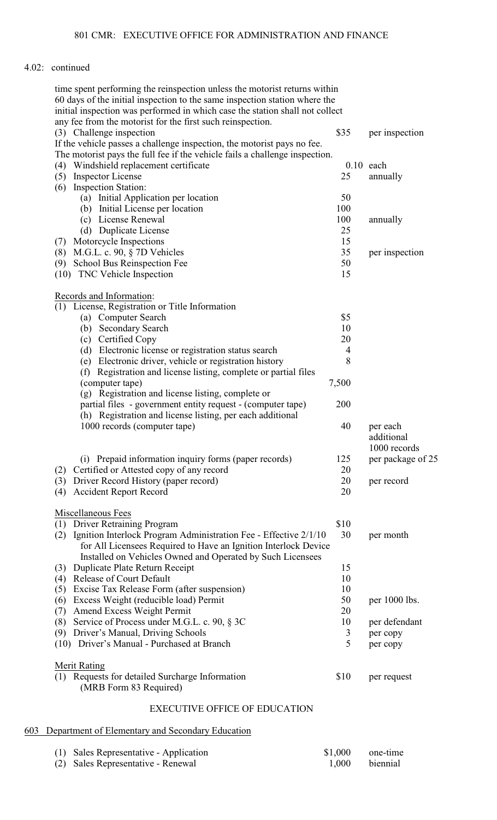| time spent performing the reinspection unless the motorist returns within    |                |                   |
|------------------------------------------------------------------------------|----------------|-------------------|
| 60 days of the initial inspection to the same inspection station where the   |                |                   |
| initial inspection was performed in which case the station shall not collect |                |                   |
| any fee from the motorist for the first such reinspection.                   |                |                   |
| (3) Challenge inspection                                                     | \$35           | per inspection    |
| If the vehicle passes a challenge inspection, the motorist pays no fee.      |                |                   |
| The motorist pays the full fee if the vehicle fails a challenge inspection.  |                |                   |
| Windshield replacement certificate<br>(4)                                    |                | $0.10$ each       |
| <b>Inspector License</b><br>(5)                                              | 25             | annually          |
| <b>Inspection Station:</b><br>(6)                                            |                |                   |
| (a) Initial Application per location                                         | 50             |                   |
| (b) Initial License per location                                             | 100            |                   |
| (c) License Renewal                                                          | 100            | annually          |
| (d) Duplicate License                                                        | 25             |                   |
| Motorcycle Inspections<br>(7)                                                | 15             |                   |
| M.G.L. c. 90, $\S$ 7D Vehicles<br>(8)                                        | 35             | per inspection    |
| School Bus Reinspection Fee<br>(9)                                           | 50             |                   |
| (10) TNC Vehicle Inspection                                                  | 15             |                   |
|                                                                              |                |                   |
| Records and Information:                                                     |                |                   |
| License, Registration or Title Information<br>(1)                            |                |                   |
| (a) Computer Search                                                          | \$5            |                   |
| (b) Secondary Search                                                         | 10             |                   |
| (c) Certified Copy                                                           | 20             |                   |
|                                                                              |                |                   |
| (d) Electronic license or registration status search                         | $\overline{4}$ |                   |
| (e) Electronic driver, vehicle or registration history                       | 8              |                   |
| Registration and license listing, complete or partial files<br>(f)           |                |                   |
| (computer tape)                                                              | 7,500          |                   |
| (g) Registration and license listing, complete or                            |                |                   |
| partial files - government entity request - (computer tape)                  | 200            |                   |
| (h) Registration and license listing, per each additional                    |                |                   |
| 1000 records (computer tape)                                                 | 40             | per each          |
|                                                                              |                | additional        |
|                                                                              |                | 1000 records      |
| (i) Prepaid information inquiry forms (paper records)                        | 125            | per package of 25 |
| Certified or Attested copy of any record<br>(2)                              | 20             |                   |
| Driver Record History (paper record)<br>(3)                                  | 20             | per record        |
| <b>Accident Report Record</b><br>(4)                                         | 20             |                   |
|                                                                              |                |                   |
| Miscellaneous Fees                                                           |                |                   |
| <b>Driver Retraining Program</b><br>(1)                                      | \$10           |                   |
| Ignition Interlock Program Administration Fee - Effective 2/1/10<br>(2)      | 30             | per month         |
| for All Licensees Required to Have an Ignition Interlock Device              |                |                   |
| Installed on Vehicles Owned and Operated by Such Licensees                   |                |                   |
| Duplicate Plate Return Receipt<br>(3)                                        | 15             |                   |
| <b>Release of Court Default</b><br>(4)                                       | 10             |                   |
| Excise Tax Release Form (after suspension)                                   | 10             |                   |
| (5)                                                                          |                |                   |
| Excess Weight (reducible load) Permit<br>(6)                                 | 50             | per 1000 lbs.     |
| Amend Excess Weight Permit<br>(7)                                            | 20             |                   |
| Service of Process under M.G.L. c. 90, § 3C<br>(8)                           | 10             | per defendant     |
| Driver's Manual, Driving Schools<br>(9)                                      | 3              | per copy          |
| Driver's Manual - Purchased at Branch<br>(10)                                | 5              | per copy          |
|                                                                              |                |                   |
| <b>Merit Rating</b>                                                          |                |                   |
| Requests for detailed Surcharge Information<br>(1)                           | \$10           | per request       |
| (MRB Form 83 Required)                                                       |                |                   |
| <b>EXECUTIVE OFFICE OF EDUCATION</b>                                         |                |                   |

# 603 Department of Elementary and Secondary Education

| (1) Sales Representative - Application | \$1,000 | one-time |
|----------------------------------------|---------|----------|
| (2) Sales Representative - Renewal     | 1.000   | biennial |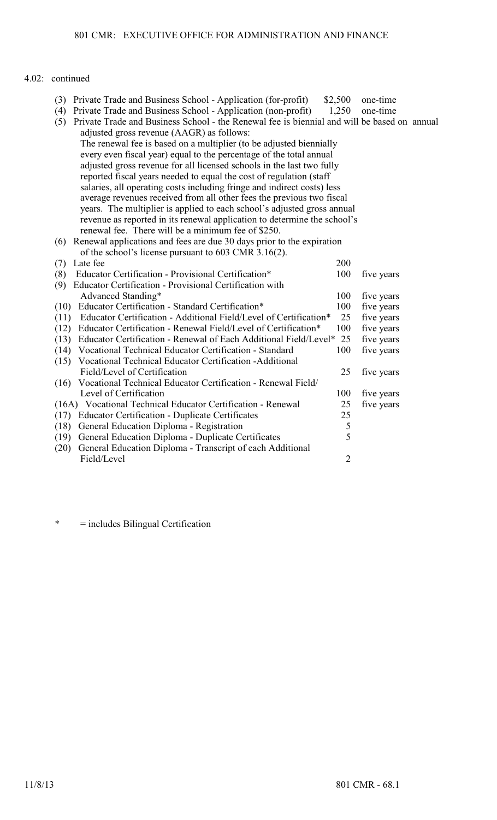- (3) Private Trade and Business School Application (for-profit) \$2,500 one-time (4) Private Trade and Business School Application (non-profit) 1,250 one-time
- (4) Private Trade and Business School Application (non-profit)
- (5) Private Trade and Business School the Renewal fee is biennial and will be based on annual adjusted gross revenue (AAGR) as follows: The renewal fee is based on a multiplier (to be adjusted biennially every even fiscal year) equal to the percentage of the total annual adjusted gross revenue for all licensed schools in the last two fully reported fiscal years needed to equal the cost of regulation (staff salaries, all operating costs including fringe and indirect costs) less average revenues received from all other fees the previous two fiscal years. The multiplier is applied to each school's adjusted gross annual
- revenue as reported in its renewal application to determine the school's renewal fee. There will be a minimum fee of \$250. (6) Renewal applications and fees are due 30 days prior to the expiration

| of the school's license pursuant to 603 CMR 3.16(2).                        |            |            |
|-----------------------------------------------------------------------------|------------|------------|
| Late fee<br>(7)                                                             | <b>200</b> |            |
| Educator Certification - Provisional Certification*<br>(8)                  | 100        | five years |
| Educator Certification - Provisional Certification with<br>(9)              |            |            |
| Advanced Standing*                                                          | 100        | five years |
| Educator Certification - Standard Certification*<br>(10)                    | 100        | five years |
| Educator Certification - Additional Field/Level of Certification*<br>(11)   | 25         | five years |
| Educator Certification - Renewal Field/Level of Certification*<br>(12)      | 100        | five years |
| Educator Certification - Renewal of Each Additional Field/Level* 25<br>(13) |            | five years |
| Vocational Technical Educator Certification - Standard<br>(14)              | 100        | five years |
| Vocational Technical Educator Certification -Additional<br>(15)             |            |            |
| Field/Level of Certification                                                | 25         | five years |
| (16) Vocational Technical Educator Certification - Renewal Field/           |            |            |
| Level of Certification                                                      | 100        | five years |
| (16A) Vocational Technical Educator Certification - Renewal                 | 25         | five years |
| <b>Educator Certification - Duplicate Certificates</b><br>(17)              | 25         |            |
| General Education Diploma - Registration<br>(18)                            | 5          |            |
| General Education Diploma - Duplicate Certificates<br>(19)                  | 5          |            |
| General Education Diploma - Transcript of each Additional<br>(20)           |            |            |
| Field/Level                                                                 | 2          |            |
|                                                                             |            |            |

\* = includes Bilingual Certification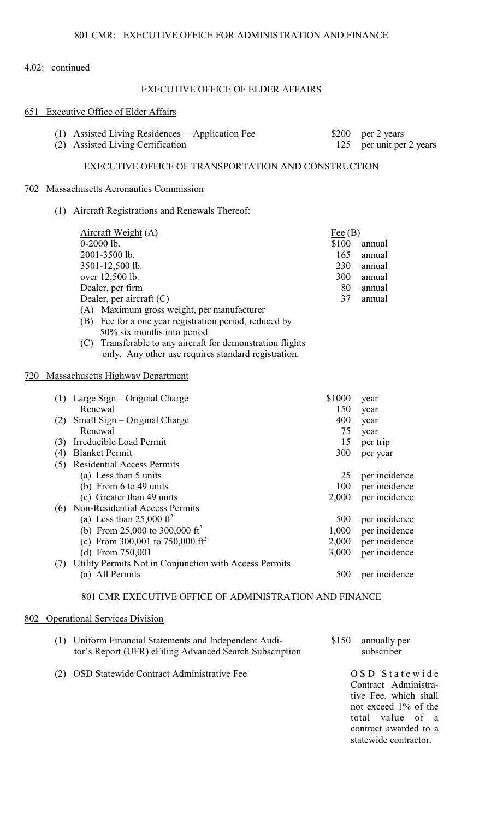# EXECUTIVE OFFICE OF ELDER AFFAIRS

# 651 Executive Office of Elder Affair

| 651 | <b>Executive Office of Elder Affairs</b>                                                                                                                                                                                                                                                                                                                                                                  |                                                     |                                                          |
|-----|-----------------------------------------------------------------------------------------------------------------------------------------------------------------------------------------------------------------------------------------------------------------------------------------------------------------------------------------------------------------------------------------------------------|-----------------------------------------------------|----------------------------------------------------------|
|     | $(1)$ Assisted Living Residences – Application Fee<br>(2) Assisted Living Certification                                                                                                                                                                                                                                                                                                                   | \$200<br>125                                        | per 2 years<br>per unit per 2 years                      |
|     | EXECUTIVE OFFICE OF TRANSPORTATION AND CONSTRUCTION                                                                                                                                                                                                                                                                                                                                                       |                                                     |                                                          |
|     | 702 Massachusetts Aeronautics Commission                                                                                                                                                                                                                                                                                                                                                                  |                                                     |                                                          |
|     | (1) Aircraft Registrations and Renewals Thereof:                                                                                                                                                                                                                                                                                                                                                          |                                                     |                                                          |
|     | Aircraft Weight (A)<br>$0-2000$ lb.<br>2001-3500 lb.<br>3501-12,500 lb.<br>over 12,500 lb.<br>Dealer, per firm<br>Dealer, per aircraft (C)<br>(A) Maximum gross weight, per manufacturer<br>(B) Fee for a one year registration period, reduced by<br>50% six months into period.<br>Transferable to any aircraft for demonstration flights<br>(C)<br>only. Any other use requires standard registration. | $Fee$ (B)<br>\$100<br>165<br>230<br>300<br>80<br>37 | annual<br>annual<br>annual<br>annual<br>annual<br>annual |
| 720 | <b>Massachusetts Highway Department</b>                                                                                                                                                                                                                                                                                                                                                                   |                                                     |                                                          |
|     | $(1)$ Large Sign – Original Charge<br>Renewal<br>(2) Small Sign – Original Charge<br>Renewal                                                                                                                                                                                                                                                                                                              | \$1000<br>150<br>400<br>75                          | year<br>year<br>year<br>year                             |
|     | (3) Irreducible Load Permit                                                                                                                                                                                                                                                                                                                                                                               | 15                                                  | per trip                                                 |
|     | (4) Blanket Permit                                                                                                                                                                                                                                                                                                                                                                                        | 300                                                 | per year                                                 |
|     | (5) Residential Access Permits<br>(a) Less than 5 units<br>(b) From $6$ to $49$ units<br>(c) Greater than 49 units                                                                                                                                                                                                                                                                                        | 25<br>100<br>2,000                                  | per incidence<br>per incidence<br>per incidence          |
|     | (6) Non-Residential Access Permits                                                                                                                                                                                                                                                                                                                                                                        |                                                     |                                                          |
|     | (a) Less than $25,000 \text{ ft}^2$                                                                                                                                                                                                                                                                                                                                                                       | 500                                                 | per incidence                                            |
|     | (b) From 25,000 to 300,000 ft <sup>2</sup>                                                                                                                                                                                                                                                                                                                                                                | 1,000                                               | per incidence                                            |

(c) From 300,001 to 750,000 ft<sup>2</sup> 2,000 per incidence (d) From 750,001 3,000 per incidence (7) Utility Permits Not in Conjunction with Access Permits 500 per incidence

801 CMR EXECUTIVE OFFICE OF ADMINISTRATION AND FINANCE

#### 802 Operational Services Division

| (1) Uniform Financial Statements and Independent Audi-  | \$150 annually per |
|---------------------------------------------------------|--------------------|
| tor's Report (UFR) eFiling Advanced Search Subscription | subscriber         |

(2) OSD Statewide Contract Administrative Fee O S D S t a t e w i d e

Contract Administrative Fee, which shall not exceed 1% of the total value of a contract awarded to a statewide contractor.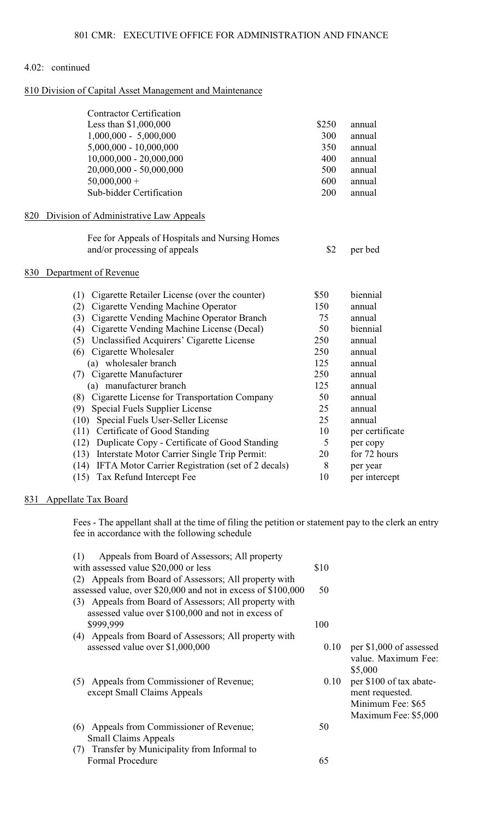## 810 Division of Capital Asset Management and Maintenance

|     | <b>Contractor Certification</b>                           |       |                 |
|-----|-----------------------------------------------------------|-------|-----------------|
|     | Less than \$1,000,000                                     | \$250 | annual          |
|     | $1,000,000 - 5,000,000$                                   | 300   | annual          |
|     | $5,000,000 - 10,000,000$                                  | 350   | annual          |
|     | $10,000,000 - 20,000,000$                                 | 400   | annual          |
|     | 20,000,000 - 50,000,000                                   | 500   | annual          |
|     | $50,000,000 +$                                            | 600   | annual          |
|     | Sub-bidder Certification                                  | 200   | annual          |
| 820 | Division of Administrative Law Appeals                    |       |                 |
|     | Fee for Appeals of Hospitals and Nursing Homes            |       |                 |
|     | and/or processing of appeals                              | \$2   | per bed         |
| 830 | Department of Revenue                                     |       |                 |
|     | Cigarette Retailer License (over the counter)<br>(1)      | \$50  | biennial        |
|     | Cigarette Vending Machine Operator<br>(2)                 | 150   | annual          |
|     | (3) Cigarette Vending Machine Operator Branch             | 75    | annual          |
|     | Cigarette Vending Machine License (Decal)<br>(4)          | 50    | biennial        |
|     | Unclassified Acquirers' Cigarette License<br>(5)          | 250   | annual          |
|     | (6) Cigarette Wholesaler                                  | 250   | annual          |
|     | (a) wholesaler branch                                     | 125   | annual          |
|     | Cigarette Manufacturer<br>(7)                             | 250   | annual          |
|     | (a) manufacturer branch                                   | 125   | annual          |
|     | (8) Cigarette License for Transportation Company          | 50    | annual          |
|     | Special Fuels Supplier License<br>(9)                     | 25    | annual          |
|     | Special Fuels User-Seller License<br>(10)                 | 25    | annual          |
|     | Certificate of Good Standing<br>(11)                      | 10    | per certificate |
|     | Duplicate Copy - Certificate of Good Standing<br>(12)     | 5     | per copy        |
|     | Interstate Motor Carrier Single Trip Permit:<br>(13)      | 20    | for 72 hours    |
|     | IFTA Motor Carrier Registration (set of 2 decals)<br>(14) | 8     | per year        |
|     | (15)<br>Tax Refund Intercept Fee                          | 10    | per intercept   |

# 831 Appellate Tax Board

Fees - The appellant shall at the time of filing the petition or statement pay to the clerk an entry fee in accordance with the following schedule

| Appeals from Board of Assessors; All property<br>(1)         |      |                         |
|--------------------------------------------------------------|------|-------------------------|
| with assessed value \$20,000 or less                         | \$10 |                         |
| Appeals from Board of Assessors; All property with<br>(2)    |      |                         |
| assessed value, over \$20,000 and not in excess of \$100,000 | 50   |                         |
| (3) Appeals from Board of Assessors; All property with       |      |                         |
| assessed value over \$100,000 and not in excess of           |      |                         |
| \$999,999                                                    | 100  |                         |
| (4) Appeals from Board of Assessors; All property with       |      |                         |
| assessed value over \$1,000,000                              | 0.10 | per \$1,000 of assessed |
|                                                              |      | value. Maximum Fee:     |
|                                                              |      | \$5,000                 |
| (5) Appeals from Commissioner of Revenue;                    | 0.10 | per \$100 of tax abate- |
| except Small Claims Appeals                                  |      | ment requested.         |
|                                                              |      | Minimum Fee: \$65       |
|                                                              |      | Maximum Fee: \$5,000    |
| Appeals from Commissioner of Revenue;<br>(6)                 | 50   |                         |
| <b>Small Claims Appeals</b>                                  |      |                         |
| (7) Transfer by Municipality from Informal to                |      |                         |
| <b>Formal Procedure</b>                                      | 65   |                         |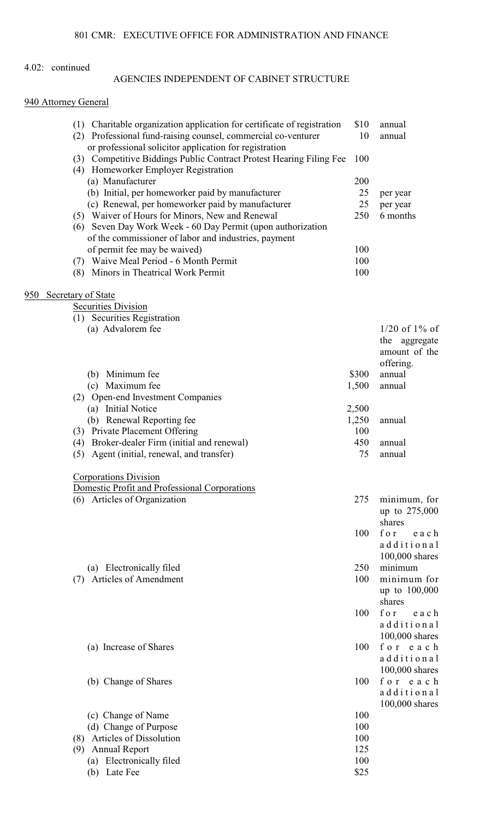# AGENCIES INDEPENDENT OF CABINET STRUCTURE

# 940 Attorney General

|     | (1) Charitable organization application for certificate of registration<br>Professional fund-raising counsel, commercial co-venturer<br>(2)<br>or professional solicitor application for registration | \$10<br>10 | annual<br>annual              |
|-----|-------------------------------------------------------------------------------------------------------------------------------------------------------------------------------------------------------|------------|-------------------------------|
|     | (3) Competitive Biddings Public Contract Protest Hearing Filing Fee<br>(4) Homeworker Employer Registration                                                                                           | 100        |                               |
|     | (a) Manufacturer                                                                                                                                                                                      | 200        |                               |
|     | (b) Initial, per homeworker paid by manufacturer                                                                                                                                                      | 25         | per year                      |
|     | (c) Renewal, per homeworker paid by manufacturer                                                                                                                                                      | 25         | per year                      |
|     | (5) Waiver of Hours for Minors, New and Renewal                                                                                                                                                       | 250        | 6 months                      |
|     | (6) Seven Day Work Week - 60 Day Permit (upon authorization                                                                                                                                           |            |                               |
|     | of the commissioner of labor and industries, payment                                                                                                                                                  |            |                               |
|     | of permit fee may be waived)                                                                                                                                                                          | 100        |                               |
|     | (7) Waive Meal Period - 6 Month Permit                                                                                                                                                                | 100        |                               |
|     | (8) Minors in Theatrical Work Permit                                                                                                                                                                  | 100        |                               |
| 950 | Secretary of State                                                                                                                                                                                    |            |                               |
|     | <b>Securities Division</b>                                                                                                                                                                            |            |                               |
|     | (1) Securities Registration                                                                                                                                                                           |            |                               |
|     | (a) Advalorem fee                                                                                                                                                                                     |            | $1/20$ of $1\%$ of            |
|     |                                                                                                                                                                                                       |            | the aggregate                 |
|     |                                                                                                                                                                                                       |            | amount of the                 |
|     |                                                                                                                                                                                                       |            | offering.                     |
|     | (b) Minimum fee                                                                                                                                                                                       | \$300      | annual                        |
|     | (c) Maximum fee                                                                                                                                                                                       | 1,500      | annual                        |
|     | (2) Open-end Investment Companies                                                                                                                                                                     |            |                               |
|     | (a) Initial Notice                                                                                                                                                                                    | 2,500      |                               |
|     | (b) Renewal Reporting fee                                                                                                                                                                             | 1,250      | annual                        |
|     | (3) Private Placement Offering                                                                                                                                                                        | 100        |                               |
|     | Broker-dealer Firm (initial and renewal)<br>(4)                                                                                                                                                       | 450        | annual                        |
|     | (5) Agent (initial, renewal, and transfer)                                                                                                                                                            | 75         | annual                        |
|     | <b>Corporations Division</b>                                                                                                                                                                          |            |                               |
|     | Domestic Profit and Professional Corporations                                                                                                                                                         | 275        |                               |
|     | (6) Articles of Organization                                                                                                                                                                          |            | minimum, for<br>up to 275,000 |
|     |                                                                                                                                                                                                       |            | shares                        |
|     |                                                                                                                                                                                                       | 100        | for<br>each                   |
|     |                                                                                                                                                                                                       |            | additional                    |
|     |                                                                                                                                                                                                       |            | 100,000 shares                |
|     | (a) Electronically filed                                                                                                                                                                              | 250        | minimum                       |
|     | <b>Articles of Amendment</b><br>(7)                                                                                                                                                                   | 100        | minimum for                   |
|     |                                                                                                                                                                                                       |            | up to 100,000                 |
|     |                                                                                                                                                                                                       |            | shares                        |
|     |                                                                                                                                                                                                       | 100        | for<br>each                   |
|     |                                                                                                                                                                                                       |            | additional                    |
|     |                                                                                                                                                                                                       |            | 100,000 shares                |
|     | (a) Increase of Shares                                                                                                                                                                                | 100        | for each                      |
|     |                                                                                                                                                                                                       |            | additional                    |
|     |                                                                                                                                                                                                       |            | 100,000 shares                |
|     | (b) Change of Shares                                                                                                                                                                                  | 100        | for each                      |
|     |                                                                                                                                                                                                       |            | additional                    |
|     |                                                                                                                                                                                                       |            | 100,000 shares                |
|     | (c) Change of Name                                                                                                                                                                                    | 100        |                               |
|     | (d) Change of Purpose                                                                                                                                                                                 | 100        |                               |
|     | <b>Articles of Dissolution</b><br>(8)                                                                                                                                                                 | 100        |                               |
|     | <b>Annual Report</b><br>(9)                                                                                                                                                                           | 125        |                               |
|     | (a) Electronically filed                                                                                                                                                                              | 100        |                               |
|     | (b) Late Fee                                                                                                                                                                                          | \$25       |                               |
|     |                                                                                                                                                                                                       |            |                               |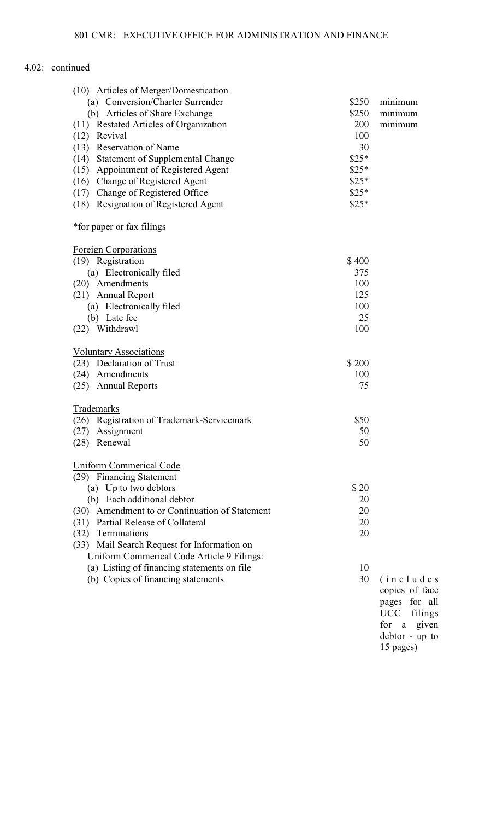| (10) Articles of Merger/Domestication             |        |                       |
|---------------------------------------------------|--------|-----------------------|
| (a) Conversion/Charter Surrender                  | \$250  | minimum               |
| (b) Articles of Share Exchange                    | \$250  | minimum               |
| <b>Restated Articles of Organization</b><br>(11)  | 200    | minimum               |
| (12) Revival                                      | 100    |                       |
| (13) Reservation of Name                          | 30     |                       |
| (14) Statement of Supplemental Change             | $$25*$ |                       |
| (15) Appointment of Registered Agent              | $$25*$ |                       |
| (16) Change of Registered Agent                   | $$25*$ |                       |
| (17) Change of Registered Office                  | $$25*$ |                       |
| (18) Resignation of Registered Agent              | $$25*$ |                       |
| *for paper or fax filings                         |        |                       |
| <b>Foreign Corporations</b>                       |        |                       |
| (19) Registration                                 | \$400  |                       |
| (a) Electronically filed                          | 375    |                       |
| (20) Amendments                                   | 100    |                       |
| (21) Annual Report                                | 125    |                       |
| (a) Electronically filed                          | 100    |                       |
| (b) Late fee                                      | 25     |                       |
| (22) Withdrawl                                    | 100    |                       |
| <b>Voluntary Associations</b>                     |        |                       |
| (23) Declaration of Trust                         | \$200  |                       |
| (24) Amendments                                   | 100    |                       |
| (25) Annual Reports                               | 75     |                       |
| Trademarks                                        |        |                       |
| (26) Registration of Trademark-Servicemark        | \$50   |                       |
| Assignment<br>(27)                                | 50     |                       |
| (28)<br>Renewal                                   | 50     |                       |
| <b>Uniform Commerical Code</b>                    |        |                       |
| (29) Financing Statement                          |        |                       |
| (a) Up to two debtors                             | \$20   |                       |
| (b) Each additional debtor                        | 20     |                       |
| Amendment to or Continuation of Statement<br>(30) | 20     |                       |
| (31) Partial Release of Collateral                | 20     |                       |
| Terminations<br>(32)                              | 20     |                       |
| (33) Mail Search Request for Information on       |        |                       |
| Uniform Commerical Code Article 9 Filings:        |        |                       |
| (a) Listing of financing statements on file       | 10     |                       |
| (b) Copies of financing statements                | 30     | (i n c l u d e s      |
|                                                   |        | copies of face        |
|                                                   |        | for all<br>pages      |
|                                                   |        | <b>UCC</b><br>filings |
|                                                   |        | given<br>for a        |
|                                                   |        | debtor - up to        |
|                                                   |        |                       |

face r all lings given up to 15 pages)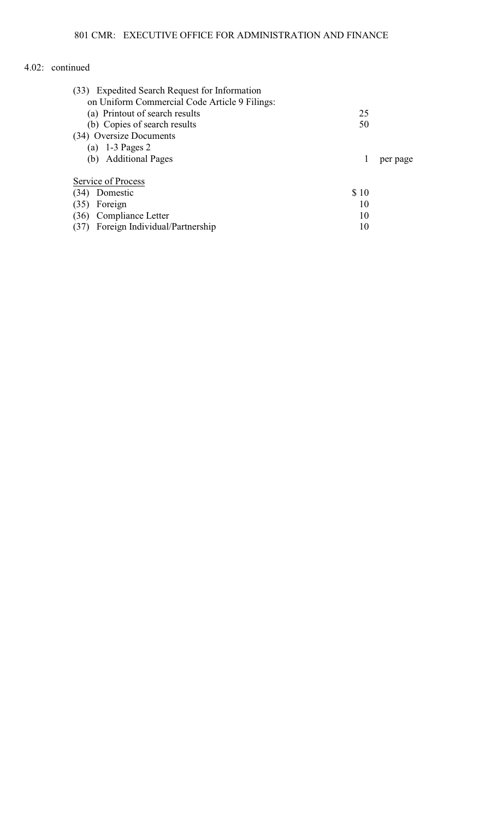| (33) Expedited Search Request for Information |      |          |
|-----------------------------------------------|------|----------|
| on Uniform Commercial Code Article 9 Filings: |      |          |
| (a) Printout of search results                | 25   |          |
| (b) Copies of search results                  | 50   |          |
| (34) Oversize Documents                       |      |          |
| (a) $1-3$ Pages 2                             |      |          |
| (b) Additional Pages                          | 1    | per page |
|                                               |      |          |
| Service of Process                            |      |          |
| Domestic<br>(34)                              | \$10 |          |
| Foreign<br>(35)                               | 10   |          |
| Compliance Letter<br>(36)                     | 10   |          |
| Foreign Individual/Partnership                | 10   |          |
|                                               |      |          |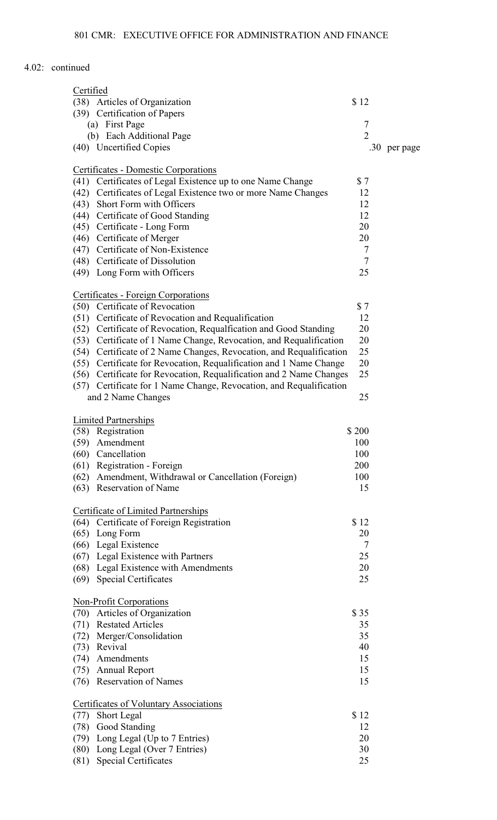| Certified |                                                                     |                |              |
|-----------|---------------------------------------------------------------------|----------------|--------------|
|           | (38) Articles of Organization                                       | \$12           |              |
|           | (39) Certification of Papers                                        |                |              |
|           | (a) First Page                                                      | 7              |              |
|           | (b) Each Additional Page                                            | $\overline{2}$ |              |
|           | (40) Uncertified Copies                                             |                | .30 per page |
|           |                                                                     |                |              |
|           | Certificates - Domestic Corporations                                |                |              |
| (41)      | Certificates of Legal Existence up to one Name Change               | \$7            |              |
| (42)      | Certificates of Legal Existence two or more Name Changes            | 12             |              |
|           | (43) Short Form with Officers                                       | 12             |              |
|           | (44) Certificate of Good Standing                                   | 12             |              |
|           | (45) Certificate - Long Form                                        | 20             |              |
|           | (46) Certificate of Merger                                          | 20             |              |
|           | (47) Certificate of Non-Existence                                   | 7              |              |
|           | (48) Certificate of Dissolution                                     | $\tau$         |              |
|           | (49) Long Form with Officers                                        | 25             |              |
|           |                                                                     |                |              |
|           | Certificates - Foreign Corporations                                 |                |              |
|           | (50) Certificate of Revocation                                      | \$7            |              |
|           | (51) Certificate of Revocation and Requalification                  | 12             |              |
|           | (52) Certificate of Revocation, Requalfication and Good Standing    | 20             |              |
|           | (53) Certificate of 1 Name Change, Revocation, and Requalification  | 20             |              |
|           | (54) Certificate of 2 Name Changes, Revocation, and Requalification | 25             |              |
|           | (55) Certificate for Revocation, Requalification and 1 Name Change  | 20             |              |
|           | (56) Certificate for Revocation, Requalification and 2 Name Changes | 25             |              |
|           | (57) Certificate for 1 Name Change, Revocation, and Requalification |                |              |
|           | and 2 Name Changes                                                  | 25             |              |
|           | <b>Limited Partnerships</b>                                         |                |              |
|           | (58) Registration                                                   | \$200          |              |
|           | (59) Amendment                                                      | 100            |              |
|           | (60) Cancellation                                                   | 100            |              |
|           | (61) Registration - Foreign                                         | 200            |              |
|           | (62) Amendment, Withdrawal or Cancellation (Foreign)                | 100            |              |
|           | (63) Reservation of Name                                            | 15             |              |
|           |                                                                     |                |              |
|           | <b>Certificate of Limited Partnerships</b>                          |                |              |
|           | (64) Certificate of Foreign Registration                            | \$12           |              |
|           | $(65)$ Long Form                                                    | 20             |              |
|           | (66) Legal Existence                                                | 7              |              |
|           | (67) Legal Existence with Partners                                  | 25             |              |
|           | (68) Legal Existence with Amendments                                | 20             |              |
|           | (69) Special Certificates                                           | 25             |              |
|           |                                                                     |                |              |
|           | <b>Non-Profit Corporations</b>                                      |                |              |
|           | (70) Articles of Organization                                       | \$35           |              |
|           | (71) Restated Articles                                              | 35             |              |
|           | (72) Merger/Consolidation                                           | 35             |              |
|           | (73) Revival                                                        | 40             |              |
|           | (74) Amendments                                                     | 15             |              |
|           | (75) Annual Report                                                  | 15             |              |
|           | (76) Reservation of Names                                           | 15             |              |
|           | <b>Certificates of Voluntary Associations</b>                       |                |              |
| (77)      | <b>Short Legal</b>                                                  | \$12           |              |
|           | (78) Good Standing                                                  | 12             |              |
|           | (79) Long Legal (Up to 7 Entries)                                   | 20             |              |
|           | (80) Long Legal (Over 7 Entries)                                    | 30             |              |
|           | (81) Special Certificates                                           | 25             |              |
|           |                                                                     |                |              |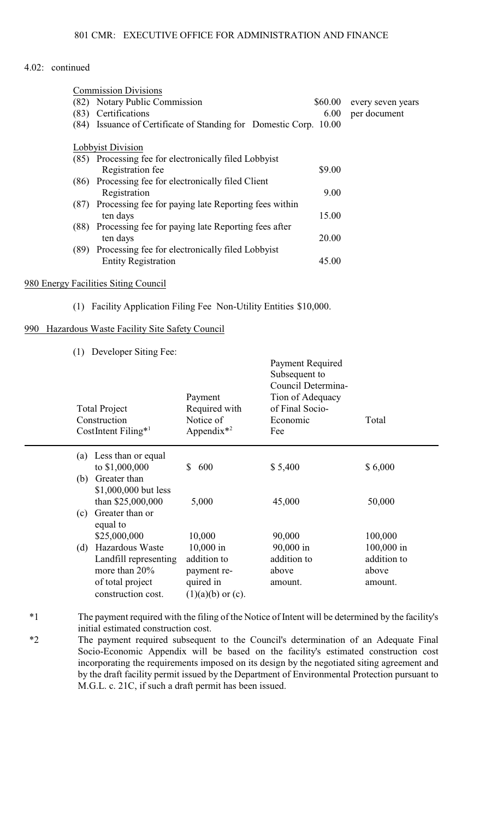| <b>Commission Divisions</b>                                          |         |                   |
|----------------------------------------------------------------------|---------|-------------------|
| (82) Notary Public Commission                                        | \$60.00 | every seven years |
| Certifications<br>(83)                                               | 6.00    | per document      |
| Issuance of Certificate of Standing for Domestic Corp. 10.00<br>(84) |         |                   |
|                                                                      |         |                   |
| Lobbyist Division                                                    |         |                   |
| (85) Processing fee for electronically filed Lobbyist                |         |                   |
| Registration fee                                                     | \$9.00  |                   |
| (86) Processing fee for electronically filed Client                  |         |                   |
| Registration                                                         | 9.00    |                   |
| Processing fee for paying late Reporting fees within<br>(87)         |         |                   |
| ten days                                                             | 15.00   |                   |
| (88)<br>Processing fee for paying late Reporting fees after          |         |                   |
| ten days                                                             | 20.00   |                   |
| Processing fee for electronically filed Lobbyist<br>(89)             |         |                   |
| <b>Entity Registration</b>                                           | 45.00   |                   |
|                                                                      |         |                   |

## 980 Energy Facilities Siting Council

(1) Facility Application Filing Fee Non-Utility Entities \$10,000.

#### 990 Hazardous Waste Facility Site Safety Council

(1) Developer Siting Fee:

| <b>Total Project</b><br>Construction<br>CostIntent Filing <sup>*1</sup>                                                       | Payment<br>Required with<br>Notice of<br>Appendix $*^2$                               | 1 ayıncın iyo yan vu<br>Subsequent to<br>Council Determina-<br>Tion of Adequacy<br>of Final Socio-<br>Economic<br>Fee | Total                                                    |
|-------------------------------------------------------------------------------------------------------------------------------|---------------------------------------------------------------------------------------|-----------------------------------------------------------------------------------------------------------------------|----------------------------------------------------------|
| Less than or equal<br>(a)<br>to \$1,000,000<br>Greater than<br>(b)                                                            | 600<br>\$                                                                             | \$5,400                                                                                                               | \$6,000                                                  |
| \$1,000,000 but less<br>than \$25,000,000<br>Greater than or<br>(c)<br>equal to                                               | 5,000                                                                                 | 45,000                                                                                                                | 50,000                                                   |
| \$25,000,000<br>Hazardous Waste<br>(d)<br>Landfill representing<br>more than $20\%$<br>of total project<br>construction cost. | 10,000<br>10,000 in<br>addition to<br>payment re-<br>quired in<br>$(1)(a)(b)$ or (c). | 90,000<br>90,000 in<br>addition to<br>above<br>amount.                                                                | 100,000<br>100,000 in<br>addition to<br>above<br>amount. |
|                                                                                                                               |                                                                                       |                                                                                                                       |                                                          |

Payment Required

- \*1 The payment required with the filing of the Notice of Intent will be determined by the facility's initial estimated construction cost.
- \*2 The payment required subsequent to the Council's determination of an Adequate Final Socio-Economic Appendix will be based on the facility's estimated construction cost incorporating the requirements imposed on its design by the negotiated siting agreement and by the draft facility permit issued by the Department of Environmental Protection pursuant to M.G.L. c. 21C, if such a draft permit has been issued.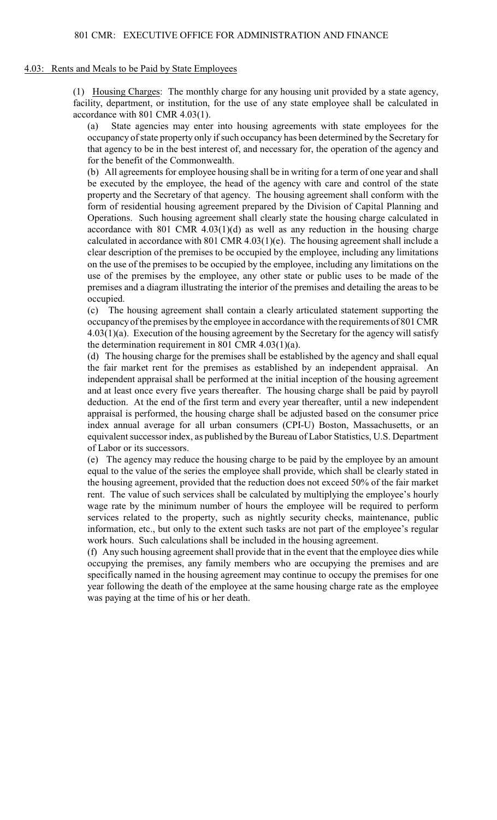#### 4.03: Rents and Meals to be Paid by State Employees

(1) Housing Charges: The monthly charge for any housing unit provided by a state agency, facility, department, or institution, for the use of any state employee shall be calculated in accordance with 801 CMR 4.03(1).

(a) State agencies may enter into housing agreements with state employees for the occupancy of state property only if such occupancy has been determined by the Secretary for that agency to be in the best interest of, and necessary for, the operation of the agency and for the benefit of the Commonwealth.

(b) All agreements for employee housing shall be in writing for a term of one year and shall be executed by the employee, the head of the agency with care and control of the state property and the Secretary of that agency. The housing agreement shall conform with the form of residential housing agreement prepared by the Division of Capital Planning and Operations. Such housing agreement shall clearly state the housing charge calculated in accordance with 801 CMR 4.03(1)(d) as well as any reduction in the housing charge calculated in accordance with 801 CMR 4.03(1)(e). The housing agreement shall include a clear description of the premises to be occupied by the employee, including any limitations on the use of the premises to be occupied by the employee, including any limitations on the use of the premises by the employee, any other state or public uses to be made of the premises and a diagram illustrating the interior of the premises and detailing the areas to be occupied.

(c) The housing agreement shall contain a clearly articulated statement supporting the occupancy of the premises by the employee in accordance with the requirements of 801 CMR 4.03(1)(a). Execution of the housing agreement by the Secretary for the agency will satisfy the determination requirement in 801 CMR 4.03(1)(a).

(d) The housing charge for the premises shall be established by the agency and shall equal the fair market rent for the premises as established by an independent appraisal. An independent appraisal shall be performed at the initial inception of the housing agreement and at least once every five years thereafter. The housing charge shall be paid by payroll deduction. At the end of the first term and every year thereafter, until a new independent appraisal is performed, the housing charge shall be adjusted based on the consumer price index annual average for all urban consumers (CPI-U) Boston, Massachusetts, or an equivalent successor index, as published by the Bureau of Labor Statistics, U.S. Department of Labor or its successors.

(e) The agency may reduce the housing charge to be paid by the employee by an amount equal to the value of the series the employee shall provide, which shall be clearly stated in the housing agreement, provided that the reduction does not exceed 50% of the fair market rent. The value of such services shall be calculated by multiplying the employee's hourly wage rate by the minimum number of hours the employee will be required to perform services related to the property, such as nightly security checks, maintenance, public information, etc., but only to the extent such tasks are not part of the employee's regular work hours. Such calculations shall be included in the housing agreement.

(f) Any such housing agreement shall provide that in the event that the employee dies while occupying the premises, any family members who are occupying the premises and are specifically named in the housing agreement may continue to occupy the premises for one year following the death of the employee at the same housing charge rate as the employee was paying at the time of his or her death.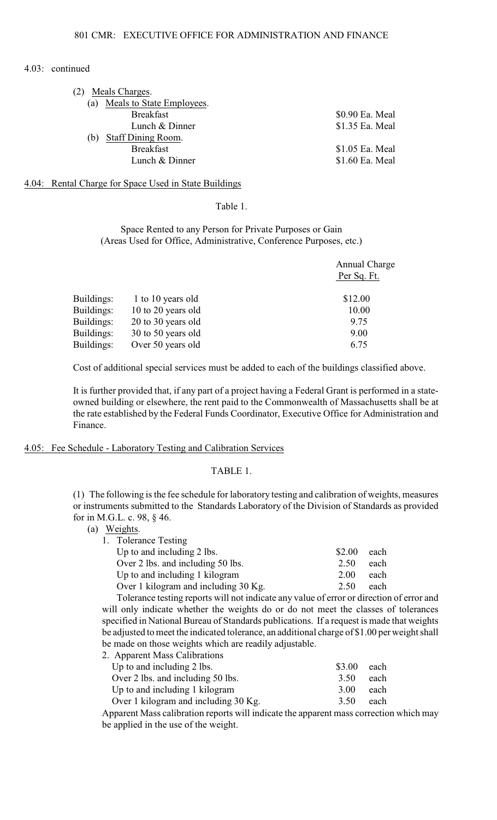| Meals Charges.<br>(2)            |                 |
|----------------------------------|-----------------|
| Meals to State Employees.<br>(a) |                 |
| <b>Breakfast</b>                 | \$0.90 Ea. Meal |
| Lunch & Dinner                   | \$1.35 Ea. Meal |
| Staff Dining Room.<br>(b         |                 |
| <b>Breakfast</b>                 | \$1.05 Ea. Meal |
| Lunch & Dinner                   | \$1.60 Ea. Meal |
|                                  |                 |

#### 4.04: Rental Charge for Space Used in State Buildings

## Table 1.

#### Space Rented to any Person for Private Purposes or Gain (Areas Used for Office, Administrative, Conference Purposes, etc.)

|            |                    | Annual Charge |
|------------|--------------------|---------------|
|            |                    | Per Sq. Ft.   |
| Buildings: | 1 to 10 years old  | \$12.00       |
| Buildings: | 10 to 20 years old | 10.00         |
| Buildings: | 20 to 30 years old | 9.75          |
| Buildings: | 30 to 50 years old | 9.00          |
| Buildings: | Over 50 years old  | 6.75          |

Cost of additional special services must be added to each of the buildings classified above.

It is further provided that, if any part of a project having a Federal Grant is performed in a stateowned building or elsewhere, the rent paid to the Commonwealth of Massachusetts shall be at the rate established by the Federal Funds Coordinator, Executive Office for Administration and Finance.

#### 4.05: Fee Schedule - Laboratory Testing and Calibration Services

#### TABLE 1.

(1) The following is the fee schedule for laboratory testing and calibration of weights, measures or instruments submitted to the Standards Laboratory of the Division of Standards as provided for in M.G.L. c. 98, § 46.

(a) Weights.<br>1. Tolera

| 1. Tolerance Testing                 |        |      |
|--------------------------------------|--------|------|
| Up to and including 2 lbs.           | \$2.00 | each |
| Over 2 lbs. and including 50 lbs.    | 2.50   | each |
| Up to and including 1 kilogram       | 2.00   | each |
| Over 1 kilogram and including 30 Kg. | 2.50   | each |
|                                      |        |      |

Tolerance testing reports will not indicate any value of error or direction of error and will only indicate whether the weights do or do not meet the classes of tolerances specified in National Bureau of Standards publications. If a request is made that weights be adjusted to meet the indicated tolerance, an additional charge of \$1.00 per weight shall be made on those weights which are readily adjustable.<br>2. Apparent Mass Calibrations

| 2. Apparent Mass Calibrations        |        |      |
|--------------------------------------|--------|------|
| Up to and including 2 lbs.           | \$3.00 | each |
| Over 2 lbs. and including 50 lbs.    | 3.50   | each |
| Up to and including 1 kilogram       | 3.00   | each |
| Over 1 kilogram and including 30 Kg. | 3.50   | each |

Apparent Mass calibration reports will indicate the apparent mass correction which may be applied in the use of the weight.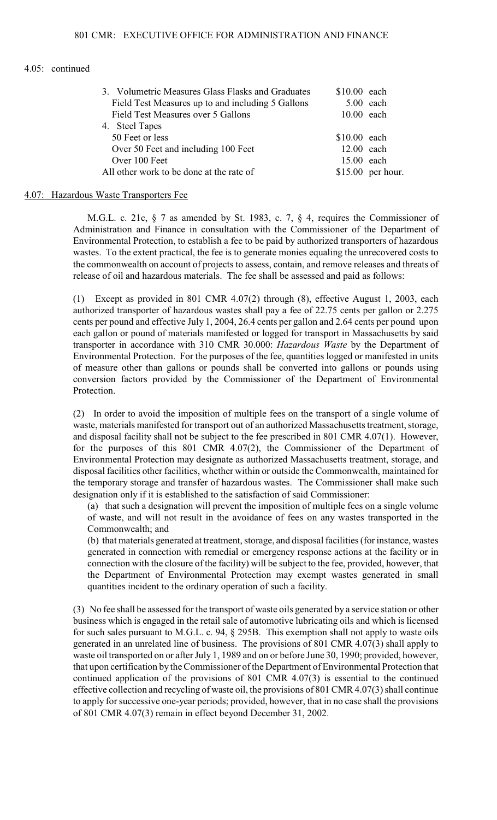| 3. Volumetric Measures Glass Flasks and Graduates | $$10.00$ each |                    |
|---------------------------------------------------|---------------|--------------------|
| Field Test Measures up to and including 5 Gallons | $5.00$ each   |                    |
| Field Test Measures over 5 Gallons                | $10.00$ each  |                    |
| 4. Steel Tapes                                    |               |                    |
| 50 Feet or less                                   | $$10.00$ each |                    |
| Over 50 Feet and including 100 Feet               | $12.00$ each  |                    |
| Over 100 Feet                                     | 15.00 each    |                    |
| All other work to be done at the rate of          |               | $$15.00$ per hour. |

#### 4.07: Hazardous Waste Transporters Fee

M.G.L. c. 21c,  $\S$  7 as amended by St. 1983, c. 7,  $\S$  4, requires the Commissioner of Administration and Finance in consultation with the Commissioner of the Department of Environmental Protection, to establish a fee to be paid by authorized transporters of hazardous wastes. To the extent practical, the fee is to generate monies equaling the unrecovered costs to the commonwealth on account of projects to assess, contain, and remove releases and threats of release of oil and hazardous materials. The fee shall be assessed and paid as follows:

(1) Except as provided in 801 CMR 4.07(2) through (8), effective August 1, 2003, each authorized transporter of hazardous wastes shall pay a fee of 22.75 cents per gallon or 2.275 cents per pound and effective July 1, 2004, 26.4 cents per gallon and 2.64 cents per pound upon each gallon or pound of materials manifested or logged for transport in Massachusetts by said transporter in accordance with 310 CMR 30.000: *Hazardous Waste* by the Department of Environmental Protection. For the purposes of the fee, quantities logged or manifested in units of measure other than gallons or pounds shall be converted into gallons or pounds using conversion factors provided by the Commissioner of the Department of Environmental Protection.

(2) In order to avoid the imposition of multiple fees on the transport of a single volume of waste, materials manifested for transport out of an authorized Massachusetts treatment, storage, and disposal facility shall not be subject to the fee prescribed in 801 CMR 4.07(1). However, for the purposes of this 801 CMR 4.07(2), the Commissioner of the Department of Environmental Protection may designate as authorized Massachusetts treatment, storage, and disposal facilities other facilities, whether within or outside the Commonwealth, maintained for the temporary storage and transfer of hazardous wastes. The Commissioner shall make such designation only if it is established to the satisfaction of said Commissioner:

(a) that such a designation will prevent the imposition of multiple fees on a single volume of waste, and will not result in the avoidance of fees on any wastes transported in the Commonwealth; and

(b) that materials generated at treatment, storage, and disposal facilities (for instance, wastes generated in connection with remedial or emergency response actions at the facility or in connection with the closure of the facility) will be subject to the fee, provided, however, that the Department of Environmental Protection may exempt wastes generated in small quantities incident to the ordinary operation of such a facility.

(3) No fee shall be assessed for the transport of waste oils generated by a service station or other business which is engaged in the retail sale of automotive lubricating oils and which is licensed for such sales pursuant to M.G.L. c. 94, § 295B. This exemption shall not apply to waste oils generated in an unrelated line of business. The provisions of 801 CMR 4.07(3) shall apply to waste oil transported on or after July 1, 1989 and on or before June 30, 1990; provided, however, that upon certification by the Commissioner of the Department of Environmental Protection that continued application of the provisions of 801 CMR 4.07(3) is essential to the continued effective collection and recycling of waste oil, the provisions of 801 CMR 4.07(3) shall continue to apply for successive one-year periods; provided, however, that in no case shall the provisions of 801 CMR 4.07(3) remain in effect beyond December 31, 2002.